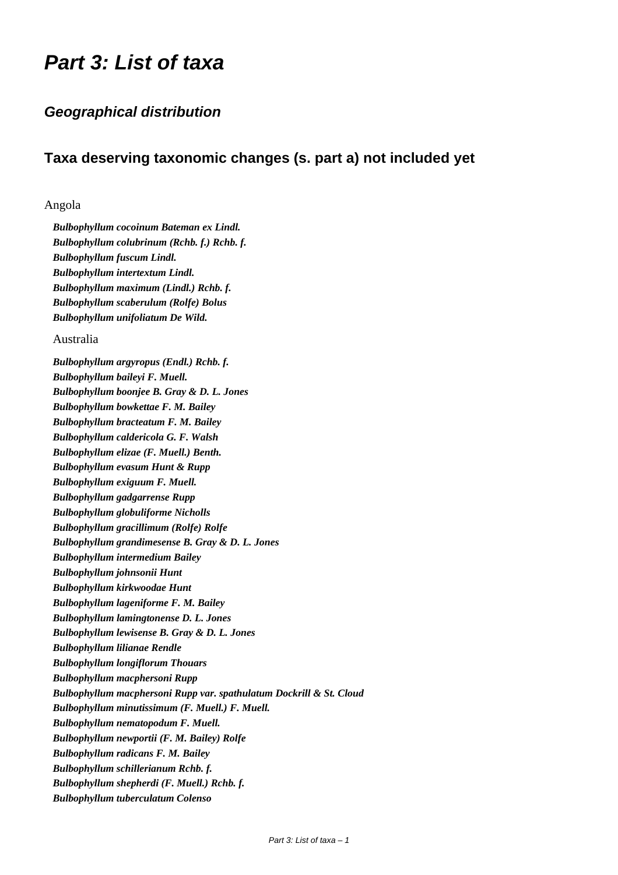# *Part 3: List of taxa*

# *Geographical distribution*

# **Taxa deserving taxonomic changes (s. part a) not included yet**

# Angola

*Bulbophyllum cocoinum Bateman ex Lindl. Bulbophyllum colubrinum (Rchb. f.) Rchb. f. Bulbophyllum fuscum Lindl. Bulbophyllum intertextum Lindl. Bulbophyllum maximum (Lindl.) Rchb. f. Bulbophyllum scaberulum (Rolfe) Bolus Bulbophyllum unifoliatum De Wild.*

# Australia

*Bulbophyllum argyropus (Endl.) Rchb. f. Bulbophyllum baileyi F. Muell. Bulbophyllum boonjee B. Gray & D. L. Jones Bulbophyllum bowkettae F. M. Bailey Bulbophyllum bracteatum F. M. Bailey Bulbophyllum caldericola G. F. Walsh Bulbophyllum elizae (F. Muell.) Benth. Bulbophyllum evasum Hunt & Rupp Bulbophyllum exiguum F. Muell. Bulbophyllum gadgarrense Rupp Bulbophyllum globuliforme Nicholls Bulbophyllum gracillimum (Rolfe) Rolfe Bulbophyllum grandimesense B. Gray & D. L. Jones Bulbophyllum intermedium Bailey Bulbophyllum johnsonii Hunt Bulbophyllum kirkwoodae Hunt Bulbophyllum lageniforme F. M. Bailey Bulbophyllum lamingtonense D. L. Jones Bulbophyllum lewisense B. Gray & D. L. Jones Bulbophyllum lilianae Rendle Bulbophyllum longiflorum Thouars Bulbophyllum macphersoni Rupp Bulbophyllum macphersoni Rupp var. spathulatum Dockrill & St. Cloud Bulbophyllum minutissimum (F. Muell.) F. Muell. Bulbophyllum nematopodum F. Muell. Bulbophyllum newportii (F. M. Bailey) Rolfe Bulbophyllum radicans F. M. Bailey Bulbophyllum schillerianum Rchb. f. Bulbophyllum shepherdi (F. Muell.) Rchb. f. Bulbophyllum tuberculatum Colenso*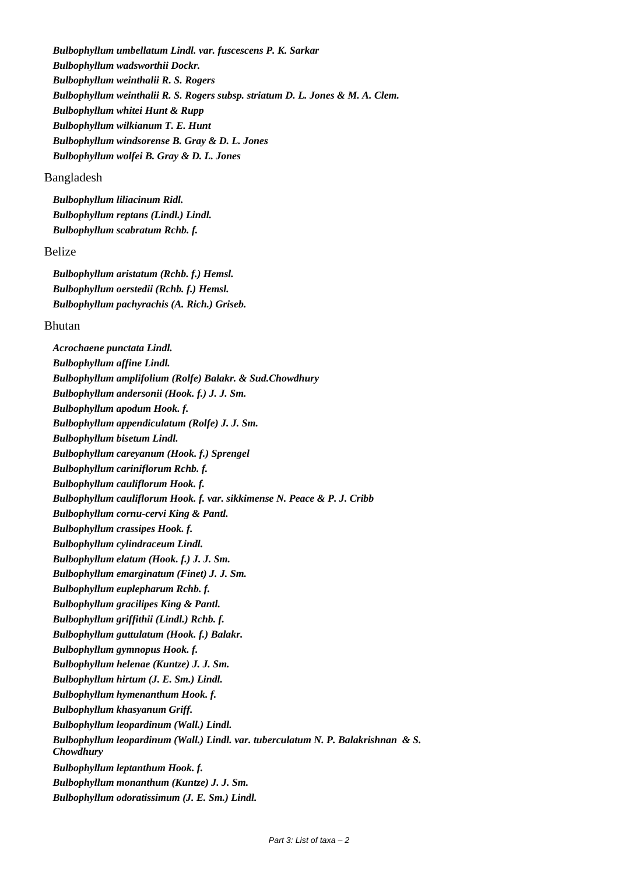*Bulbophyllum umbellatum Lindl. var. fuscescens P. K. Sarkar Bulbophyllum wadsworthii Dockr. Bulbophyllum weinthalii R. S. Rogers Bulbophyllum weinthalii R. S. Rogers subsp. striatum D. L. Jones & M. A. Clem. Bulbophyllum whitei Hunt & Rupp Bulbophyllum wilkianum T. E. Hunt Bulbophyllum windsorense B. Gray & D. L. Jones Bulbophyllum wolfei B. Gray & D. L. Jones*

#### Bangladesh

*Bulbophyllum liliacinum Ridl. Bulbophyllum reptans (Lindl.) Lindl. Bulbophyllum scabratum Rchb. f.*

# Belize

*Bulbophyllum aristatum (Rchb. f.) Hemsl. Bulbophyllum oerstedii (Rchb. f.) Hemsl. Bulbophyllum pachyrachis (A. Rich.) Griseb.*

# Bhutan

*Acrochaene punctata Lindl. Bulbophyllum affine Lindl. Bulbophyllum amplifolium (Rolfe) Balakr. & Sud.Chowdhury Bulbophyllum andersonii (Hook. f.) J. J. Sm. Bulbophyllum apodum Hook. f. Bulbophyllum appendiculatum (Rolfe) J. J. Sm. Bulbophyllum bisetum Lindl. Bulbophyllum careyanum (Hook. f.) Sprengel Bulbophyllum cariniflorum Rchb. f. Bulbophyllum cauliflorum Hook. f. Bulbophyllum cauliflorum Hook. f. var. sikkimense N. Peace & P. J. Cribb Bulbophyllum cornu-cervi King & Pantl. Bulbophyllum crassipes Hook. f. Bulbophyllum cylindraceum Lindl. Bulbophyllum elatum (Hook. f.) J. J. Sm. Bulbophyllum emarginatum (Finet) J. J. Sm. Bulbophyllum euplepharum Rchb. f. Bulbophyllum gracilipes King & Pantl. Bulbophyllum griffithii (Lindl.) Rchb. f. Bulbophyllum guttulatum (Hook. f.) Balakr. Bulbophyllum gymnopus Hook. f. Bulbophyllum helenae (Kuntze) J. J. Sm. Bulbophyllum hirtum (J. E. Sm.) Lindl. Bulbophyllum hymenanthum Hook. f. Bulbophyllum khasyanum Griff. Bulbophyllum leopardinum (Wall.) Lindl. Bulbophyllum leopardinum (Wall.) Lindl. var. tuberculatum N. P. Balakrishnan & S. Chowdhury Bulbophyllum leptanthum Hook. f. Bulbophyllum monanthum (Kuntze) J. J. Sm. Bulbophyllum odoratissimum (J. E. Sm.) Lindl.*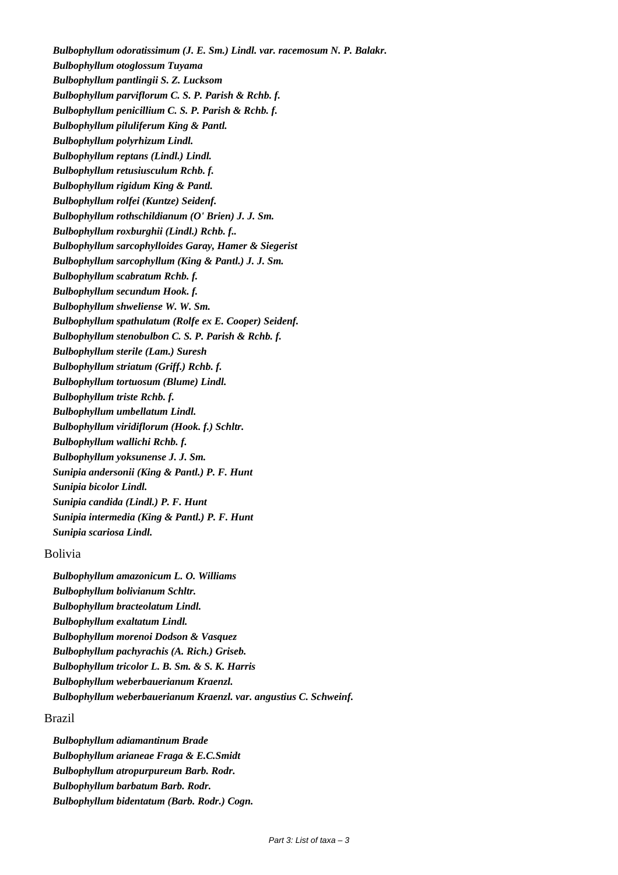*Bulbophyllum odoratissimum (J. E. Sm.) Lindl. var. racemosum N. P. Balakr. Bulbophyllum otoglossum Tuyama Bulbophyllum pantlingii S. Z. Lucksom Bulbophyllum parviflorum C. S. P. Parish & Rchb. f. Bulbophyllum penicillium C. S. P. Parish & Rchb. f. Bulbophyllum piluliferum King & Pantl. Bulbophyllum polyrhizum Lindl. Bulbophyllum reptans (Lindl.) Lindl. Bulbophyllum retusiusculum Rchb. f. Bulbophyllum rigidum King & Pantl. Bulbophyllum rolfei (Kuntze) Seidenf. Bulbophyllum rothschildianum (O' Brien) J. J. Sm. Bulbophyllum roxburghii (Lindl.) Rchb. f.. Bulbophyllum sarcophylloides Garay, Hamer & Siegerist Bulbophyllum sarcophyllum (King & Pantl.) J. J. Sm. Bulbophyllum scabratum Rchb. f. Bulbophyllum secundum Hook. f. Bulbophyllum shweliense W. W. Sm. Bulbophyllum spathulatum (Rolfe ex E. Cooper) Seidenf. Bulbophyllum stenobulbon C. S. P. Parish & Rchb. f. Bulbophyllum sterile (Lam.) Suresh Bulbophyllum striatum (Griff.) Rchb. f. Bulbophyllum tortuosum (Blume) Lindl. Bulbophyllum triste Rchb. f. Bulbophyllum umbellatum Lindl. Bulbophyllum viridiflorum (Hook. f.) Schltr. Bulbophyllum wallichi Rchb. f. Bulbophyllum yoksunense J. J. Sm. Sunipia andersonii (King & Pantl.) P. F. Hunt Sunipia bicolor Lindl. Sunipia candida (Lindl.) P. F. Hunt Sunipia intermedia (King & Pantl.) P. F. Hunt Sunipia scariosa Lindl.*

# Bolivia

*Bulbophyllum amazonicum L. O. Williams Bulbophyllum bolivianum Schltr. Bulbophyllum bracteolatum Lindl. Bulbophyllum exaltatum Lindl. Bulbophyllum morenoi Dodson & Vasquez Bulbophyllum pachyrachis (A. Rich.) Griseb. Bulbophyllum tricolor L. B. Sm. & S. K. Harris Bulbophyllum weberbauerianum Kraenzl. Bulbophyllum weberbauerianum Kraenzl. var. angustius C. Schweinf.*

# Brazil

*Bulbophyllum adiamantinum Brade Bulbophyllum arianeae Fraga & E.C.Smidt Bulbophyllum atropurpureum Barb. Rodr. Bulbophyllum barbatum Barb. Rodr. Bulbophyllum bidentatum (Barb. Rodr.) Cogn.*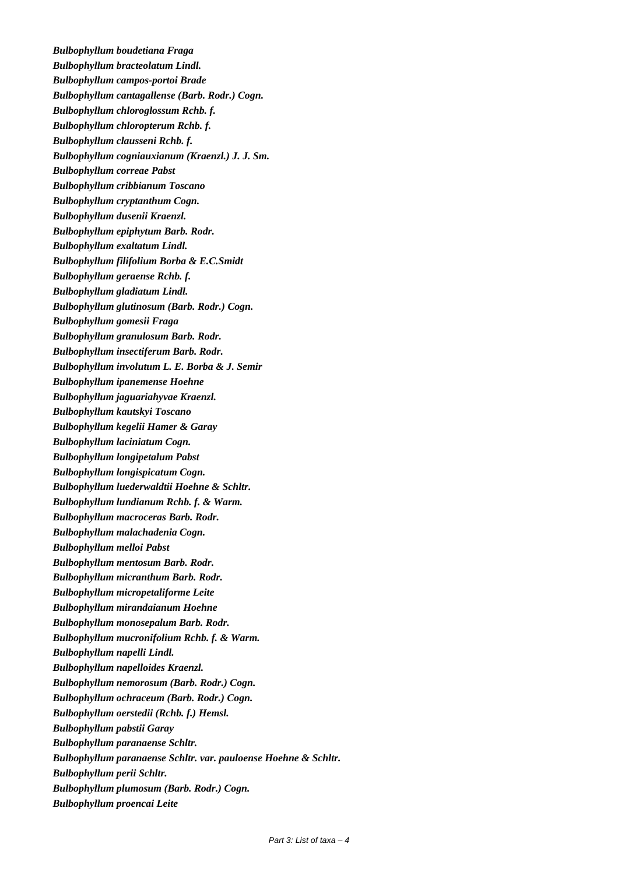*Bulbophyllum boudetiana Fraga Bulbophyllum bracteolatum Lindl. Bulbophyllum campos-portoi Brade Bulbophyllum cantagallense (Barb. Rodr.) Cogn. Bulbophyllum chloroglossum Rchb. f. Bulbophyllum chloropterum Rchb. f. Bulbophyllum clausseni Rchb. f. Bulbophyllum cogniauxianum (Kraenzl.) J. J. Sm. Bulbophyllum correae Pabst Bulbophyllum cribbianum Toscano Bulbophyllum cryptanthum Cogn. Bulbophyllum dusenii Kraenzl. Bulbophyllum epiphytum Barb. Rodr. Bulbophyllum exaltatum Lindl. Bulbophyllum filifolium Borba & E.C.Smidt Bulbophyllum geraense Rchb. f. Bulbophyllum gladiatum Lindl. Bulbophyllum glutinosum (Barb. Rodr.) Cogn. Bulbophyllum gomesii Fraga Bulbophyllum granulosum Barb. Rodr. Bulbophyllum insectiferum Barb. Rodr. Bulbophyllum involutum L. E. Borba & J. Semir Bulbophyllum ipanemense Hoehne Bulbophyllum jaguariahyvae Kraenzl. Bulbophyllum kautskyi Toscano Bulbophyllum kegelii Hamer & Garay Bulbophyllum laciniatum Cogn. Bulbophyllum longipetalum Pabst Bulbophyllum longispicatum Cogn. Bulbophyllum luederwaldtii Hoehne & Schltr. Bulbophyllum lundianum Rchb. f. & Warm. Bulbophyllum macroceras Barb. Rodr. Bulbophyllum malachadenia Cogn. Bulbophyllum melloi Pabst Bulbophyllum mentosum Barb. Rodr. Bulbophyllum micranthum Barb. Rodr. Bulbophyllum micropetaliforme Leite Bulbophyllum mirandaianum Hoehne Bulbophyllum monosepalum Barb. Rodr. Bulbophyllum mucronifolium Rchb. f. & Warm. Bulbophyllum napelli Lindl. Bulbophyllum napelloides Kraenzl. Bulbophyllum nemorosum (Barb. Rodr.) Cogn. Bulbophyllum ochraceum (Barb. Rodr.) Cogn. Bulbophyllum oerstedii (Rchb. f.) Hemsl. Bulbophyllum pabstii Garay Bulbophyllum paranaense Schltr. Bulbophyllum paranaense Schltr. var. pauloense Hoehne & Schltr. Bulbophyllum perii Schltr. Bulbophyllum plumosum (Barb. Rodr.) Cogn. Bulbophyllum proencai Leite*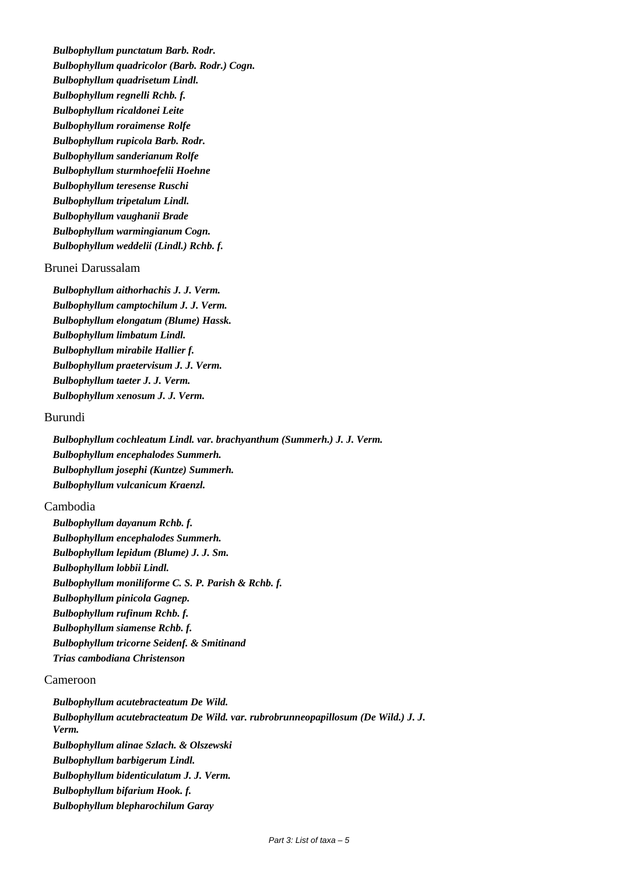*Bulbophyllum punctatum Barb. Rodr. Bulbophyllum quadricolor (Barb. Rodr.) Cogn. Bulbophyllum quadrisetum Lindl. Bulbophyllum regnelli Rchb. f. Bulbophyllum ricaldonei Leite Bulbophyllum roraimense Rolfe Bulbophyllum rupicola Barb. Rodr. Bulbophyllum sanderianum Rolfe Bulbophyllum sturmhoefelii Hoehne Bulbophyllum teresense Ruschi Bulbophyllum tripetalum Lindl. Bulbophyllum vaughanii Brade Bulbophyllum warmingianum Cogn. Bulbophyllum weddelii (Lindl.) Rchb. f.*

# Brunei Darussalam

*Bulbophyllum aithorhachis J. J. Verm. Bulbophyllum camptochilum J. J. Verm. Bulbophyllum elongatum (Blume) Hassk. Bulbophyllum limbatum Lindl. Bulbophyllum mirabile Hallier f. Bulbophyllum praetervisum J. J. Verm. Bulbophyllum taeter J. J. Verm. Bulbophyllum xenosum J. J. Verm.*

### Burundi

*Bulbophyllum cochleatum Lindl. var. brachyanthum (Summerh.) J. J. Verm. Bulbophyllum encephalodes Summerh. Bulbophyllum josephi (Kuntze) Summerh. Bulbophyllum vulcanicum Kraenzl.*

#### Cambodia

*Bulbophyllum dayanum Rchb. f. Bulbophyllum encephalodes Summerh. Bulbophyllum lepidum (Blume) J. J. Sm. Bulbophyllum lobbii Lindl. Bulbophyllum moniliforme C. S. P. Parish & Rchb. f. Bulbophyllum pinicola Gagnep. Bulbophyllum rufinum Rchb. f. Bulbophyllum siamense Rchb. f. Bulbophyllum tricorne Seidenf. & Smitinand Trias cambodiana Christenson*

# Cameroon

*Bulbophyllum acutebracteatum De Wild. Bulbophyllum acutebracteatum De Wild. var. rubrobrunneopapillosum (De Wild.) J. J. Verm. Bulbophyllum alinae Szlach. & Olszewski Bulbophyllum barbigerum Lindl. Bulbophyllum bidenticulatum J. J. Verm. Bulbophyllum bifarium Hook. f. Bulbophyllum blepharochilum Garay*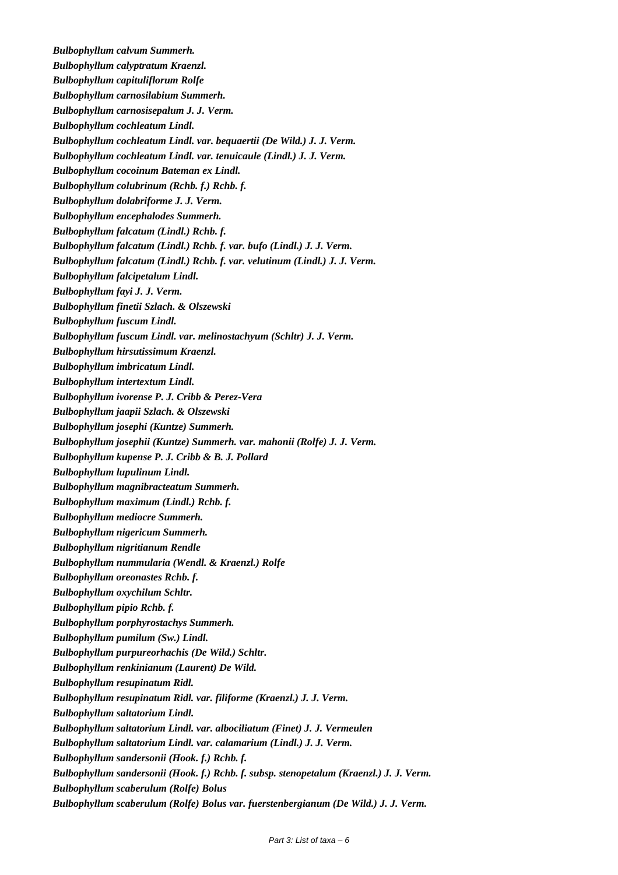*Bulbophyllum calvum Summerh. Bulbophyllum calyptratum Kraenzl. Bulbophyllum capituliflorum Rolfe Bulbophyllum carnosilabium Summerh. Bulbophyllum carnosisepalum J. J. Verm. Bulbophyllum cochleatum Lindl. Bulbophyllum cochleatum Lindl. var. bequaertii (De Wild.) J. J. Verm. Bulbophyllum cochleatum Lindl. var. tenuicaule (Lindl.) J. J. Verm. Bulbophyllum cocoinum Bateman ex Lindl. Bulbophyllum colubrinum (Rchb. f.) Rchb. f. Bulbophyllum dolabriforme J. J. Verm. Bulbophyllum encephalodes Summerh. Bulbophyllum falcatum (Lindl.) Rchb. f. Bulbophyllum falcatum (Lindl.) Rchb. f. var. bufo (Lindl.) J. J. Verm. Bulbophyllum falcatum (Lindl.) Rchb. f. var. velutinum (Lindl.) J. J. Verm. Bulbophyllum falcipetalum Lindl. Bulbophyllum fayi J. J. Verm. Bulbophyllum finetii Szlach. & Olszewski Bulbophyllum fuscum Lindl. Bulbophyllum fuscum Lindl. var. melinostachyum (Schltr) J. J. Verm. Bulbophyllum hirsutissimum Kraenzl. Bulbophyllum imbricatum Lindl. Bulbophyllum intertextum Lindl. Bulbophyllum ivorense P. J. Cribb & Perez-Vera Bulbophyllum jaapii Szlach. & Olszewski Bulbophyllum josephi (Kuntze) Summerh. Bulbophyllum josephii (Kuntze) Summerh. var. mahonii (Rolfe) J. J. Verm. Bulbophyllum kupense P. J. Cribb & B. J. Pollard Bulbophyllum lupulinum Lindl. Bulbophyllum magnibracteatum Summerh. Bulbophyllum maximum (Lindl.) Rchb. f. Bulbophyllum mediocre Summerh. Bulbophyllum nigericum Summerh. Bulbophyllum nigritianum Rendle Bulbophyllum nummularia (Wendl. & Kraenzl.) Rolfe Bulbophyllum oreonastes Rchb. f. Bulbophyllum oxychilum Schltr. Bulbophyllum pipio Rchb. f. Bulbophyllum porphyrostachys Summerh. Bulbophyllum pumilum (Sw.) Lindl. Bulbophyllum purpureorhachis (De Wild.) Schltr. Bulbophyllum renkinianum (Laurent) De Wild. Bulbophyllum resupinatum Ridl. Bulbophyllum resupinatum Ridl. var. filiforme (Kraenzl.) J. J. Verm. Bulbophyllum saltatorium Lindl. Bulbophyllum saltatorium Lindl. var. albociliatum (Finet) J. J. Vermeulen Bulbophyllum saltatorium Lindl. var. calamarium (Lindl.) J. J. Verm. Bulbophyllum sandersonii (Hook. f.) Rchb. f. Bulbophyllum sandersonii (Hook. f.) Rchb. f. subsp. stenopetalum (Kraenzl.) J. J. Verm. Bulbophyllum scaberulum (Rolfe) Bolus Bulbophyllum scaberulum (Rolfe) Bolus var. fuerstenbergianum (De Wild.) J. J. Verm.*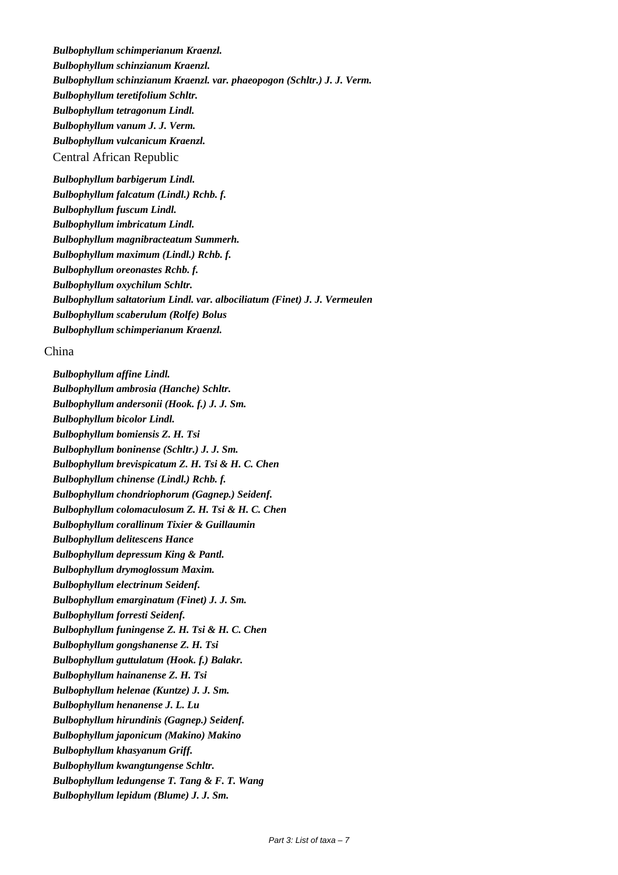*Bulbophyllum schimperianum Kraenzl. Bulbophyllum schinzianum Kraenzl. Bulbophyllum schinzianum Kraenzl. var. phaeopogon (Schltr.) J. J. Verm. Bulbophyllum teretifolium Schltr. Bulbophyllum tetragonum Lindl. Bulbophyllum vanum J. J. Verm. Bulbophyllum vulcanicum Kraenzl.* Central African Republic

*Bulbophyllum barbigerum Lindl. Bulbophyllum falcatum (Lindl.) Rchb. f. Bulbophyllum fuscum Lindl. Bulbophyllum imbricatum Lindl. Bulbophyllum magnibracteatum Summerh. Bulbophyllum maximum (Lindl.) Rchb. f. Bulbophyllum oreonastes Rchb. f. Bulbophyllum oxychilum Schltr. Bulbophyllum saltatorium Lindl. var. albociliatum (Finet) J. J. Vermeulen Bulbophyllum scaberulum (Rolfe) Bolus Bulbophyllum schimperianum Kraenzl.*

# China

*Bulbophyllum affine Lindl. Bulbophyllum ambrosia (Hanche) Schltr. Bulbophyllum andersonii (Hook. f.) J. J. Sm. Bulbophyllum bicolor Lindl. Bulbophyllum bomiensis Z. H. Tsi Bulbophyllum boninense (Schltr.) J. J. Sm. Bulbophyllum brevispicatum Z. H. Tsi & H. C. Chen Bulbophyllum chinense (Lindl.) Rchb. f. Bulbophyllum chondriophorum (Gagnep.) Seidenf. Bulbophyllum colomaculosum Z. H. Tsi & H. C. Chen Bulbophyllum corallinum Tixier & Guillaumin Bulbophyllum delitescens Hance Bulbophyllum depressum King & Pantl. Bulbophyllum drymoglossum Maxim. Bulbophyllum electrinum Seidenf. Bulbophyllum emarginatum (Finet) J. J. Sm. Bulbophyllum forresti Seidenf. Bulbophyllum funingense Z. H. Tsi & H. C. Chen Bulbophyllum gongshanense Z. H. Tsi Bulbophyllum guttulatum (Hook. f.) Balakr. Bulbophyllum hainanense Z. H. Tsi Bulbophyllum helenae (Kuntze) J. J. Sm. Bulbophyllum henanense J. L. Lu Bulbophyllum hirundinis (Gagnep.) Seidenf. Bulbophyllum japonicum (Makino) Makino Bulbophyllum khasyanum Griff. Bulbophyllum kwangtungense Schltr. Bulbophyllum ledungense T. Tang & F. T. Wang Bulbophyllum lepidum (Blume) J. J. Sm.*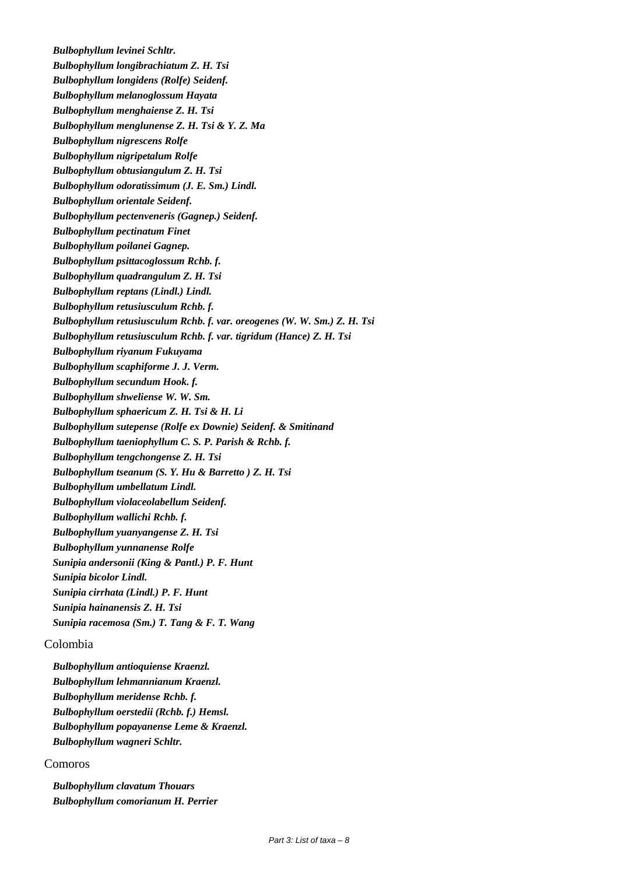*Bulbophyllum levinei Schltr. Bulbophyllum longibrachiatum Z. H. Tsi Bulbophyllum longidens (Rolfe) Seidenf. Bulbophyllum melanoglossum Hayata Bulbophyllum menghaiense Z. H. Tsi Bulbophyllum menglunense Z. H. Tsi & Y. Z. Ma Bulbophyllum nigrescens Rolfe Bulbophyllum nigripetalum Rolfe Bulbophyllum obtusiangulum Z. H. Tsi Bulbophyllum odoratissimum (J. E. Sm.) Lindl. Bulbophyllum orientale Seidenf. Bulbophyllum pectenveneris (Gagnep.) Seidenf. Bulbophyllum pectinatum Finet Bulbophyllum poilanei Gagnep. Bulbophyllum psittacoglossum Rchb. f. Bulbophyllum quadrangulum Z. H. Tsi Bulbophyllum reptans (Lindl.) Lindl. Bulbophyllum retusiusculum Rchb. f. Bulbophyllum retusiusculum Rchb. f. var. oreogenes (W. W. Sm.) Z. H. Tsi Bulbophyllum retusiusculum Rchb. f. var. tigridum (Hance) Z. H. Tsi Bulbophyllum riyanum Fukuyama Bulbophyllum scaphiforme J. J. Verm. Bulbophyllum secundum Hook. f. Bulbophyllum shweliense W. W. Sm. Bulbophyllum sphaericum Z. H. Tsi & H. Li Bulbophyllum sutepense (Rolfe ex Downie) Seidenf. & Smitinand Bulbophyllum taeniophyllum C. S. P. Parish & Rchb. f. Bulbophyllum tengchongense Z. H. Tsi Bulbophyllum tseanum (S. Y. Hu & Barretto ) Z. H. Tsi Bulbophyllum umbellatum Lindl. Bulbophyllum violaceolabellum Seidenf. Bulbophyllum wallichi Rchb. f. Bulbophyllum yuanyangense Z. H. Tsi Bulbophyllum yunnanense Rolfe Sunipia andersonii (King & Pantl.) P. F. Hunt Sunipia bicolor Lindl. Sunipia cirrhata (Lindl.) P. F. Hunt Sunipia hainanensis Z. H. Tsi Sunipia racemosa (Sm.) T. Tang & F. T. Wang*

# Colombia

*Bulbophyllum antioquiense Kraenzl. Bulbophyllum lehmannianum Kraenzl. Bulbophyllum meridense Rchb. f. Bulbophyllum oerstedii (Rchb. f.) Hemsl. Bulbophyllum popayanense Leme & Kraenzl. Bulbophyllum wagneri Schltr.*

# Comoros

*Bulbophyllum clavatum Thouars Bulbophyllum comorianum H. Perrier*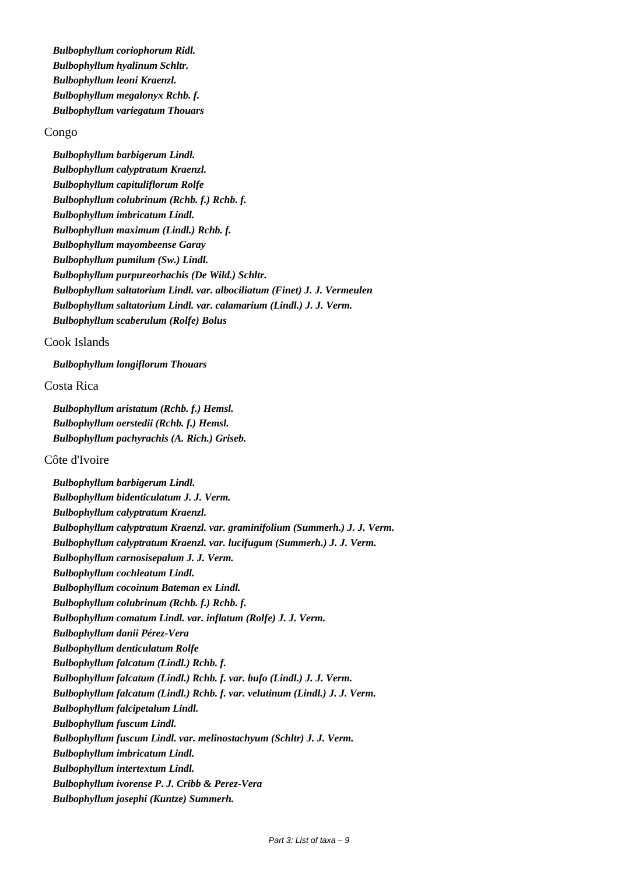*Bulbophyllum coriophorum Ridl. Bulbophyllum hyalinum Schltr. Bulbophyllum leoni Kraenzl. Bulbophyllum megalonyx Rchb. f. Bulbophyllum variegatum Thouars*

#### Congo

*Bulbophyllum barbigerum Lindl. Bulbophyllum calyptratum Kraenzl. Bulbophyllum capituliflorum Rolfe Bulbophyllum colubrinum (Rchb. f.) Rchb. f. Bulbophyllum imbricatum Lindl. Bulbophyllum maximum (Lindl.) Rchb. f. Bulbophyllum mayombeense Garay Bulbophyllum pumilum (Sw.) Lindl. Bulbophyllum purpureorhachis (De Wild.) Schltr. Bulbophyllum saltatorium Lindl. var. albociliatum (Finet) J. J. Vermeulen Bulbophyllum saltatorium Lindl. var. calamarium (Lindl.) J. J. Verm. Bulbophyllum scaberulum (Rolfe) Bolus*

#### Cook Islands

*Bulbophyllum longiflorum Thouars*

# Costa Rica

*Bulbophyllum aristatum (Rchb. f.) Hemsl. Bulbophyllum oerstedii (Rchb. f.) Hemsl. Bulbophyllum pachyrachis (A. Rich.) Griseb.*

#### Côte d'Ivoire

*Bulbophyllum barbigerum Lindl. Bulbophyllum bidenticulatum J. J. Verm. Bulbophyllum calyptratum Kraenzl. Bulbophyllum calyptratum Kraenzl. var. graminifolium (Summerh.) J. J. Verm. Bulbophyllum calyptratum Kraenzl. var. lucifugum (Summerh.) J. J. Verm. Bulbophyllum carnosisepalum J. J. Verm. Bulbophyllum cochleatum Lindl. Bulbophyllum cocoinum Bateman ex Lindl. Bulbophyllum colubrinum (Rchb. f.) Rchb. f. Bulbophyllum comatum Lindl. var. inflatum (Rolfe) J. J. Verm. Bulbophyllum danii Pérez-Vera Bulbophyllum denticulatum Rolfe Bulbophyllum falcatum (Lindl.) Rchb. f. Bulbophyllum falcatum (Lindl.) Rchb. f. var. bufo (Lindl.) J. J. Verm. Bulbophyllum falcatum (Lindl.) Rchb. f. var. velutinum (Lindl.) J. J. Verm. Bulbophyllum falcipetalum Lindl. Bulbophyllum fuscum Lindl. Bulbophyllum fuscum Lindl. var. melinostachyum (Schltr) J. J. Verm. Bulbophyllum imbricatum Lindl. Bulbophyllum intertextum Lindl. Bulbophyllum ivorense P. J. Cribb & Perez-Vera Bulbophyllum josephi (Kuntze) Summerh.*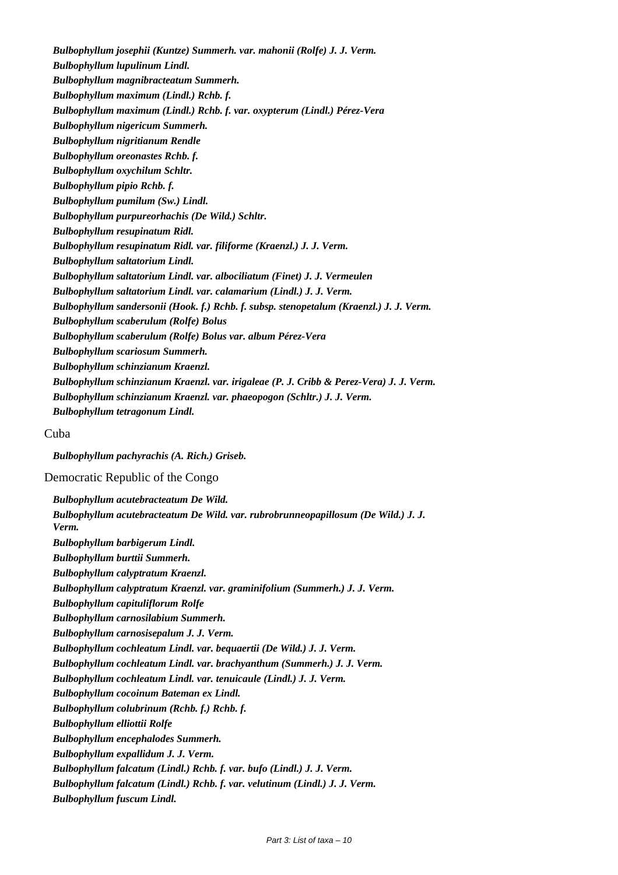*Bulbophyllum josephii (Kuntze) Summerh. var. mahonii (Rolfe) J. J. Verm. Bulbophyllum lupulinum Lindl. Bulbophyllum magnibracteatum Summerh. Bulbophyllum maximum (Lindl.) Rchb. f. Bulbophyllum maximum (Lindl.) Rchb. f. var. oxypterum (Lindl.) Pérez-Vera Bulbophyllum nigericum Summerh. Bulbophyllum nigritianum Rendle Bulbophyllum oreonastes Rchb. f. Bulbophyllum oxychilum Schltr. Bulbophyllum pipio Rchb. f. Bulbophyllum pumilum (Sw.) Lindl. Bulbophyllum purpureorhachis (De Wild.) Schltr. Bulbophyllum resupinatum Ridl. Bulbophyllum resupinatum Ridl. var. filiforme (Kraenzl.) J. J. Verm. Bulbophyllum saltatorium Lindl. Bulbophyllum saltatorium Lindl. var. albociliatum (Finet) J. J. Vermeulen Bulbophyllum saltatorium Lindl. var. calamarium (Lindl.) J. J. Verm. Bulbophyllum sandersonii (Hook. f.) Rchb. f. subsp. stenopetalum (Kraenzl.) J. J. Verm. Bulbophyllum scaberulum (Rolfe) Bolus Bulbophyllum scaberulum (Rolfe) Bolus var. album Pérez-Vera Bulbophyllum scariosum Summerh. Bulbophyllum schinzianum Kraenzl. Bulbophyllum schinzianum Kraenzl. var. irigaleae (P. J. Cribb & Perez-Vera) J. J. Verm. Bulbophyllum schinzianum Kraenzl. var. phaeopogon (Schltr.) J. J. Verm. Bulbophyllum tetragonum Lindl.*

#### Cuba

*Bulbophyllum pachyrachis (A. Rich.) Griseb.*

Democratic Republic of the Congo

*Bulbophyllum acutebracteatum De Wild. Bulbophyllum acutebracteatum De Wild. var. rubrobrunneopapillosum (De Wild.) J. J. Verm. Bulbophyllum barbigerum Lindl. Bulbophyllum burttii Summerh. Bulbophyllum calyptratum Kraenzl. Bulbophyllum calyptratum Kraenzl. var. graminifolium (Summerh.) J. J. Verm. Bulbophyllum capituliflorum Rolfe Bulbophyllum carnosilabium Summerh. Bulbophyllum carnosisepalum J. J. Verm. Bulbophyllum cochleatum Lindl. var. bequaertii (De Wild.) J. J. Verm. Bulbophyllum cochleatum Lindl. var. brachyanthum (Summerh.) J. J. Verm. Bulbophyllum cochleatum Lindl. var. tenuicaule (Lindl.) J. J. Verm. Bulbophyllum cocoinum Bateman ex Lindl. Bulbophyllum colubrinum (Rchb. f.) Rchb. f. Bulbophyllum elliottii Rolfe Bulbophyllum encephalodes Summerh. Bulbophyllum expallidum J. J. Verm. Bulbophyllum falcatum (Lindl.) Rchb. f. var. bufo (Lindl.) J. J. Verm. Bulbophyllum falcatum (Lindl.) Rchb. f. var. velutinum (Lindl.) J. J. Verm. Bulbophyllum fuscum Lindl.*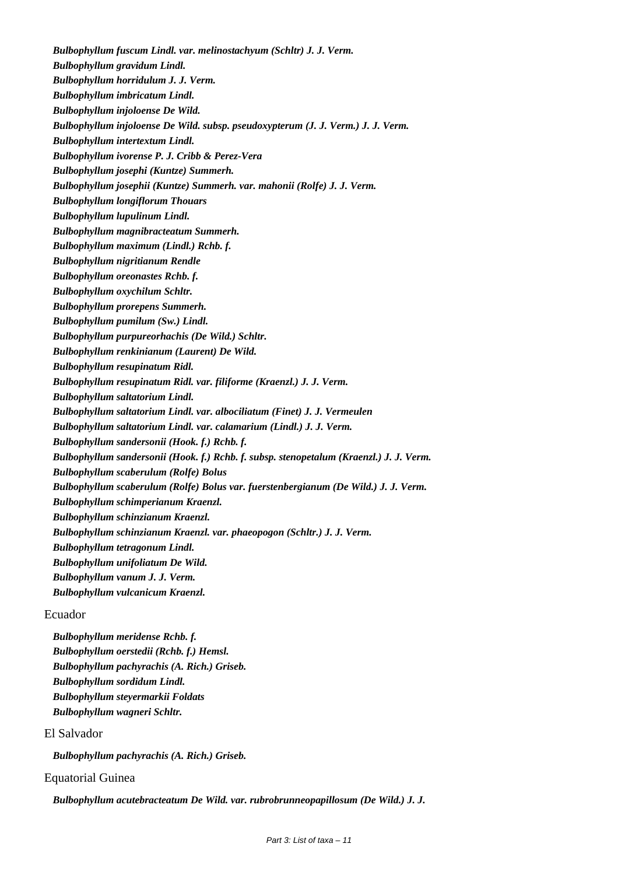*Bulbophyllum fuscum Lindl. var. melinostachyum (Schltr) J. J. Verm. Bulbophyllum gravidum Lindl. Bulbophyllum horridulum J. J. Verm. Bulbophyllum imbricatum Lindl. Bulbophyllum injoloense De Wild. Bulbophyllum injoloense De Wild. subsp. pseudoxypterum (J. J. Verm.) J. J. Verm. Bulbophyllum intertextum Lindl. Bulbophyllum ivorense P. J. Cribb & Perez-Vera Bulbophyllum josephi (Kuntze) Summerh. Bulbophyllum josephii (Kuntze) Summerh. var. mahonii (Rolfe) J. J. Verm. Bulbophyllum longiflorum Thouars Bulbophyllum lupulinum Lindl. Bulbophyllum magnibracteatum Summerh. Bulbophyllum maximum (Lindl.) Rchb. f. Bulbophyllum nigritianum Rendle Bulbophyllum oreonastes Rchb. f. Bulbophyllum oxychilum Schltr. Bulbophyllum prorepens Summerh. Bulbophyllum pumilum (Sw.) Lindl. Bulbophyllum purpureorhachis (De Wild.) Schltr. Bulbophyllum renkinianum (Laurent) De Wild. Bulbophyllum resupinatum Ridl. Bulbophyllum resupinatum Ridl. var. filiforme (Kraenzl.) J. J. Verm. Bulbophyllum saltatorium Lindl. Bulbophyllum saltatorium Lindl. var. albociliatum (Finet) J. J. Vermeulen Bulbophyllum saltatorium Lindl. var. calamarium (Lindl.) J. J. Verm. Bulbophyllum sandersonii (Hook. f.) Rchb. f. Bulbophyllum sandersonii (Hook. f.) Rchb. f. subsp. stenopetalum (Kraenzl.) J. J. Verm. Bulbophyllum scaberulum (Rolfe) Bolus Bulbophyllum scaberulum (Rolfe) Bolus var. fuerstenbergianum (De Wild.) J. J. Verm. Bulbophyllum schimperianum Kraenzl. Bulbophyllum schinzianum Kraenzl. Bulbophyllum schinzianum Kraenzl. var. phaeopogon (Schltr.) J. J. Verm. Bulbophyllum tetragonum Lindl. Bulbophyllum unifoliatum De Wild. Bulbophyllum vanum J. J. Verm. Bulbophyllum vulcanicum Kraenzl.*

Ecuador

*Bulbophyllum meridense Rchb. f. Bulbophyllum oerstedii (Rchb. f.) Hemsl. Bulbophyllum pachyrachis (A. Rich.) Griseb. Bulbophyllum sordidum Lindl. Bulbophyllum steyermarkii Foldats Bulbophyllum wagneri Schltr.*

# El Salvador

*Bulbophyllum pachyrachis (A. Rich.) Griseb.*

# Equatorial Guinea

*Bulbophyllum acutebracteatum De Wild. var. rubrobrunneopapillosum (De Wild.) J. J.*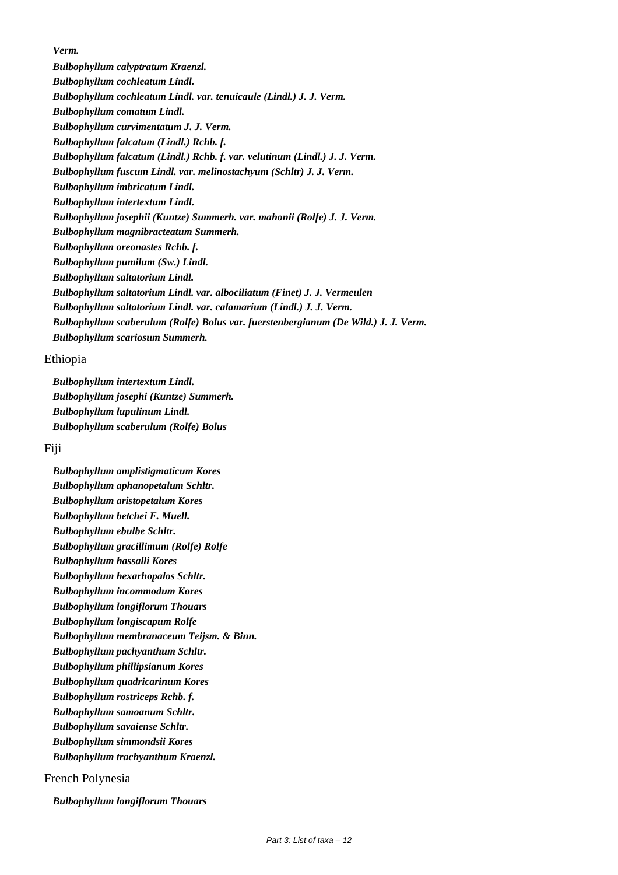*Verm.*

*Bulbophyllum calyptratum Kraenzl. Bulbophyllum cochleatum Lindl. Bulbophyllum cochleatum Lindl. var. tenuicaule (Lindl.) J. J. Verm. Bulbophyllum comatum Lindl. Bulbophyllum curvimentatum J. J. Verm. Bulbophyllum falcatum (Lindl.) Rchb. f. Bulbophyllum falcatum (Lindl.) Rchb. f. var. velutinum (Lindl.) J. J. Verm. Bulbophyllum fuscum Lindl. var. melinostachyum (Schltr) J. J. Verm. Bulbophyllum imbricatum Lindl. Bulbophyllum intertextum Lindl. Bulbophyllum josephii (Kuntze) Summerh. var. mahonii (Rolfe) J. J. Verm. Bulbophyllum magnibracteatum Summerh. Bulbophyllum oreonastes Rchb. f. Bulbophyllum pumilum (Sw.) Lindl. Bulbophyllum saltatorium Lindl. Bulbophyllum saltatorium Lindl. var. albociliatum (Finet) J. J. Vermeulen Bulbophyllum saltatorium Lindl. var. calamarium (Lindl.) J. J. Verm. Bulbophyllum scaberulum (Rolfe) Bolus var. fuerstenbergianum (De Wild.) J. J. Verm. Bulbophyllum scariosum Summerh.*

# Ethiopia

*Bulbophyllum intertextum Lindl. Bulbophyllum josephi (Kuntze) Summerh. Bulbophyllum lupulinum Lindl. Bulbophyllum scaberulum (Rolfe) Bolus*

# Fiji

*Bulbophyllum amplistigmaticum Kores Bulbophyllum aphanopetalum Schltr. Bulbophyllum aristopetalum Kores Bulbophyllum betchei F. Muell. Bulbophyllum ebulbe Schltr. Bulbophyllum gracillimum (Rolfe) Rolfe Bulbophyllum hassalli Kores Bulbophyllum hexarhopalos Schltr. Bulbophyllum incommodum Kores Bulbophyllum longiflorum Thouars Bulbophyllum longiscapum Rolfe Bulbophyllum membranaceum Teijsm. & Binn. Bulbophyllum pachyanthum Schltr. Bulbophyllum phillipsianum Kores Bulbophyllum quadricarinum Kores Bulbophyllum rostriceps Rchb. f. Bulbophyllum samoanum Schltr. Bulbophyllum savaiense Schltr. Bulbophyllum simmondsii Kores Bulbophyllum trachyanthum Kraenzl.*

French Polynesia

*Bulbophyllum longiflorum Thouars*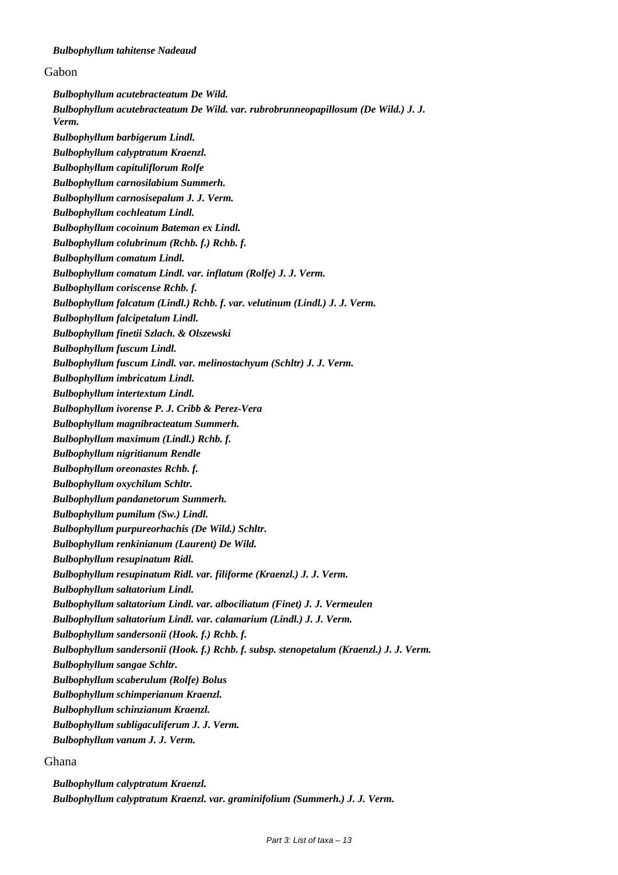#### *Bulbophyllum tahitense Nadeaud*

#### Gabon

*Bulbophyllum acutebracteatum De Wild. Bulbophyllum acutebracteatum De Wild. var. rubrobrunneopapillosum (De Wild.) J. J. Verm. Bulbophyllum barbigerum Lindl. Bulbophyllum calyptratum Kraenzl. Bulbophyllum capituliflorum Rolfe Bulbophyllum carnosilabium Summerh. Bulbophyllum carnosisepalum J. J. Verm. Bulbophyllum cochleatum Lindl. Bulbophyllum cocoinum Bateman ex Lindl. Bulbophyllum colubrinum (Rchb. f.) Rchb. f. Bulbophyllum comatum Lindl. Bulbophyllum comatum Lindl. var. inflatum (Rolfe) J. J. Verm. Bulbophyllum coriscense Rchb. f. Bulbophyllum falcatum (Lindl.) Rchb. f. var. velutinum (Lindl.) J. J. Verm. Bulbophyllum falcipetalum Lindl. Bulbophyllum finetii Szlach. & Olszewski Bulbophyllum fuscum Lindl. Bulbophyllum fuscum Lindl. var. melinostachyum (Schltr) J. J. Verm. Bulbophyllum imbricatum Lindl. Bulbophyllum intertextum Lindl. Bulbophyllum ivorense P. J. Cribb & Perez-Vera Bulbophyllum magnibracteatum Summerh. Bulbophyllum maximum (Lindl.) Rchb. f. Bulbophyllum nigritianum Rendle Bulbophyllum oreonastes Rchb. f. Bulbophyllum oxychilum Schltr. Bulbophyllum pandanetorum Summerh. Bulbophyllum pumilum (Sw.) Lindl. Bulbophyllum purpureorhachis (De Wild.) Schltr. Bulbophyllum renkinianum (Laurent) De Wild. Bulbophyllum resupinatum Ridl. Bulbophyllum resupinatum Ridl. var. filiforme (Kraenzl.) J. J. Verm. Bulbophyllum saltatorium Lindl. Bulbophyllum saltatorium Lindl. var. albociliatum (Finet) J. J. Vermeulen Bulbophyllum saltatorium Lindl. var. calamarium (Lindl.) J. J. Verm. Bulbophyllum sandersonii (Hook. f.) Rchb. f. Bulbophyllum sandersonii (Hook. f.) Rchb. f. subsp. stenopetalum (Kraenzl.) J. J. Verm. Bulbophyllum sangae Schltr. Bulbophyllum scaberulum (Rolfe) Bolus Bulbophyllum schimperianum Kraenzl. Bulbophyllum schinzianum Kraenzl. Bulbophyllum subligaculiferum J. J. Verm. Bulbophyllum vanum J. J. Verm.*

#### Ghana

*Bulbophyllum calyptratum Kraenzl. Bulbophyllum calyptratum Kraenzl. var. graminifolium (Summerh.) J. J. Verm.*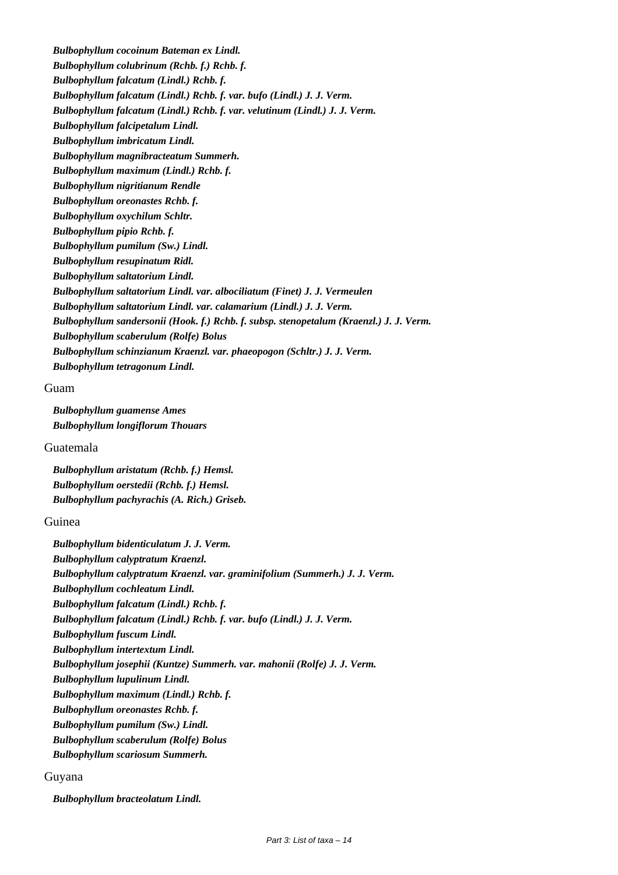*Bulbophyllum cocoinum Bateman ex Lindl. Bulbophyllum colubrinum (Rchb. f.) Rchb. f. Bulbophyllum falcatum (Lindl.) Rchb. f. Bulbophyllum falcatum (Lindl.) Rchb. f. var. bufo (Lindl.) J. J. Verm. Bulbophyllum falcatum (Lindl.) Rchb. f. var. velutinum (Lindl.) J. J. Verm. Bulbophyllum falcipetalum Lindl. Bulbophyllum imbricatum Lindl. Bulbophyllum magnibracteatum Summerh. Bulbophyllum maximum (Lindl.) Rchb. f. Bulbophyllum nigritianum Rendle Bulbophyllum oreonastes Rchb. f. Bulbophyllum oxychilum Schltr. Bulbophyllum pipio Rchb. f. Bulbophyllum pumilum (Sw.) Lindl. Bulbophyllum resupinatum Ridl. Bulbophyllum saltatorium Lindl. Bulbophyllum saltatorium Lindl. var. albociliatum (Finet) J. J. Vermeulen Bulbophyllum saltatorium Lindl. var. calamarium (Lindl.) J. J. Verm. Bulbophyllum sandersonii (Hook. f.) Rchb. f. subsp. stenopetalum (Kraenzl.) J. J. Verm. Bulbophyllum scaberulum (Rolfe) Bolus Bulbophyllum schinzianum Kraenzl. var. phaeopogon (Schltr.) J. J. Verm. Bulbophyllum tetragonum Lindl.*

#### Guam

*Bulbophyllum guamense Ames Bulbophyllum longiflorum Thouars*

Guatemala

*Bulbophyllum aristatum (Rchb. f.) Hemsl. Bulbophyllum oerstedii (Rchb. f.) Hemsl. Bulbophyllum pachyrachis (A. Rich.) Griseb.*

# Guinea

*Bulbophyllum bidenticulatum J. J. Verm. Bulbophyllum calyptratum Kraenzl. Bulbophyllum calyptratum Kraenzl. var. graminifolium (Summerh.) J. J. Verm. Bulbophyllum cochleatum Lindl. Bulbophyllum falcatum (Lindl.) Rchb. f. Bulbophyllum falcatum (Lindl.) Rchb. f. var. bufo (Lindl.) J. J. Verm. Bulbophyllum fuscum Lindl. Bulbophyllum intertextum Lindl. Bulbophyllum josephii (Kuntze) Summerh. var. mahonii (Rolfe) J. J. Verm. Bulbophyllum lupulinum Lindl. Bulbophyllum maximum (Lindl.) Rchb. f. Bulbophyllum oreonastes Rchb. f. Bulbophyllum pumilum (Sw.) Lindl. Bulbophyllum scaberulum (Rolfe) Bolus Bulbophyllum scariosum Summerh.*

# Guyana

*Bulbophyllum bracteolatum Lindl.*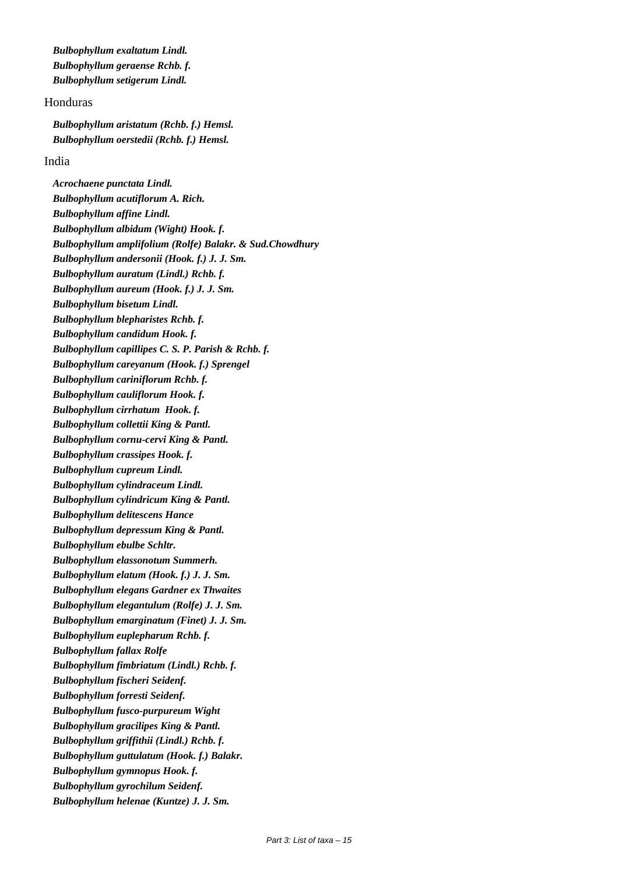*Bulbophyllum exaltatum Lindl. Bulbophyllum geraense Rchb. f. Bulbophyllum setigerum Lindl.*

# Honduras

*Bulbophyllum aristatum (Rchb. f.) Hemsl. Bulbophyllum oerstedii (Rchb. f.) Hemsl.*

# India

*Acrochaene punctata Lindl. Bulbophyllum acutiflorum A. Rich. Bulbophyllum affine Lindl. Bulbophyllum albidum (Wight) Hook. f. Bulbophyllum amplifolium (Rolfe) Balakr. & Sud.Chowdhury Bulbophyllum andersonii (Hook. f.) J. J. Sm. Bulbophyllum auratum (Lindl.) Rchb. f. Bulbophyllum aureum (Hook. f.) J. J. Sm. Bulbophyllum bisetum Lindl. Bulbophyllum blepharistes Rchb. f. Bulbophyllum candidum Hook. f. Bulbophyllum capillipes C. S. P. Parish & Rchb. f. Bulbophyllum careyanum (Hook. f.) Sprengel Bulbophyllum cariniflorum Rchb. f. Bulbophyllum cauliflorum Hook. f. Bulbophyllum cirrhatum Hook. f. Bulbophyllum collettii King & Pantl. Bulbophyllum cornu-cervi King & Pantl. Bulbophyllum crassipes Hook. f. Bulbophyllum cupreum Lindl. Bulbophyllum cylindraceum Lindl. Bulbophyllum cylindricum King & Pantl. Bulbophyllum delitescens Hance Bulbophyllum depressum King & Pantl. Bulbophyllum ebulbe Schltr. Bulbophyllum elassonotum Summerh. Bulbophyllum elatum (Hook. f.) J. J. Sm. Bulbophyllum elegans Gardner ex Thwaites Bulbophyllum elegantulum (Rolfe) J. J. Sm. Bulbophyllum emarginatum (Finet) J. J. Sm. Bulbophyllum euplepharum Rchb. f. Bulbophyllum fallax Rolfe Bulbophyllum fimbriatum (Lindl.) Rchb. f. Bulbophyllum fischeri Seidenf. Bulbophyllum forresti Seidenf. Bulbophyllum fusco-purpureum Wight Bulbophyllum gracilipes King & Pantl. Bulbophyllum griffithii (Lindl.) Rchb. f. Bulbophyllum guttulatum (Hook. f.) Balakr. Bulbophyllum gymnopus Hook. f. Bulbophyllum gyrochilum Seidenf. Bulbophyllum helenae (Kuntze) J. J. Sm.*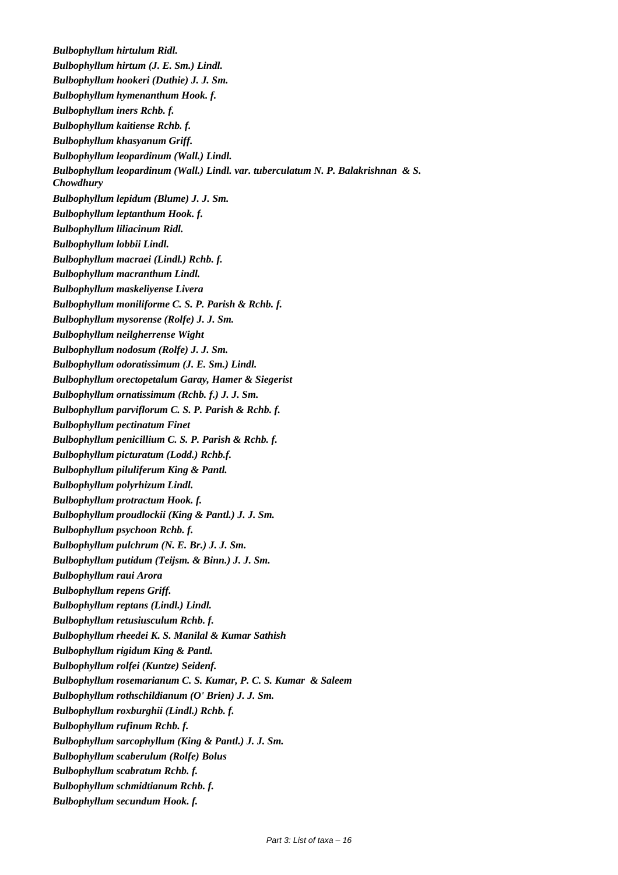*Bulbophyllum hirtulum Ridl. Bulbophyllum hirtum (J. E. Sm.) Lindl. Bulbophyllum hookeri (Duthie) J. J. Sm. Bulbophyllum hymenanthum Hook. f. Bulbophyllum iners Rchb. f. Bulbophyllum kaitiense Rchb. f. Bulbophyllum khasyanum Griff. Bulbophyllum leopardinum (Wall.) Lindl. Bulbophyllum leopardinum (Wall.) Lindl. var. tuberculatum N. P. Balakrishnan & S. Chowdhury Bulbophyllum lepidum (Blume) J. J. Sm. Bulbophyllum leptanthum Hook. f. Bulbophyllum liliacinum Ridl. Bulbophyllum lobbii Lindl. Bulbophyllum macraei (Lindl.) Rchb. f. Bulbophyllum macranthum Lindl. Bulbophyllum maskeliyense Livera Bulbophyllum moniliforme C. S. P. Parish & Rchb. f. Bulbophyllum mysorense (Rolfe) J. J. Sm. Bulbophyllum neilgherrense Wight Bulbophyllum nodosum (Rolfe) J. J. Sm. Bulbophyllum odoratissimum (J. E. Sm.) Lindl. Bulbophyllum orectopetalum Garay, Hamer & Siegerist Bulbophyllum ornatissimum (Rchb. f.) J. J. Sm. Bulbophyllum parviflorum C. S. P. Parish & Rchb. f. Bulbophyllum pectinatum Finet Bulbophyllum penicillium C. S. P. Parish & Rchb. f. Bulbophyllum picturatum (Lodd.) Rchb.f. Bulbophyllum piluliferum King & Pantl. Bulbophyllum polyrhizum Lindl. Bulbophyllum protractum Hook. f. Bulbophyllum proudlockii (King & Pantl.) J. J. Sm. Bulbophyllum psychoon Rchb. f. Bulbophyllum pulchrum (N. E. Br.) J. J. Sm. Bulbophyllum putidum (Teijsm. & Binn.) J. J. Sm. Bulbophyllum raui Arora Bulbophyllum repens Griff. Bulbophyllum reptans (Lindl.) Lindl. Bulbophyllum retusiusculum Rchb. f. Bulbophyllum rheedei K. S. Manilal & Kumar Sathish Bulbophyllum rigidum King & Pantl. Bulbophyllum rolfei (Kuntze) Seidenf. Bulbophyllum rosemarianum C. S. Kumar, P. C. S. Kumar & Saleem Bulbophyllum rothschildianum (O' Brien) J. J. Sm. Bulbophyllum roxburghii (Lindl.) Rchb. f. Bulbophyllum rufinum Rchb. f. Bulbophyllum sarcophyllum (King & Pantl.) J. J. Sm. Bulbophyllum scaberulum (Rolfe) Bolus Bulbophyllum scabratum Rchb. f. Bulbophyllum schmidtianum Rchb. f. Bulbophyllum secundum Hook. f.*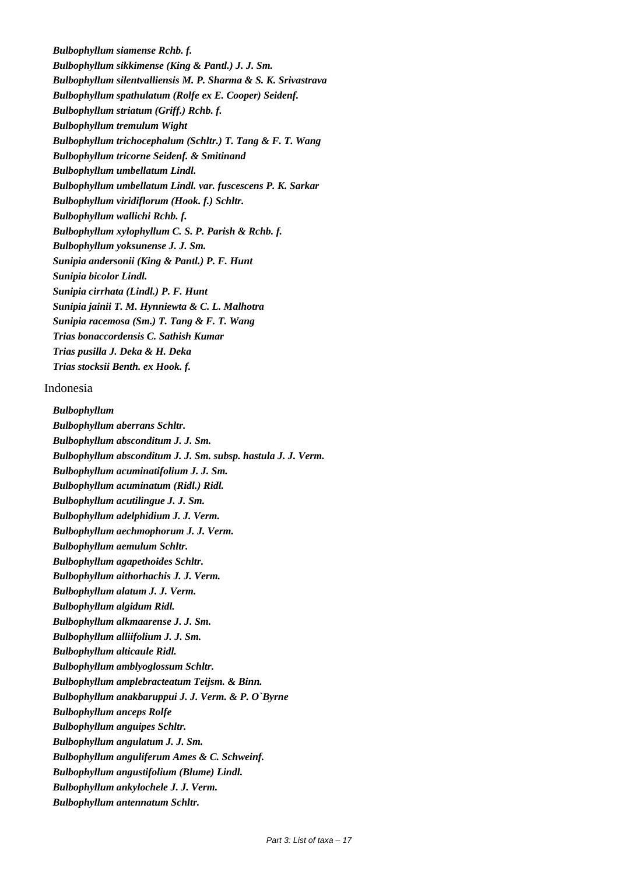*Bulbophyllum siamense Rchb. f. Bulbophyllum sikkimense (King & Pantl.) J. J. Sm. Bulbophyllum silentvalliensis M. P. Sharma & S. K. Srivastrava Bulbophyllum spathulatum (Rolfe ex E. Cooper) Seidenf. Bulbophyllum striatum (Griff.) Rchb. f. Bulbophyllum tremulum Wight Bulbophyllum trichocephalum (Schltr.) T. Tang & F. T. Wang Bulbophyllum tricorne Seidenf. & Smitinand Bulbophyllum umbellatum Lindl. Bulbophyllum umbellatum Lindl. var. fuscescens P. K. Sarkar Bulbophyllum viridiflorum (Hook. f.) Schltr. Bulbophyllum wallichi Rchb. f. Bulbophyllum xylophyllum C. S. P. Parish & Rchb. f. Bulbophyllum yoksunense J. J. Sm. Sunipia andersonii (King & Pantl.) P. F. Hunt Sunipia bicolor Lindl. Sunipia cirrhata (Lindl.) P. F. Hunt Sunipia jainii T. M. Hynniewta & C. L. Malhotra Sunipia racemosa (Sm.) T. Tang & F. T. Wang Trias bonaccordensis C. Sathish Kumar Trias pusilla J. Deka & H. Deka Trias stocksii Benth. ex Hook. f.*

# Indonesia

*Bulbophyllum Bulbophyllum aberrans Schltr. Bulbophyllum absconditum J. J. Sm. Bulbophyllum absconditum J. J. Sm. subsp. hastula J. J. Verm. Bulbophyllum acuminatifolium J. J. Sm. Bulbophyllum acuminatum (Ridl.) Ridl. Bulbophyllum acutilingue J. J. Sm. Bulbophyllum adelphidium J. J. Verm. Bulbophyllum aechmophorum J. J. Verm. Bulbophyllum aemulum Schltr. Bulbophyllum agapethoides Schltr. Bulbophyllum aithorhachis J. J. Verm. Bulbophyllum alatum J. J. Verm. Bulbophyllum algidum Ridl. Bulbophyllum alkmaarense J. J. Sm. Bulbophyllum alliifolium J. J. Sm. Bulbophyllum alticaule Ridl. Bulbophyllum amblyoglossum Schltr. Bulbophyllum amplebracteatum Teijsm. & Binn. Bulbophyllum anakbaruppui J. J. Verm. & P. O`Byrne Bulbophyllum anceps Rolfe Bulbophyllum anguipes Schltr. Bulbophyllum angulatum J. J. Sm. Bulbophyllum anguliferum Ames & C. Schweinf. Bulbophyllum angustifolium (Blume) Lindl. Bulbophyllum ankylochele J. J. Verm. Bulbophyllum antennatum Schltr.*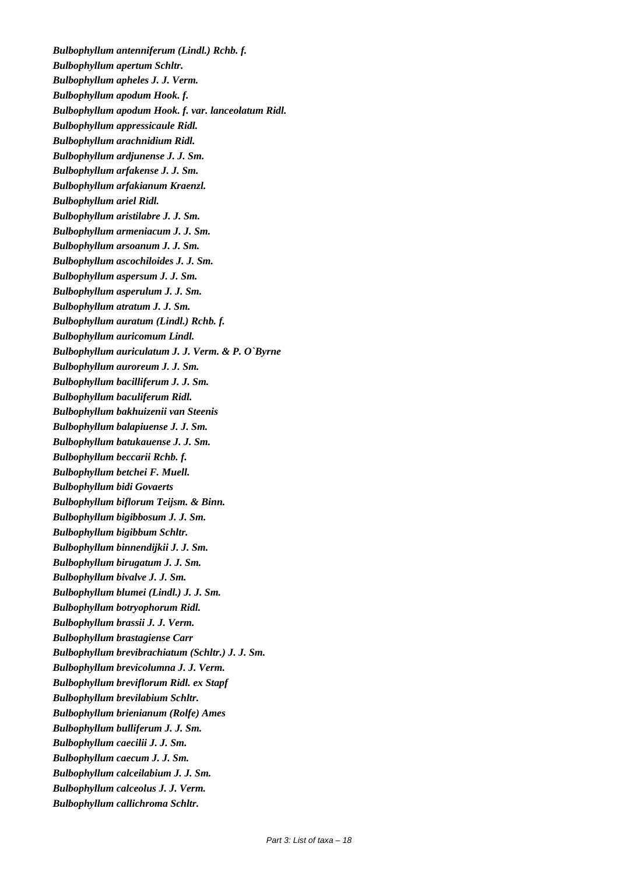*Bulbophyllum antenniferum (Lindl.) Rchb. f. Bulbophyllum apertum Schltr. Bulbophyllum apheles J. J. Verm. Bulbophyllum apodum Hook. f. Bulbophyllum apodum Hook. f. var. lanceolatum Ridl. Bulbophyllum appressicaule Ridl. Bulbophyllum arachnidium Ridl. Bulbophyllum ardjunense J. J. Sm. Bulbophyllum arfakense J. J. Sm. Bulbophyllum arfakianum Kraenzl. Bulbophyllum ariel Ridl. Bulbophyllum aristilabre J. J. Sm. Bulbophyllum armeniacum J. J. Sm. Bulbophyllum arsoanum J. J. Sm. Bulbophyllum ascochiloides J. J. Sm. Bulbophyllum aspersum J. J. Sm. Bulbophyllum asperulum J. J. Sm. Bulbophyllum atratum J. J. Sm. Bulbophyllum auratum (Lindl.) Rchb. f. Bulbophyllum auricomum Lindl. Bulbophyllum auriculatum J. J. Verm. & P. O`Byrne Bulbophyllum auroreum J. J. Sm. Bulbophyllum bacilliferum J. J. Sm. Bulbophyllum baculiferum Ridl. Bulbophyllum bakhuizenii van Steenis Bulbophyllum balapiuense J. J. Sm. Bulbophyllum batukauense J. J. Sm. Bulbophyllum beccarii Rchb. f. Bulbophyllum betchei F. Muell. Bulbophyllum bidi Govaerts Bulbophyllum biflorum Teijsm. & Binn. Bulbophyllum bigibbosum J. J. Sm. Bulbophyllum bigibbum Schltr. Bulbophyllum binnendijkii J. J. Sm. Bulbophyllum birugatum J. J. Sm. Bulbophyllum bivalve J. J. Sm. Bulbophyllum blumei (Lindl.) J. J. Sm. Bulbophyllum botryophorum Ridl. Bulbophyllum brassii J. J. Verm. Bulbophyllum brastagiense Carr Bulbophyllum brevibrachiatum (Schltr.) J. J. Sm. Bulbophyllum brevicolumna J. J. Verm. Bulbophyllum breviflorum Ridl. ex Stapf Bulbophyllum brevilabium Schltr. Bulbophyllum brienianum (Rolfe) Ames Bulbophyllum bulliferum J. J. Sm. Bulbophyllum caecilii J. J. Sm. Bulbophyllum caecum J. J. Sm. Bulbophyllum calceilabium J. J. Sm. Bulbophyllum calceolus J. J. Verm. Bulbophyllum callichroma Schltr.*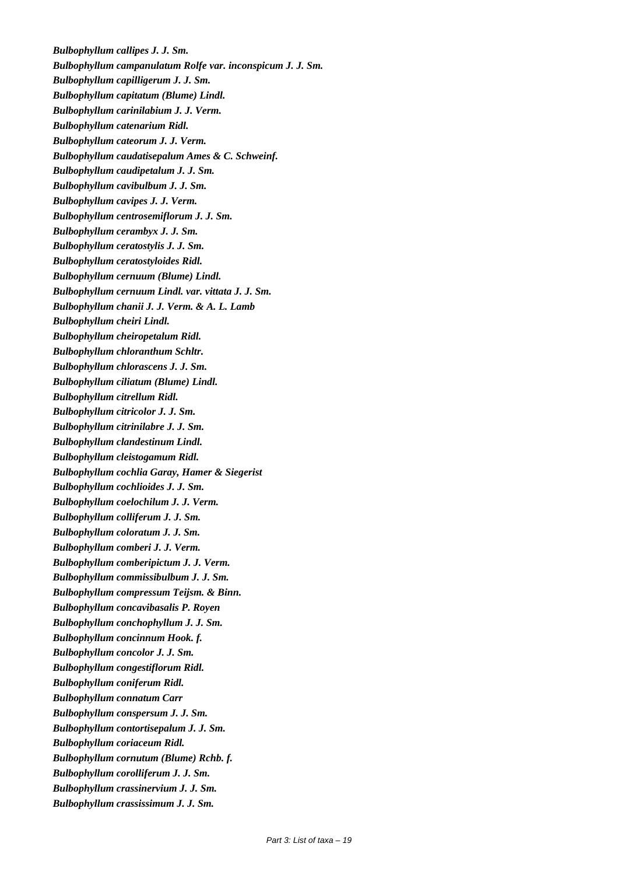*Bulbophyllum callipes J. J. Sm. Bulbophyllum campanulatum Rolfe var. inconspicum J. J. Sm. Bulbophyllum capilligerum J. J. Sm. Bulbophyllum capitatum (Blume) Lindl. Bulbophyllum carinilabium J. J. Verm. Bulbophyllum catenarium Ridl. Bulbophyllum cateorum J. J. Verm. Bulbophyllum caudatisepalum Ames & C. Schweinf. Bulbophyllum caudipetalum J. J. Sm. Bulbophyllum cavibulbum J. J. Sm. Bulbophyllum cavipes J. J. Verm. Bulbophyllum centrosemiflorum J. J. Sm. Bulbophyllum cerambyx J. J. Sm. Bulbophyllum ceratostylis J. J. Sm. Bulbophyllum ceratostyloides Ridl. Bulbophyllum cernuum (Blume) Lindl. Bulbophyllum cernuum Lindl. var. vittata J. J. Sm. Bulbophyllum chanii J. J. Verm. & A. L. Lamb Bulbophyllum cheiri Lindl. Bulbophyllum cheiropetalum Ridl. Bulbophyllum chloranthum Schltr. Bulbophyllum chlorascens J. J. Sm. Bulbophyllum ciliatum (Blume) Lindl. Bulbophyllum citrellum Ridl. Bulbophyllum citricolor J. J. Sm. Bulbophyllum citrinilabre J. J. Sm. Bulbophyllum clandestinum Lindl. Bulbophyllum cleistogamum Ridl. Bulbophyllum cochlia Garay, Hamer & Siegerist Bulbophyllum cochlioides J. J. Sm. Bulbophyllum coelochilum J. J. Verm. Bulbophyllum colliferum J. J. Sm. Bulbophyllum coloratum J. J. Sm. Bulbophyllum comberi J. J. Verm. Bulbophyllum comberipictum J. J. Verm. Bulbophyllum commissibulbum J. J. Sm. Bulbophyllum compressum Teijsm. & Binn. Bulbophyllum concavibasalis P. Royen Bulbophyllum conchophyllum J. J. Sm. Bulbophyllum concinnum Hook. f. Bulbophyllum concolor J. J. Sm. Bulbophyllum congestiflorum Ridl. Bulbophyllum coniferum Ridl. Bulbophyllum connatum Carr Bulbophyllum conspersum J. J. Sm. Bulbophyllum contortisepalum J. J. Sm. Bulbophyllum coriaceum Ridl. Bulbophyllum cornutum (Blume) Rchb. f. Bulbophyllum corolliferum J. J. Sm. Bulbophyllum crassinervium J. J. Sm. Bulbophyllum crassissimum J. J. Sm.*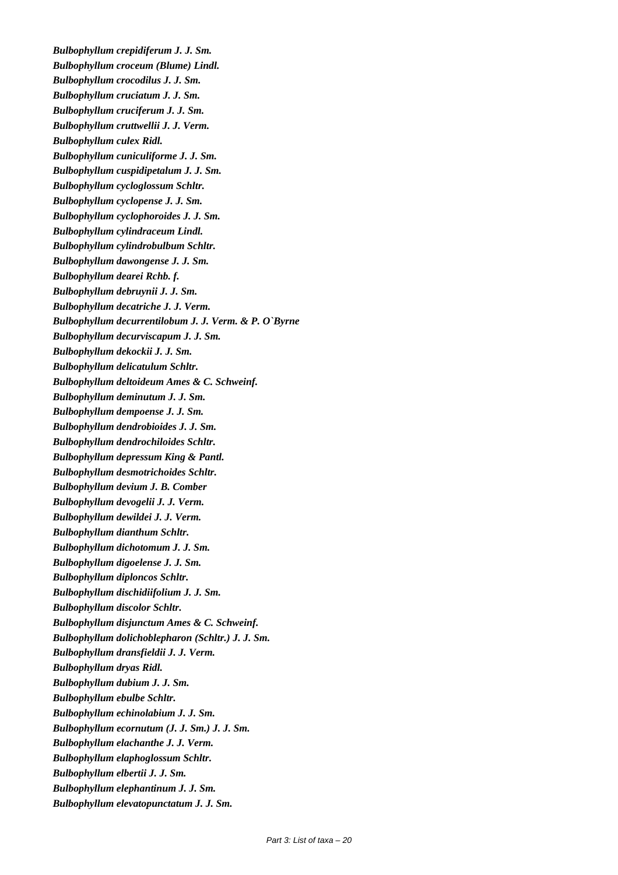*Bulbophyllum crepidiferum J. J. Sm. Bulbophyllum croceum (Blume) Lindl. Bulbophyllum crocodilus J. J. Sm. Bulbophyllum cruciatum J. J. Sm. Bulbophyllum cruciferum J. J. Sm. Bulbophyllum cruttwellii J. J. Verm. Bulbophyllum culex Ridl. Bulbophyllum cuniculiforme J. J. Sm. Bulbophyllum cuspidipetalum J. J. Sm. Bulbophyllum cycloglossum Schltr. Bulbophyllum cyclopense J. J. Sm. Bulbophyllum cyclophoroides J. J. Sm. Bulbophyllum cylindraceum Lindl. Bulbophyllum cylindrobulbum Schltr. Bulbophyllum dawongense J. J. Sm. Bulbophyllum dearei Rchb. f. Bulbophyllum debruynii J. J. Sm. Bulbophyllum decatriche J. J. Verm. Bulbophyllum decurrentilobum J. J. Verm. & P. O`Byrne Bulbophyllum decurviscapum J. J. Sm. Bulbophyllum dekockii J. J. Sm. Bulbophyllum delicatulum Schltr. Bulbophyllum deltoideum Ames & C. Schweinf. Bulbophyllum deminutum J. J. Sm. Bulbophyllum dempoense J. J. Sm. Bulbophyllum dendrobioides J. J. Sm. Bulbophyllum dendrochiloides Schltr. Bulbophyllum depressum King & Pantl. Bulbophyllum desmotrichoides Schltr. Bulbophyllum devium J. B. Comber Bulbophyllum devogelii J. J. Verm. Bulbophyllum dewildei J. J. Verm. Bulbophyllum dianthum Schltr. Bulbophyllum dichotomum J. J. Sm. Bulbophyllum digoelense J. J. Sm. Bulbophyllum diploncos Schltr. Bulbophyllum dischidiifolium J. J. Sm. Bulbophyllum discolor Schltr. Bulbophyllum disjunctum Ames & C. Schweinf. Bulbophyllum dolichoblepharon (Schltr.) J. J. Sm. Bulbophyllum dransfieldii J. J. Verm. Bulbophyllum dryas Ridl. Bulbophyllum dubium J. J. Sm. Bulbophyllum ebulbe Schltr. Bulbophyllum echinolabium J. J. Sm. Bulbophyllum ecornutum (J. J. Sm.) J. J. Sm. Bulbophyllum elachanthe J. J. Verm. Bulbophyllum elaphoglossum Schltr. Bulbophyllum elbertii J. J. Sm. Bulbophyllum elephantinum J. J. Sm. Bulbophyllum elevatopunctatum J. J. Sm.*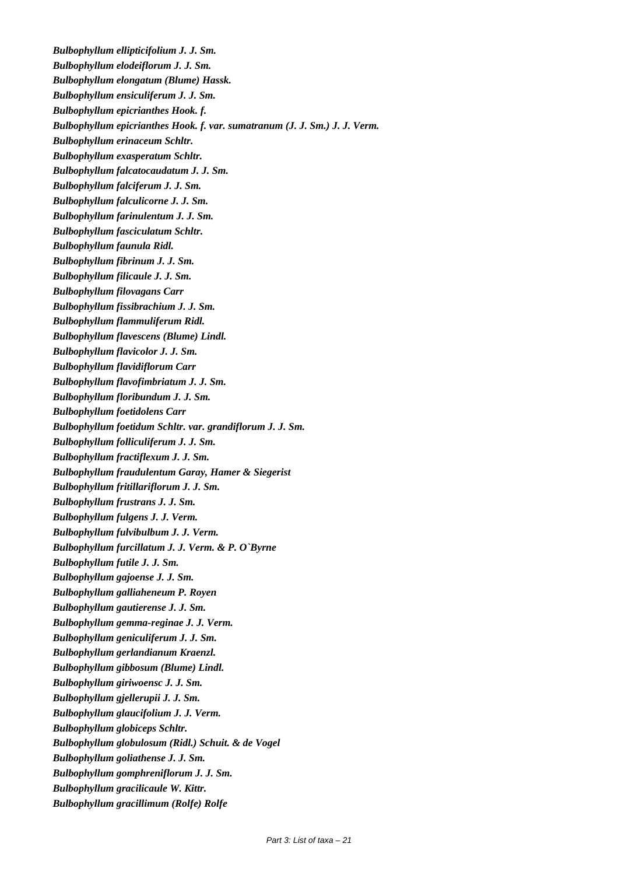*Bulbophyllum ellipticifolium J. J. Sm. Bulbophyllum elodeiflorum J. J. Sm. Bulbophyllum elongatum (Blume) Hassk. Bulbophyllum ensiculiferum J. J. Sm. Bulbophyllum epicrianthes Hook. f. Bulbophyllum epicrianthes Hook. f. var. sumatranum (J. J. Sm.) J. J. Verm. Bulbophyllum erinaceum Schltr. Bulbophyllum exasperatum Schltr. Bulbophyllum falcatocaudatum J. J. Sm. Bulbophyllum falciferum J. J. Sm. Bulbophyllum falculicorne J. J. Sm. Bulbophyllum farinulentum J. J. Sm. Bulbophyllum fasciculatum Schltr. Bulbophyllum faunula Ridl. Bulbophyllum fibrinum J. J. Sm. Bulbophyllum filicaule J. J. Sm. Bulbophyllum filovagans Carr Bulbophyllum fissibrachium J. J. Sm. Bulbophyllum flammuliferum Ridl. Bulbophyllum flavescens (Blume) Lindl. Bulbophyllum flavicolor J. J. Sm. Bulbophyllum flavidiflorum Carr Bulbophyllum flavofimbriatum J. J. Sm. Bulbophyllum floribundum J. J. Sm. Bulbophyllum foetidolens Carr Bulbophyllum foetidum Schltr. var. grandiflorum J. J. Sm. Bulbophyllum folliculiferum J. J. Sm. Bulbophyllum fractiflexum J. J. Sm. Bulbophyllum fraudulentum Garay, Hamer & Siegerist Bulbophyllum fritillariflorum J. J. Sm. Bulbophyllum frustrans J. J. Sm. Bulbophyllum fulgens J. J. Verm. Bulbophyllum fulvibulbum J. J. Verm. Bulbophyllum furcillatum J. J. Verm. & P. O`Byrne Bulbophyllum futile J. J. Sm. Bulbophyllum gajoense J. J. Sm. Bulbophyllum galliaheneum P. Royen Bulbophyllum gautierense J. J. Sm. Bulbophyllum gemma-reginae J. J. Verm. Bulbophyllum geniculiferum J. J. Sm. Bulbophyllum gerlandianum Kraenzl. Bulbophyllum gibbosum (Blume) Lindl. Bulbophyllum giriwoensc J. J. Sm. Bulbophyllum gjellerupii J. J. Sm. Bulbophyllum glaucifolium J. J. Verm. Bulbophyllum globiceps Schltr. Bulbophyllum globulosum (Ridl.) Schuit. & de Vogel Bulbophyllum goliathense J. J. Sm. Bulbophyllum gomphreniflorum J. J. Sm. Bulbophyllum gracilicaule W. Kittr. Bulbophyllum gracillimum (Rolfe) Rolfe*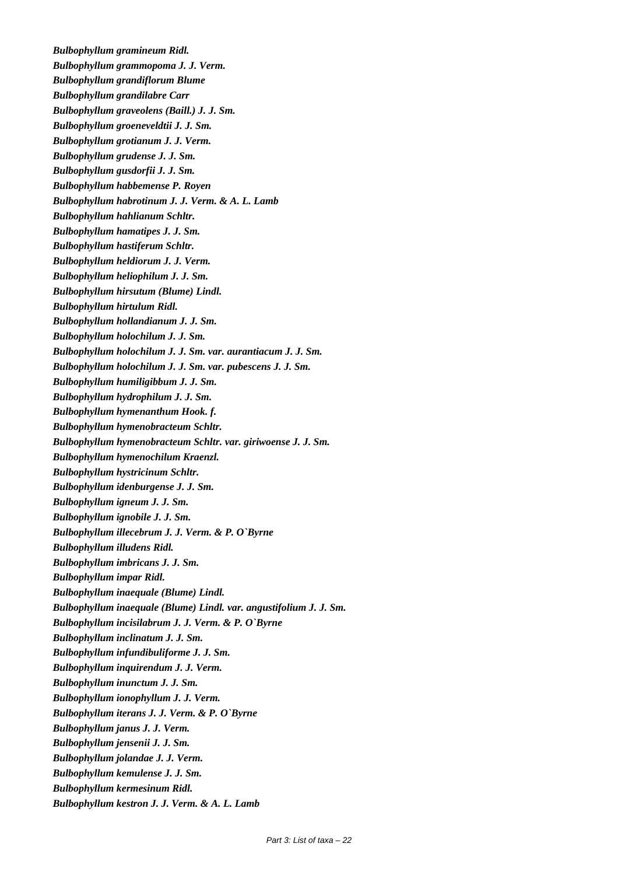*Bulbophyllum gramineum Ridl. Bulbophyllum grammopoma J. J. Verm. Bulbophyllum grandiflorum Blume Bulbophyllum grandilabre Carr Bulbophyllum graveolens (Baill.) J. J. Sm. Bulbophyllum groeneveldtii J. J. Sm. Bulbophyllum grotianum J. J. Verm. Bulbophyllum grudense J. J. Sm. Bulbophyllum gusdorfii J. J. Sm. Bulbophyllum habbemense P. Royen Bulbophyllum habrotinum J. J. Verm. & A. L. Lamb Bulbophyllum hahlianum Schltr. Bulbophyllum hamatipes J. J. Sm. Bulbophyllum hastiferum Schltr. Bulbophyllum heldiorum J. J. Verm. Bulbophyllum heliophilum J. J. Sm. Bulbophyllum hirsutum (Blume) Lindl. Bulbophyllum hirtulum Ridl. Bulbophyllum hollandianum J. J. Sm. Bulbophyllum holochilum J. J. Sm. Bulbophyllum holochilum J. J. Sm. var. aurantiacum J. J. Sm. Bulbophyllum holochilum J. J. Sm. var. pubescens J. J. Sm. Bulbophyllum humiligibbum J. J. Sm. Bulbophyllum hydrophilum J. J. Sm. Bulbophyllum hymenanthum Hook. f. Bulbophyllum hymenobracteum Schltr. Bulbophyllum hymenobracteum Schltr. var. giriwoense J. J. Sm. Bulbophyllum hymenochilum Kraenzl. Bulbophyllum hystricinum Schltr. Bulbophyllum idenburgense J. J. Sm. Bulbophyllum igneum J. J. Sm. Bulbophyllum ignobile J. J. Sm. Bulbophyllum illecebrum J. J. Verm. & P. O`Byrne Bulbophyllum illudens Ridl. Bulbophyllum imbricans J. J. Sm. Bulbophyllum impar Ridl. Bulbophyllum inaequale (Blume) Lindl. Bulbophyllum inaequale (Blume) Lindl. var. angustifolium J. J. Sm. Bulbophyllum incisilabrum J. J. Verm. & P. O`Byrne Bulbophyllum inclinatum J. J. Sm. Bulbophyllum infundibuliforme J. J. Sm. Bulbophyllum inquirendum J. J. Verm. Bulbophyllum inunctum J. J. Sm. Bulbophyllum ionophyllum J. J. Verm. Bulbophyllum iterans J. J. Verm. & P. O`Byrne Bulbophyllum janus J. J. Verm. Bulbophyllum jensenii J. J. Sm. Bulbophyllum jolandae J. J. Verm. Bulbophyllum kemulense J. J. Sm. Bulbophyllum kermesinum Ridl. Bulbophyllum kestron J. J. Verm. & A. L. Lamb*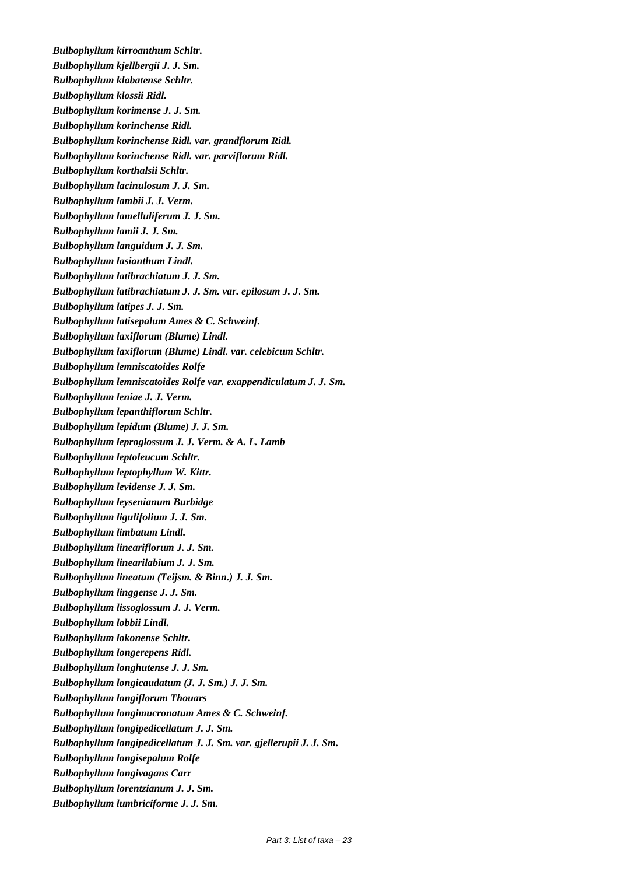*Bulbophyllum kirroanthum Schltr. Bulbophyllum kjellbergii J. J. Sm. Bulbophyllum klabatense Schltr. Bulbophyllum klossii Ridl. Bulbophyllum korimense J. J. Sm. Bulbophyllum korinchense Ridl. Bulbophyllum korinchense Ridl. var. grandflorum Ridl. Bulbophyllum korinchense Ridl. var. parviflorum Ridl. Bulbophyllum korthalsii Schltr. Bulbophyllum lacinulosum J. J. Sm. Bulbophyllum lambii J. J. Verm. Bulbophyllum lamelluliferum J. J. Sm. Bulbophyllum lamii J. J. Sm. Bulbophyllum languidum J. J. Sm. Bulbophyllum lasianthum Lindl. Bulbophyllum latibrachiatum J. J. Sm. Bulbophyllum latibrachiatum J. J. Sm. var. epilosum J. J. Sm. Bulbophyllum latipes J. J. Sm. Bulbophyllum latisepalum Ames & C. Schweinf. Bulbophyllum laxiflorum (Blume) Lindl. Bulbophyllum laxiflorum (Blume) Lindl. var. celebicum Schltr. Bulbophyllum lemniscatoides Rolfe Bulbophyllum lemniscatoides Rolfe var. exappendiculatum J. J. Sm. Bulbophyllum leniae J. J. Verm. Bulbophyllum lepanthiflorum Schltr. Bulbophyllum lepidum (Blume) J. J. Sm. Bulbophyllum leproglossum J. J. Verm. & A. L. Lamb Bulbophyllum leptoleucum Schltr. Bulbophyllum leptophyllum W. Kittr. Bulbophyllum levidense J. J. Sm. Bulbophyllum leysenianum Burbidge Bulbophyllum ligulifolium J. J. Sm. Bulbophyllum limbatum Lindl. Bulbophyllum lineariflorum J. J. Sm. Bulbophyllum linearilabium J. J. Sm. Bulbophyllum lineatum (Teijsm. & Binn.) J. J. Sm. Bulbophyllum linggense J. J. Sm. Bulbophyllum lissoglossum J. J. Verm. Bulbophyllum lobbii Lindl. Bulbophyllum lokonense Schltr. Bulbophyllum longerepens Ridl. Bulbophyllum longhutense J. J. Sm. Bulbophyllum longicaudatum (J. J. Sm.) J. J. Sm. Bulbophyllum longiflorum Thouars Bulbophyllum longimucronatum Ames & C. Schweinf. Bulbophyllum longipedicellatum J. J. Sm. Bulbophyllum longipedicellatum J. J. Sm. var. gjellerupii J. J. Sm. Bulbophyllum longisepalum Rolfe Bulbophyllum longivagans Carr Bulbophyllum lorentzianum J. J. Sm. Bulbophyllum lumbriciforme J. J. Sm.*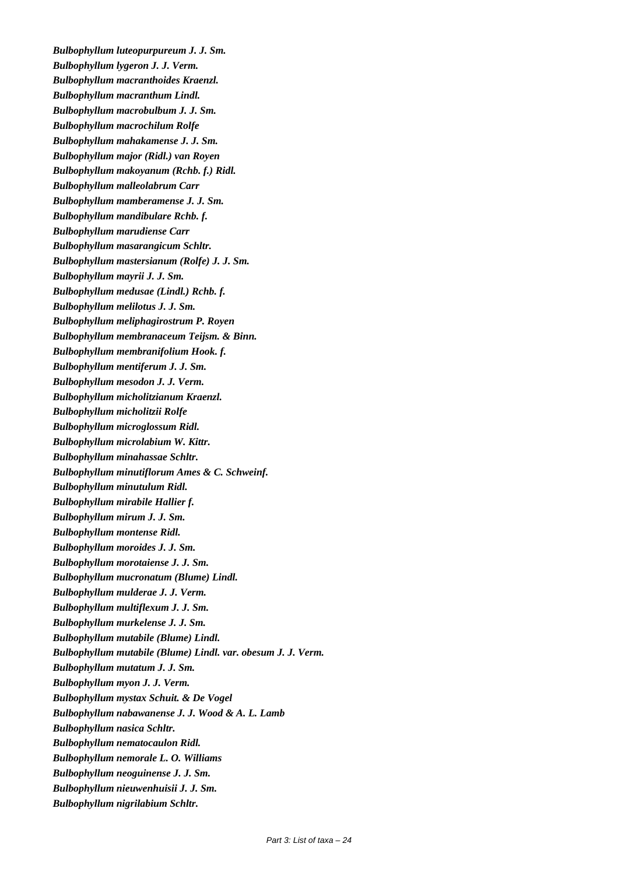*Bulbophyllum luteopurpureum J. J. Sm. Bulbophyllum lygeron J. J. Verm. Bulbophyllum macranthoides Kraenzl. Bulbophyllum macranthum Lindl. Bulbophyllum macrobulbum J. J. Sm. Bulbophyllum macrochilum Rolfe Bulbophyllum mahakamense J. J. Sm. Bulbophyllum major (Ridl.) van Royen Bulbophyllum makoyanum (Rchb. f.) Ridl. Bulbophyllum malleolabrum Carr Bulbophyllum mamberamense J. J. Sm. Bulbophyllum mandibulare Rchb. f. Bulbophyllum marudiense Carr Bulbophyllum masarangicum Schltr. Bulbophyllum mastersianum (Rolfe) J. J. Sm. Bulbophyllum mayrii J. J. Sm. Bulbophyllum medusae (Lindl.) Rchb. f. Bulbophyllum melilotus J. J. Sm. Bulbophyllum meliphagirostrum P. Royen Bulbophyllum membranaceum Teijsm. & Binn. Bulbophyllum membranifolium Hook. f. Bulbophyllum mentiferum J. J. Sm. Bulbophyllum mesodon J. J. Verm. Bulbophyllum micholitzianum Kraenzl. Bulbophyllum micholitzii Rolfe Bulbophyllum microglossum Ridl. Bulbophyllum microlabium W. Kittr. Bulbophyllum minahassae Schltr. Bulbophyllum minutiflorum Ames & C. Schweinf. Bulbophyllum minutulum Ridl. Bulbophyllum mirabile Hallier f. Bulbophyllum mirum J. J. Sm. Bulbophyllum montense Ridl. Bulbophyllum moroides J. J. Sm. Bulbophyllum morotaiense J. J. Sm. Bulbophyllum mucronatum (Blume) Lindl. Bulbophyllum mulderae J. J. Verm. Bulbophyllum multiflexum J. J. Sm. Bulbophyllum murkelense J. J. Sm. Bulbophyllum mutabile (Blume) Lindl. Bulbophyllum mutabile (Blume) Lindl. var. obesum J. J. Verm. Bulbophyllum mutatum J. J. Sm. Bulbophyllum myon J. J. Verm. Bulbophyllum mystax Schuit. & De Vogel Bulbophyllum nabawanense J. J. Wood & A. L. Lamb Bulbophyllum nasica Schltr. Bulbophyllum nematocaulon Ridl. Bulbophyllum nemorale L. O. Williams Bulbophyllum neoguinense J. J. Sm. Bulbophyllum nieuwenhuisii J. J. Sm. Bulbophyllum nigrilabium Schltr.*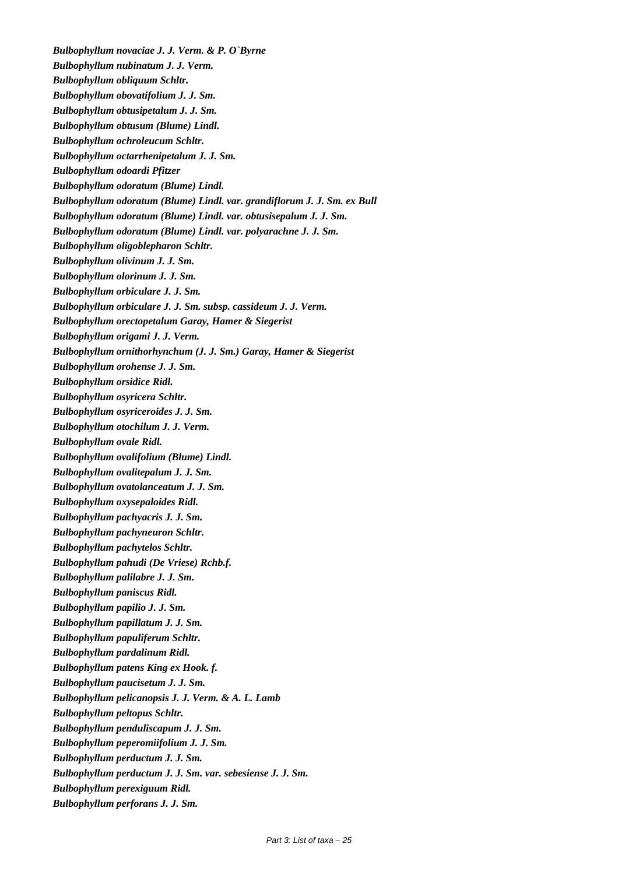*Bulbophyllum novaciae J. J. Verm. & P. O`Byrne Bulbophyllum nubinatum J. J. Verm. Bulbophyllum obliquum Schltr. Bulbophyllum obovatifolium J. J. Sm. Bulbophyllum obtusipetalum J. J. Sm. Bulbophyllum obtusum (Blume) Lindl. Bulbophyllum ochroleucum Schltr. Bulbophyllum octarrhenipetalum J. J. Sm. Bulbophyllum odoardi Pfitzer Bulbophyllum odoratum (Blume) Lindl. Bulbophyllum odoratum (Blume) Lindl. var. grandiflorum J. J. Sm. ex Bull Bulbophyllum odoratum (Blume) Lindl. var. obtusisepalum J. J. Sm. Bulbophyllum odoratum (Blume) Lindl. var. polyarachne J. J. Sm. Bulbophyllum oligoblepharon Schltr. Bulbophyllum olivinum J. J. Sm. Bulbophyllum olorinum J. J. Sm. Bulbophyllum orbiculare J. J. Sm. Bulbophyllum orbiculare J. J. Sm. subsp. cassideum J. J. Verm. Bulbophyllum orectopetalum Garay, Hamer & Siegerist Bulbophyllum origami J. J. Verm. Bulbophyllum ornithorhynchum (J. J. Sm.) Garay, Hamer & Siegerist Bulbophyllum orohense J. J. Sm. Bulbophyllum orsidice Ridl. Bulbophyllum osyricera Schltr. Bulbophyllum osyriceroides J. J. Sm. Bulbophyllum otochilum J. J. Verm. Bulbophyllum ovale Ridl. Bulbophyllum ovalifolium (Blume) Lindl. Bulbophyllum ovalitepalum J. J. Sm. Bulbophyllum ovatolanceatum J. J. Sm. Bulbophyllum oxysepaloides Ridl. Bulbophyllum pachyacris J. J. Sm. Bulbophyllum pachyneuron Schltr. Bulbophyllum pachytelos Schltr. Bulbophyllum pahudi (De Vriese) Rchb.f. Bulbophyllum palilabre J. J. Sm. Bulbophyllum paniscus Ridl. Bulbophyllum papilio J. J. Sm. Bulbophyllum papillatum J. J. Sm. Bulbophyllum papuliferum Schltr. Bulbophyllum pardalinum Ridl. Bulbophyllum patens King ex Hook. f. Bulbophyllum paucisetum J. J. Sm. Bulbophyllum pelicanopsis J. J. Verm. & A. L. Lamb Bulbophyllum peltopus Schltr. Bulbophyllum penduliscapum J. J. Sm. Bulbophyllum peperomiifolium J. J. Sm. Bulbophyllum perductum J. J. Sm. Bulbophyllum perductum J. J. Sm. var. sebesiense J. J. Sm. Bulbophyllum perexiguum Ridl. Bulbophyllum perforans J. J. Sm.*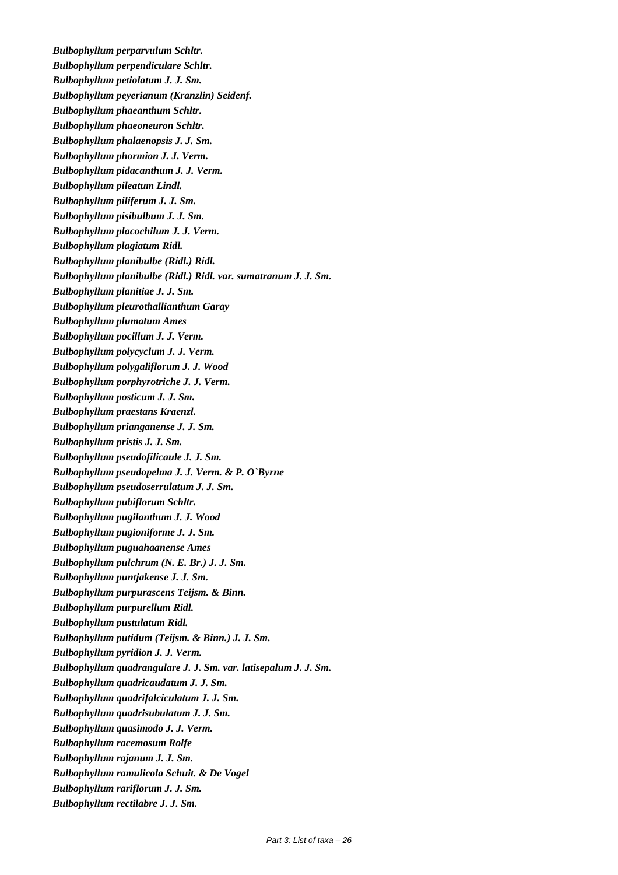*Bulbophyllum perparvulum Schltr. Bulbophyllum perpendiculare Schltr. Bulbophyllum petiolatum J. J. Sm. Bulbophyllum peyerianum (Kranzlin) Seidenf. Bulbophyllum phaeanthum Schltr. Bulbophyllum phaeoneuron Schltr. Bulbophyllum phalaenopsis J. J. Sm. Bulbophyllum phormion J. J. Verm. Bulbophyllum pidacanthum J. J. Verm. Bulbophyllum pileatum Lindl. Bulbophyllum piliferum J. J. Sm. Bulbophyllum pisibulbum J. J. Sm. Bulbophyllum placochilum J. J. Verm. Bulbophyllum plagiatum Ridl. Bulbophyllum planibulbe (Ridl.) Ridl. Bulbophyllum planibulbe (Ridl.) Ridl. var. sumatranum J. J. Sm. Bulbophyllum planitiae J. J. Sm. Bulbophyllum pleurothallianthum Garay Bulbophyllum plumatum Ames Bulbophyllum pocillum J. J. Verm. Bulbophyllum polycyclum J. J. Verm. Bulbophyllum polygaliflorum J. J. Wood Bulbophyllum porphyrotriche J. J. Verm. Bulbophyllum posticum J. J. Sm. Bulbophyllum praestans Kraenzl. Bulbophyllum prianganense J. J. Sm. Bulbophyllum pristis J. J. Sm. Bulbophyllum pseudofilicaule J. J. Sm. Bulbophyllum pseudopelma J. J. Verm. & P. O`Byrne Bulbophyllum pseudoserrulatum J. J. Sm. Bulbophyllum pubiflorum Schltr. Bulbophyllum pugilanthum J. J. Wood Bulbophyllum pugioniforme J. J. Sm. Bulbophyllum puguahaanense Ames Bulbophyllum pulchrum (N. E. Br.) J. J. Sm. Bulbophyllum puntjakense J. J. Sm. Bulbophyllum purpurascens Teijsm. & Binn. Bulbophyllum purpurellum Ridl. Bulbophyllum pustulatum Ridl. Bulbophyllum putidum (Teijsm. & Binn.) J. J. Sm. Bulbophyllum pyridion J. J. Verm. Bulbophyllum quadrangulare J. J. Sm. var. latisepalum J. J. Sm. Bulbophyllum quadricaudatum J. J. Sm. Bulbophyllum quadrifalciculatum J. J. Sm. Bulbophyllum quadrisubulatum J. J. Sm. Bulbophyllum quasimodo J. J. Verm. Bulbophyllum racemosum Rolfe Bulbophyllum rajanum J. J. Sm. Bulbophyllum ramulicola Schuit. & De Vogel Bulbophyllum rariflorum J. J. Sm. Bulbophyllum rectilabre J. J. Sm.*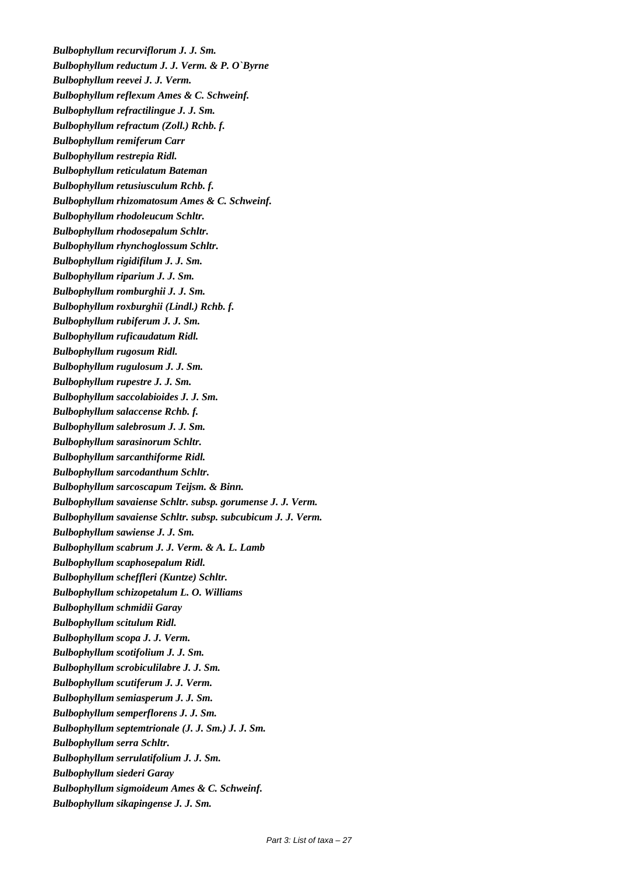*Bulbophyllum recurviflorum J. J. Sm. Bulbophyllum reductum J. J. Verm. & P. O`Byrne Bulbophyllum reevei J. J. Verm. Bulbophyllum reflexum Ames & C. Schweinf. Bulbophyllum refractilingue J. J. Sm. Bulbophyllum refractum (Zoll.) Rchb. f. Bulbophyllum remiferum Carr Bulbophyllum restrepia Ridl. Bulbophyllum reticulatum Bateman Bulbophyllum retusiusculum Rchb. f. Bulbophyllum rhizomatosum Ames & C. Schweinf. Bulbophyllum rhodoleucum Schltr. Bulbophyllum rhodosepalum Schltr. Bulbophyllum rhynchoglossum Schltr. Bulbophyllum rigidifilum J. J. Sm. Bulbophyllum riparium J. J. Sm. Bulbophyllum romburghii J. J. Sm. Bulbophyllum roxburghii (Lindl.) Rchb. f. Bulbophyllum rubiferum J. J. Sm. Bulbophyllum ruficaudatum Ridl. Bulbophyllum rugosum Ridl. Bulbophyllum rugulosum J. J. Sm. Bulbophyllum rupestre J. J. Sm. Bulbophyllum saccolabioides J. J. Sm. Bulbophyllum salaccense Rchb. f. Bulbophyllum salebrosum J. J. Sm. Bulbophyllum sarasinorum Schltr. Bulbophyllum sarcanthiforme Ridl. Bulbophyllum sarcodanthum Schltr. Bulbophyllum sarcoscapum Teijsm. & Binn. Bulbophyllum savaiense Schltr. subsp. gorumense J. J. Verm. Bulbophyllum savaiense Schltr. subsp. subcubicum J. J. Verm. Bulbophyllum sawiense J. J. Sm. Bulbophyllum scabrum J. J. Verm. & A. L. Lamb Bulbophyllum scaphosepalum Ridl. Bulbophyllum scheffleri (Kuntze) Schltr. Bulbophyllum schizopetalum L. O. Williams Bulbophyllum schmidii Garay Bulbophyllum scitulum Ridl. Bulbophyllum scopa J. J. Verm. Bulbophyllum scotifolium J. J. Sm. Bulbophyllum scrobiculilabre J. J. Sm. Bulbophyllum scutiferum J. J. Verm. Bulbophyllum semiasperum J. J. Sm. Bulbophyllum semperflorens J. J. Sm. Bulbophyllum septemtrionale (J. J. Sm.) J. J. Sm. Bulbophyllum serra Schltr. Bulbophyllum serrulatifolium J. J. Sm. Bulbophyllum siederi Garay Bulbophyllum sigmoideum Ames & C. Schweinf. Bulbophyllum sikapingense J. J. Sm.*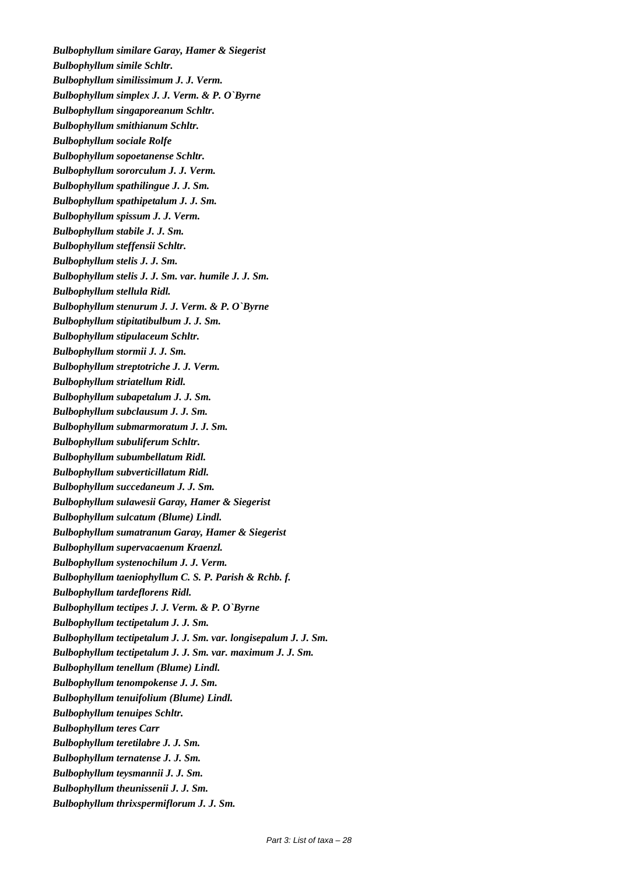*Bulbophyllum similare Garay, Hamer & Siegerist Bulbophyllum simile Schltr. Bulbophyllum similissimum J. J. Verm. Bulbophyllum simplex J. J. Verm. & P. O`Byrne Bulbophyllum singaporeanum Schltr. Bulbophyllum smithianum Schltr. Bulbophyllum sociale Rolfe Bulbophyllum sopoetanense Schltr. Bulbophyllum sororculum J. J. Verm. Bulbophyllum spathilingue J. J. Sm. Bulbophyllum spathipetalum J. J. Sm. Bulbophyllum spissum J. J. Verm. Bulbophyllum stabile J. J. Sm. Bulbophyllum steffensii Schltr. Bulbophyllum stelis J. J. Sm. Bulbophyllum stelis J. J. Sm. var. humile J. J. Sm. Bulbophyllum stellula Ridl. Bulbophyllum stenurum J. J. Verm. & P. O`Byrne Bulbophyllum stipitatibulbum J. J. Sm. Bulbophyllum stipulaceum Schltr. Bulbophyllum stormii J. J. Sm. Bulbophyllum streptotriche J. J. Verm. Bulbophyllum striatellum Ridl. Bulbophyllum subapetalum J. J. Sm. Bulbophyllum subclausum J. J. Sm. Bulbophyllum submarmoratum J. J. Sm. Bulbophyllum subuliferum Schltr. Bulbophyllum subumbellatum Ridl. Bulbophyllum subverticillatum Ridl. Bulbophyllum succedaneum J. J. Sm. Bulbophyllum sulawesii Garay, Hamer & Siegerist Bulbophyllum sulcatum (Blume) Lindl. Bulbophyllum sumatranum Garay, Hamer & Siegerist Bulbophyllum supervacaenum Kraenzl. Bulbophyllum systenochilum J. J. Verm. Bulbophyllum taeniophyllum C. S. P. Parish & Rchb. f. Bulbophyllum tardeflorens Ridl. Bulbophyllum tectipes J. J. Verm. & P. O`Byrne Bulbophyllum tectipetalum J. J. Sm. Bulbophyllum tectipetalum J. J. Sm. var. longisepalum J. J. Sm. Bulbophyllum tectipetalum J. J. Sm. var. maximum J. J. Sm. Bulbophyllum tenellum (Blume) Lindl. Bulbophyllum tenompokense J. J. Sm. Bulbophyllum tenuifolium (Blume) Lindl. Bulbophyllum tenuipes Schltr. Bulbophyllum teres Carr Bulbophyllum teretilabre J. J. Sm. Bulbophyllum ternatense J. J. Sm. Bulbophyllum teysmannii J. J. Sm. Bulbophyllum theunissenii J. J. Sm. Bulbophyllum thrixspermiflorum J. J. Sm.*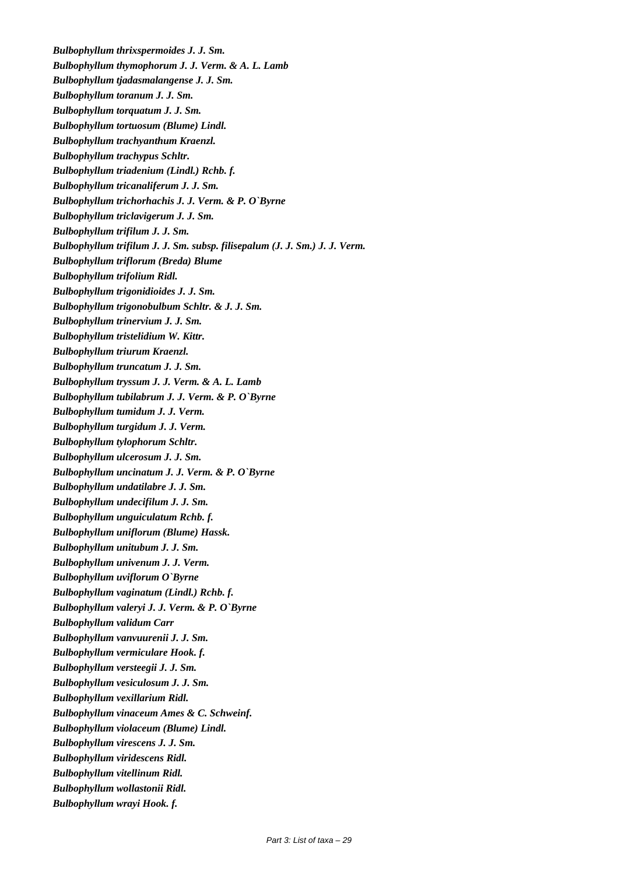*Bulbophyllum thrixspermoides J. J. Sm. Bulbophyllum thymophorum J. J. Verm. & A. L. Lamb Bulbophyllum tjadasmalangense J. J. Sm. Bulbophyllum toranum J. J. Sm. Bulbophyllum torquatum J. J. Sm. Bulbophyllum tortuosum (Blume) Lindl. Bulbophyllum trachyanthum Kraenzl. Bulbophyllum trachypus Schltr. Bulbophyllum triadenium (Lindl.) Rchb. f. Bulbophyllum tricanaliferum J. J. Sm. Bulbophyllum trichorhachis J. J. Verm. & P. O`Byrne Bulbophyllum triclavigerum J. J. Sm. Bulbophyllum trifilum J. J. Sm. Bulbophyllum trifilum J. J. Sm. subsp. filisepalum (J. J. Sm.) J. J. Verm. Bulbophyllum triflorum (Breda) Blume Bulbophyllum trifolium Ridl. Bulbophyllum trigonidioides J. J. Sm. Bulbophyllum trigonobulbum Schltr. & J. J. Sm. Bulbophyllum trinervium J. J. Sm. Bulbophyllum tristelidium W. Kittr. Bulbophyllum triurum Kraenzl. Bulbophyllum truncatum J. J. Sm. Bulbophyllum tryssum J. J. Verm. & A. L. Lamb Bulbophyllum tubilabrum J. J. Verm. & P. O`Byrne Bulbophyllum tumidum J. J. Verm. Bulbophyllum turgidum J. J. Verm. Bulbophyllum tylophorum Schltr. Bulbophyllum ulcerosum J. J. Sm. Bulbophyllum uncinatum J. J. Verm. & P. O`Byrne Bulbophyllum undatilabre J. J. Sm. Bulbophyllum undecifilum J. J. Sm. Bulbophyllum unguiculatum Rchb. f. Bulbophyllum uniflorum (Blume) Hassk. Bulbophyllum unitubum J. J. Sm. Bulbophyllum univenum J. J. Verm. Bulbophyllum uviflorum O`Byrne Bulbophyllum vaginatum (Lindl.) Rchb. f. Bulbophyllum valeryi J. J. Verm. & P. O`Byrne Bulbophyllum validum Carr Bulbophyllum vanvuurenii J. J. Sm. Bulbophyllum vermiculare Hook. f. Bulbophyllum versteegii J. J. Sm. Bulbophyllum vesiculosum J. J. Sm. Bulbophyllum vexillarium Ridl. Bulbophyllum vinaceum Ames & C. Schweinf. Bulbophyllum violaceum (Blume) Lindl. Bulbophyllum virescens J. J. Sm. Bulbophyllum viridescens Ridl. Bulbophyllum vitellinum Ridl. Bulbophyllum wollastonii Ridl. Bulbophyllum wrayi Hook. f.*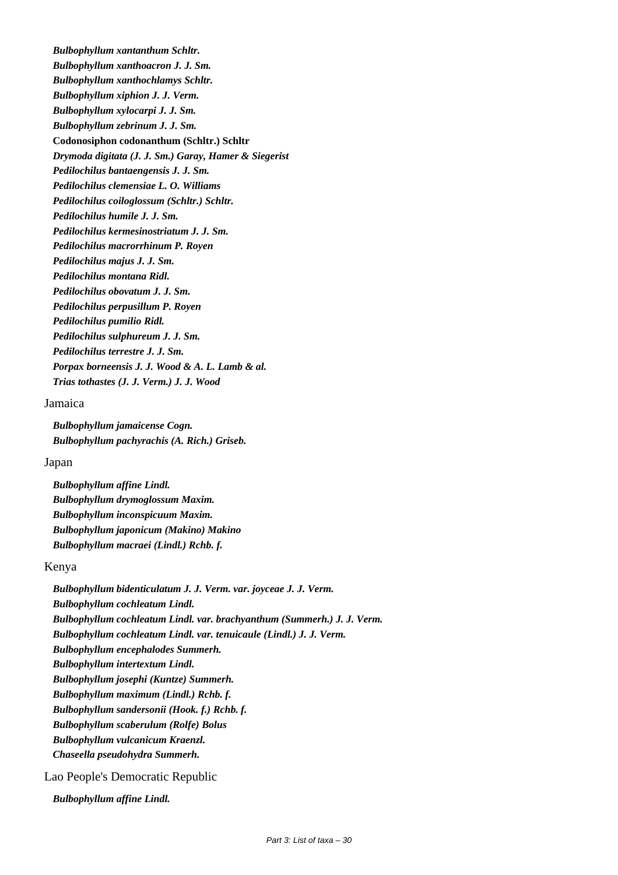*Bulbophyllum xantanthum Schltr. Bulbophyllum xanthoacron J. J. Sm. Bulbophyllum xanthochlamys Schltr. Bulbophyllum xiphion J. J. Verm. Bulbophyllum xylocarpi J. J. Sm. Bulbophyllum zebrinum J. J. Sm.*  **Codonosiphon codonanthum (Schltr.) Schltr** *Drymoda digitata (J. J. Sm.) Garay, Hamer & Siegerist Pedilochilus bantaengensis J. J. Sm. Pedilochilus clemensiae L. O. Williams Pedilochilus coiloglossum (Schltr.) Schltr. Pedilochilus humile J. J. Sm. Pedilochilus kermesinostriatum J. J. Sm. Pedilochilus macrorrhinum P. Royen Pedilochilus majus J. J. Sm. Pedilochilus montana Ridl. Pedilochilus obovatum J. J. Sm. Pedilochilus perpusillum P. Royen Pedilochilus pumilio Ridl. Pedilochilus sulphureum J. J. Sm. Pedilochilus terrestre J. J. Sm. Porpax borneensis J. J. Wood & A. L. Lamb & al. Trias tothastes (J. J. Verm.) J. J. Wood*

# Jamaica

*Bulbophyllum jamaicense Cogn. Bulbophyllum pachyrachis (A. Rich.) Griseb.*

# Japan

*Bulbophyllum affine Lindl. Bulbophyllum drymoglossum Maxim. Bulbophyllum inconspicuum Maxim. Bulbophyllum japonicum (Makino) Makino Bulbophyllum macraei (Lindl.) Rchb. f.*

#### Kenya

*Bulbophyllum bidenticulatum J. J. Verm. var. joyceae J. J. Verm. Bulbophyllum cochleatum Lindl. Bulbophyllum cochleatum Lindl. var. brachyanthum (Summerh.) J. J. Verm. Bulbophyllum cochleatum Lindl. var. tenuicaule (Lindl.) J. J. Verm. Bulbophyllum encephalodes Summerh. Bulbophyllum intertextum Lindl. Bulbophyllum josephi (Kuntze) Summerh. Bulbophyllum maximum (Lindl.) Rchb. f. Bulbophyllum sandersonii (Hook. f.) Rchb. f. Bulbophyllum scaberulum (Rolfe) Bolus Bulbophyllum vulcanicum Kraenzl. Chaseella pseudohydra Summerh.*

# Lao People's Democratic Republic

*Bulbophyllum affine Lindl.*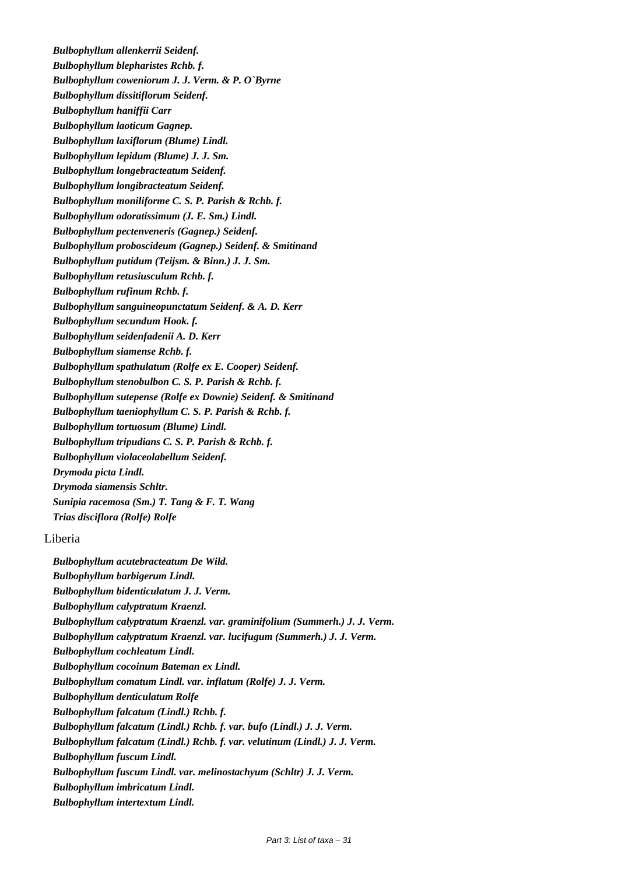*Bulbophyllum allenkerrii Seidenf. Bulbophyllum blepharistes Rchb. f. Bulbophyllum coweniorum J. J. Verm. & P. O`Byrne Bulbophyllum dissitiflorum Seidenf. Bulbophyllum haniffii Carr Bulbophyllum laoticum Gagnep. Bulbophyllum laxiflorum (Blume) Lindl. Bulbophyllum lepidum (Blume) J. J. Sm. Bulbophyllum longebracteatum Seidenf. Bulbophyllum longibracteatum Seidenf. Bulbophyllum moniliforme C. S. P. Parish & Rchb. f. Bulbophyllum odoratissimum (J. E. Sm.) Lindl. Bulbophyllum pectenveneris (Gagnep.) Seidenf. Bulbophyllum proboscideum (Gagnep.) Seidenf. & Smitinand Bulbophyllum putidum (Teijsm. & Binn.) J. J. Sm. Bulbophyllum retusiusculum Rchb. f. Bulbophyllum rufinum Rchb. f. Bulbophyllum sanguineopunctatum Seidenf. & A. D. Kerr Bulbophyllum secundum Hook. f. Bulbophyllum seidenfadenii A. D. Kerr Bulbophyllum siamense Rchb. f. Bulbophyllum spathulatum (Rolfe ex E. Cooper) Seidenf. Bulbophyllum stenobulbon C. S. P. Parish & Rchb. f. Bulbophyllum sutepense (Rolfe ex Downie) Seidenf. & Smitinand Bulbophyllum taeniophyllum C. S. P. Parish & Rchb. f. Bulbophyllum tortuosum (Blume) Lindl. Bulbophyllum tripudians C. S. P. Parish & Rchb. f. Bulbophyllum violaceolabellum Seidenf. Drymoda picta Lindl. Drymoda siamensis Schltr. Sunipia racemosa (Sm.) T. Tang & F. T. Wang Trias disciflora (Rolfe) Rolfe*

# Liberia

*Bulbophyllum acutebracteatum De Wild. Bulbophyllum barbigerum Lindl. Bulbophyllum bidenticulatum J. J. Verm. Bulbophyllum calyptratum Kraenzl. Bulbophyllum calyptratum Kraenzl. var. graminifolium (Summerh.) J. J. Verm. Bulbophyllum calyptratum Kraenzl. var. lucifugum (Summerh.) J. J. Verm. Bulbophyllum cochleatum Lindl. Bulbophyllum cocoinum Bateman ex Lindl. Bulbophyllum comatum Lindl. var. inflatum (Rolfe) J. J. Verm. Bulbophyllum denticulatum Rolfe Bulbophyllum falcatum (Lindl.) Rchb. f. Bulbophyllum falcatum (Lindl.) Rchb. f. var. bufo (Lindl.) J. J. Verm. Bulbophyllum falcatum (Lindl.) Rchb. f. var. velutinum (Lindl.) J. J. Verm. Bulbophyllum fuscum Lindl. Bulbophyllum fuscum Lindl. var. melinostachyum (Schltr) J. J. Verm. Bulbophyllum imbricatum Lindl. Bulbophyllum intertextum Lindl.*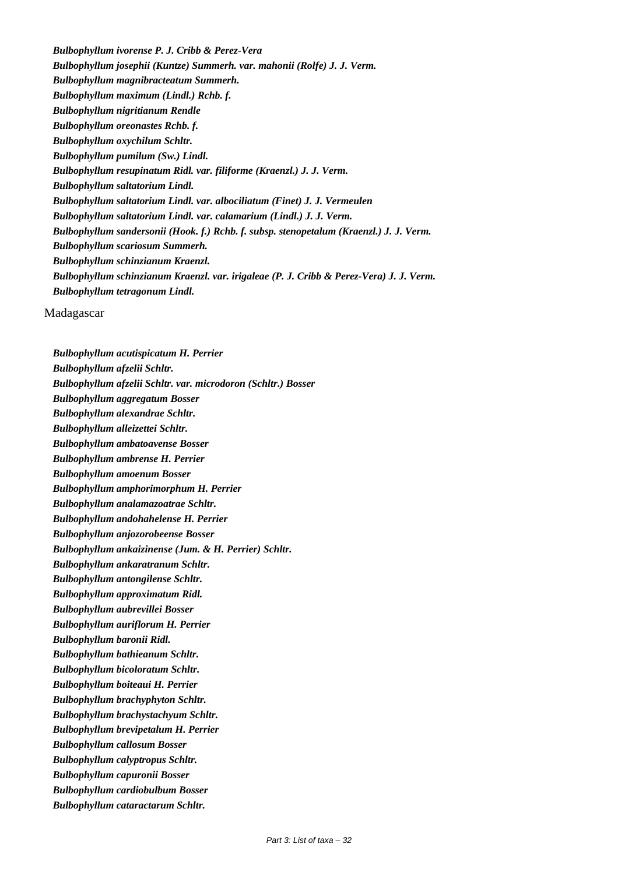*Bulbophyllum ivorense P. J. Cribb & Perez-Vera Bulbophyllum josephii (Kuntze) Summerh. var. mahonii (Rolfe) J. J. Verm. Bulbophyllum magnibracteatum Summerh. Bulbophyllum maximum (Lindl.) Rchb. f. Bulbophyllum nigritianum Rendle Bulbophyllum oreonastes Rchb. f. Bulbophyllum oxychilum Schltr. Bulbophyllum pumilum (Sw.) Lindl. Bulbophyllum resupinatum Ridl. var. filiforme (Kraenzl.) J. J. Verm. Bulbophyllum saltatorium Lindl. Bulbophyllum saltatorium Lindl. var. albociliatum (Finet) J. J. Vermeulen Bulbophyllum saltatorium Lindl. var. calamarium (Lindl.) J. J. Verm. Bulbophyllum sandersonii (Hook. f.) Rchb. f. subsp. stenopetalum (Kraenzl.) J. J. Verm. Bulbophyllum scariosum Summerh. Bulbophyllum schinzianum Kraenzl. Bulbophyllum schinzianum Kraenzl. var. irigaleae (P. J. Cribb & Perez-Vera) J. J. Verm. Bulbophyllum tetragonum Lindl.*

Madagascar

*Bulbophyllum acutispicatum H. Perrier Bulbophyllum afzelii Schltr. Bulbophyllum afzelii Schltr. var. microdoron (Schltr.) Bosser Bulbophyllum aggregatum Bosser Bulbophyllum alexandrae Schltr. Bulbophyllum alleizettei Schltr. Bulbophyllum ambatoavense Bosser Bulbophyllum ambrense H. Perrier Bulbophyllum amoenum Bosser Bulbophyllum amphorimorphum H. Perrier Bulbophyllum analamazoatrae Schltr. Bulbophyllum andohahelense H. Perrier Bulbophyllum anjozorobeense Bosser Bulbophyllum ankaizinense (Jum. & H. Perrier) Schltr. Bulbophyllum ankaratranum Schltr. Bulbophyllum antongilense Schltr. Bulbophyllum approximatum Ridl. Bulbophyllum aubrevillei Bosser Bulbophyllum auriflorum H. Perrier Bulbophyllum baronii Ridl. Bulbophyllum bathieanum Schltr. Bulbophyllum bicoloratum Schltr. Bulbophyllum boiteaui H. Perrier Bulbophyllum brachyphyton Schltr. Bulbophyllum brachystachyum Schltr. Bulbophyllum brevipetalum H. Perrier Bulbophyllum callosum Bosser Bulbophyllum calyptropus Schltr. Bulbophyllum capuronii Bosser Bulbophyllum cardiobulbum Bosser Bulbophyllum cataractarum Schltr.*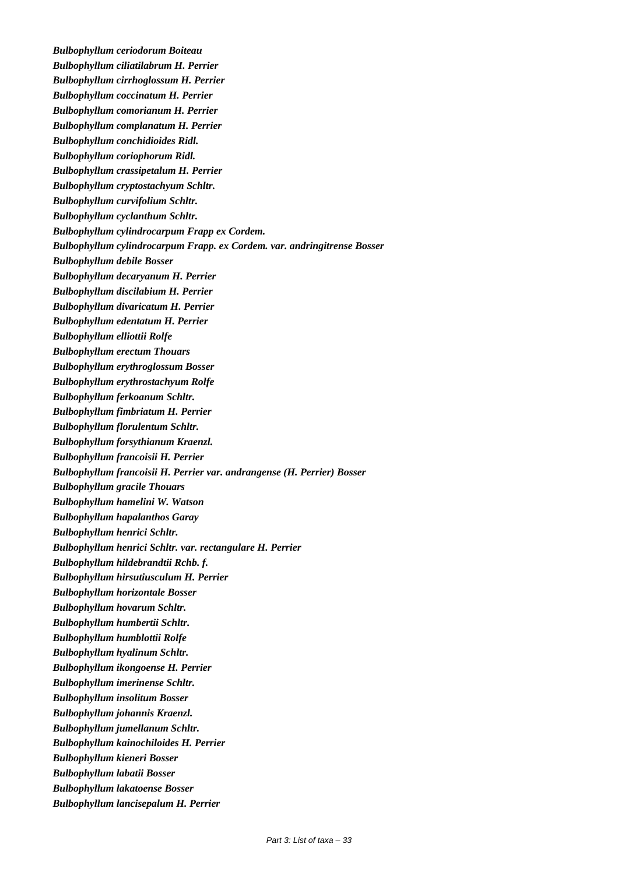*Bulbophyllum ceriodorum Boiteau Bulbophyllum ciliatilabrum H. Perrier Bulbophyllum cirrhoglossum H. Perrier Bulbophyllum coccinatum H. Perrier Bulbophyllum comorianum H. Perrier Bulbophyllum complanatum H. Perrier Bulbophyllum conchidioides Ridl. Bulbophyllum coriophorum Ridl. Bulbophyllum crassipetalum H. Perrier Bulbophyllum cryptostachyum Schltr. Bulbophyllum curvifolium Schltr. Bulbophyllum cyclanthum Schltr. Bulbophyllum cylindrocarpum Frapp ex Cordem. Bulbophyllum cylindrocarpum Frapp. ex Cordem. var. andringitrense Bosser Bulbophyllum debile Bosser Bulbophyllum decaryanum H. Perrier Bulbophyllum discilabium H. Perrier Bulbophyllum divaricatum H. Perrier Bulbophyllum edentatum H. Perrier Bulbophyllum elliottii Rolfe Bulbophyllum erectum Thouars Bulbophyllum erythroglossum Bosser Bulbophyllum erythrostachyum Rolfe Bulbophyllum ferkoanum Schltr. Bulbophyllum fimbriatum H. Perrier Bulbophyllum florulentum Schltr. Bulbophyllum forsythianum Kraenzl. Bulbophyllum francoisii H. Perrier Bulbophyllum francoisii H. Perrier var. andrangense (H. Perrier) Bosser Bulbophyllum gracile Thouars Bulbophyllum hamelini W. Watson Bulbophyllum hapalanthos Garay Bulbophyllum henrici Schltr. Bulbophyllum henrici Schltr. var. rectangulare H. Perrier Bulbophyllum hildebrandtii Rchb. f. Bulbophyllum hirsutiusculum H. Perrier Bulbophyllum horizontale Bosser Bulbophyllum hovarum Schltr. Bulbophyllum humbertii Schltr. Bulbophyllum humblottii Rolfe Bulbophyllum hyalinum Schltr. Bulbophyllum ikongoense H. Perrier Bulbophyllum imerinense Schltr. Bulbophyllum insolitum Bosser Bulbophyllum johannis Kraenzl. Bulbophyllum jumellanum Schltr. Bulbophyllum kainochiloides H. Perrier Bulbophyllum kieneri Bosser Bulbophyllum labatii Bosser Bulbophyllum lakatoense Bosser Bulbophyllum lancisepalum H. Perrier*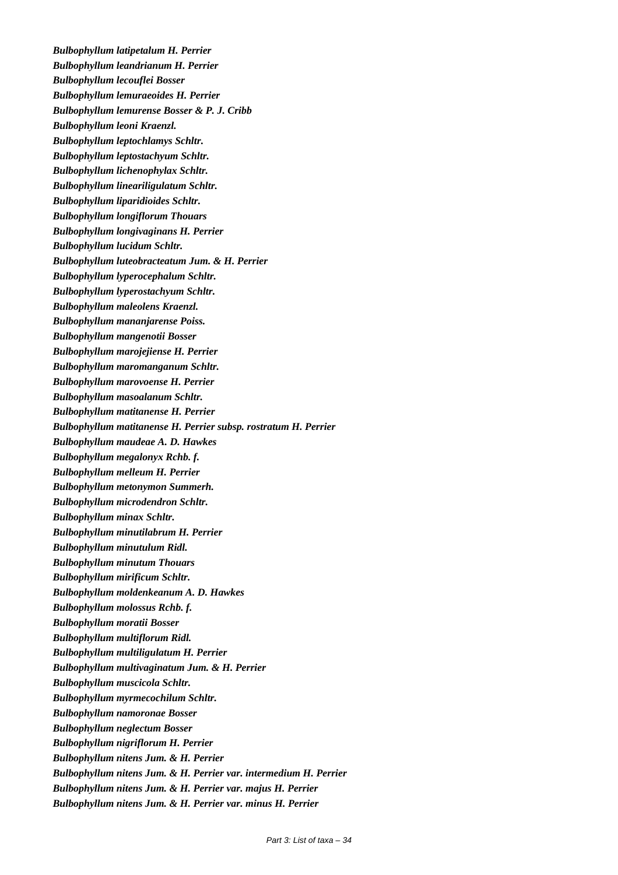*Bulbophyllum latipetalum H. Perrier Bulbophyllum leandrianum H. Perrier Bulbophyllum lecouflei Bosser Bulbophyllum lemuraeoides H. Perrier Bulbophyllum lemurense Bosser & P. J. Cribb Bulbophyllum leoni Kraenzl. Bulbophyllum leptochlamys Schltr. Bulbophyllum leptostachyum Schltr. Bulbophyllum lichenophylax Schltr. Bulbophyllum lineariligulatum Schltr. Bulbophyllum liparidioides Schltr. Bulbophyllum longiflorum Thouars Bulbophyllum longivaginans H. Perrier Bulbophyllum lucidum Schltr. Bulbophyllum luteobracteatum Jum. & H. Perrier Bulbophyllum lyperocephalum Schltr. Bulbophyllum lyperostachyum Schltr. Bulbophyllum maleolens Kraenzl. Bulbophyllum mananjarense Poiss. Bulbophyllum mangenotii Bosser Bulbophyllum marojejiense H. Perrier Bulbophyllum maromanganum Schltr. Bulbophyllum marovoense H. Perrier Bulbophyllum masoalanum Schltr. Bulbophyllum matitanense H. Perrier Bulbophyllum matitanense H. Perrier subsp. rostratum H. Perrier Bulbophyllum maudeae A. D. Hawkes Bulbophyllum megalonyx Rchb. f. Bulbophyllum melleum H. Perrier Bulbophyllum metonymon Summerh. Bulbophyllum microdendron Schltr. Bulbophyllum minax Schltr. Bulbophyllum minutilabrum H. Perrier Bulbophyllum minutulum Ridl. Bulbophyllum minutum Thouars Bulbophyllum mirificum Schltr. Bulbophyllum moldenkeanum A. D. Hawkes Bulbophyllum molossus Rchb. f. Bulbophyllum moratii Bosser Bulbophyllum multiflorum Ridl. Bulbophyllum multiligulatum H. Perrier Bulbophyllum multivaginatum Jum. & H. Perrier Bulbophyllum muscicola Schltr. Bulbophyllum myrmecochilum Schltr. Bulbophyllum namoronae Bosser Bulbophyllum neglectum Bosser Bulbophyllum nigriflorum H. Perrier Bulbophyllum nitens Jum. & H. Perrier Bulbophyllum nitens Jum. & H. Perrier var. intermedium H. Perrier Bulbophyllum nitens Jum. & H. Perrier var. majus H. Perrier Bulbophyllum nitens Jum. & H. Perrier var. minus H. Perrier*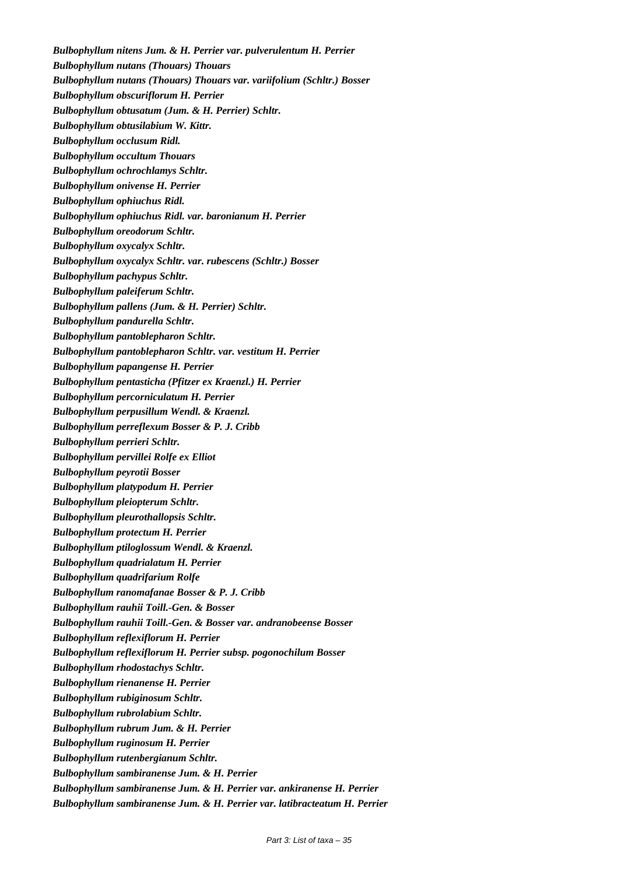*Bulbophyllum nitens Jum. & H. Perrier var. pulverulentum H. Perrier Bulbophyllum nutans (Thouars) Thouars Bulbophyllum nutans (Thouars) Thouars var. variifolium (Schltr.) Bosser Bulbophyllum obscuriflorum H. Perrier Bulbophyllum obtusatum (Jum. & H. Perrier) Schltr. Bulbophyllum obtusilabium W. Kittr. Bulbophyllum occlusum Ridl. Bulbophyllum occultum Thouars Bulbophyllum ochrochlamys Schltr. Bulbophyllum onivense H. Perrier Bulbophyllum ophiuchus Ridl. Bulbophyllum ophiuchus Ridl. var. baronianum H. Perrier Bulbophyllum oreodorum Schltr. Bulbophyllum oxycalyx Schltr. Bulbophyllum oxycalyx Schltr. var. rubescens (Schltr.) Bosser Bulbophyllum pachypus Schltr. Bulbophyllum paleiferum Schltr. Bulbophyllum pallens (Jum. & H. Perrier) Schltr. Bulbophyllum pandurella Schltr. Bulbophyllum pantoblepharon Schltr. Bulbophyllum pantoblepharon Schltr. var. vestitum H. Perrier Bulbophyllum papangense H. Perrier Bulbophyllum pentasticha (Pfitzer ex Kraenzl.) H. Perrier Bulbophyllum percorniculatum H. Perrier Bulbophyllum perpusillum Wendl. & Kraenzl. Bulbophyllum perreflexum Bosser & P. J. Cribb Bulbophyllum perrieri Schltr. Bulbophyllum pervillei Rolfe ex Elliot Bulbophyllum peyrotii Bosser Bulbophyllum platypodum H. Perrier Bulbophyllum pleiopterum Schltr. Bulbophyllum pleurothallopsis Schltr. Bulbophyllum protectum H. Perrier Bulbophyllum ptiloglossum Wendl. & Kraenzl. Bulbophyllum quadrialatum H. Perrier Bulbophyllum quadrifarium Rolfe Bulbophyllum ranomafanae Bosser & P. J. Cribb Bulbophyllum rauhii Toill.-Gen. & Bosser Bulbophyllum rauhii Toill.-Gen. & Bosser var. andranobeense Bosser Bulbophyllum reflexiflorum H. Perrier Bulbophyllum reflexiflorum H. Perrier subsp. pogonochilum Bosser Bulbophyllum rhodostachys Schltr. Bulbophyllum rienanense H. Perrier Bulbophyllum rubiginosum Schltr. Bulbophyllum rubrolabium Schltr. Bulbophyllum rubrum Jum. & H. Perrier Bulbophyllum ruginosum H. Perrier Bulbophyllum rutenbergianum Schltr. Bulbophyllum sambiranense Jum. & H. Perrier Bulbophyllum sambiranense Jum. & H. Perrier var. ankiranense H. Perrier Bulbophyllum sambiranense Jum. & H. Perrier var. latibracteatum H. Perrier*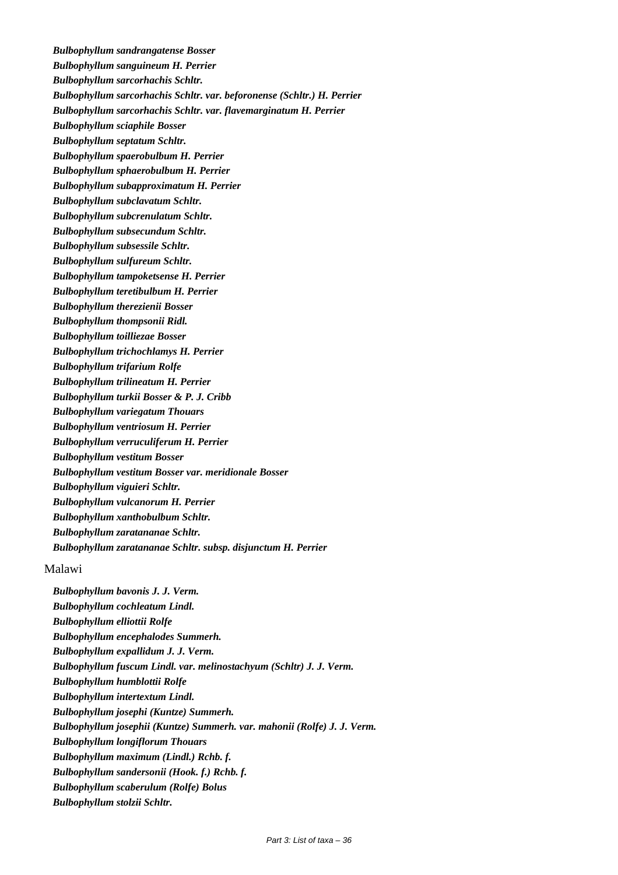*Bulbophyllum sandrangatense Bosser Bulbophyllum sanguineum H. Perrier Bulbophyllum sarcorhachis Schltr. Bulbophyllum sarcorhachis Schltr. var. beforonense (Schltr.) H. Perrier Bulbophyllum sarcorhachis Schltr. var. flavemarginatum H. Perrier Bulbophyllum sciaphile Bosser Bulbophyllum septatum Schltr. Bulbophyllum spaerobulbum H. Perrier Bulbophyllum sphaerobulbum H. Perrier Bulbophyllum subapproximatum H. Perrier Bulbophyllum subclavatum Schltr. Bulbophyllum subcrenulatum Schltr. Bulbophyllum subsecundum Schltr. Bulbophyllum subsessile Schltr. Bulbophyllum sulfureum Schltr. Bulbophyllum tampoketsense H. Perrier Bulbophyllum teretibulbum H. Perrier Bulbophyllum therezienii Bosser Bulbophyllum thompsonii Ridl. Bulbophyllum toilliezae Bosser Bulbophyllum trichochlamys H. Perrier Bulbophyllum trifarium Rolfe Bulbophyllum trilineatum H. Perrier Bulbophyllum turkii Bosser & P. J. Cribb Bulbophyllum variegatum Thouars Bulbophyllum ventriosum H. Perrier Bulbophyllum verruculiferum H. Perrier Bulbophyllum vestitum Bosser Bulbophyllum vestitum Bosser var. meridionale Bosser Bulbophyllum viguieri Schltr. Bulbophyllum vulcanorum H. Perrier Bulbophyllum xanthobulbum Schltr. Bulbophyllum zaratananae Schltr. Bulbophyllum zaratananae Schltr. subsp. disjunctum H. Perrier*

#### Malawi

*Bulbophyllum bavonis J. J. Verm. Bulbophyllum cochleatum Lindl. Bulbophyllum elliottii Rolfe Bulbophyllum encephalodes Summerh. Bulbophyllum expallidum J. J. Verm. Bulbophyllum fuscum Lindl. var. melinostachyum (Schltr) J. J. Verm. Bulbophyllum humblottii Rolfe Bulbophyllum intertextum Lindl. Bulbophyllum josephi (Kuntze) Summerh. Bulbophyllum josephii (Kuntze) Summerh. var. mahonii (Rolfe) J. J. Verm. Bulbophyllum longiflorum Thouars Bulbophyllum maximum (Lindl.) Rchb. f. Bulbophyllum sandersonii (Hook. f.) Rchb. f. Bulbophyllum scaberulum (Rolfe) Bolus Bulbophyllum stolzii Schltr.*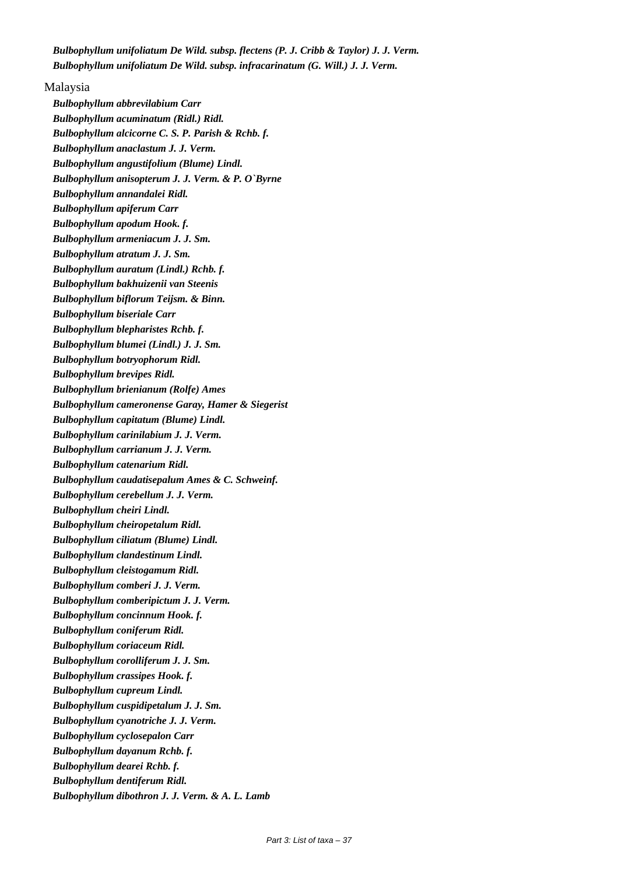*Bulbophyllum unifoliatum De Wild. subsp. flectens (P. J. Cribb & Taylor) J. J. Verm. Bulbophyllum unifoliatum De Wild. subsp. infracarinatum (G. Will.) J. J. Verm.*

Malaysia *Bulbophyllum abbrevilabium Carr Bulbophyllum acuminatum (Ridl.) Ridl. Bulbophyllum alcicorne C. S. P. Parish & Rchb. f. Bulbophyllum anaclastum J. J. Verm. Bulbophyllum angustifolium (Blume) Lindl. Bulbophyllum anisopterum J. J. Verm. & P. O`Byrne Bulbophyllum annandalei Ridl. Bulbophyllum apiferum Carr Bulbophyllum apodum Hook. f. Bulbophyllum armeniacum J. J. Sm. Bulbophyllum atratum J. J. Sm. Bulbophyllum auratum (Lindl.) Rchb. f. Bulbophyllum bakhuizenii van Steenis Bulbophyllum biflorum Teijsm. & Binn. Bulbophyllum biseriale Carr Bulbophyllum blepharistes Rchb. f. Bulbophyllum blumei (Lindl.) J. J. Sm. Bulbophyllum botryophorum Ridl. Bulbophyllum brevipes Ridl. Bulbophyllum brienianum (Rolfe) Ames Bulbophyllum cameronense Garay, Hamer & Siegerist Bulbophyllum capitatum (Blume) Lindl. Bulbophyllum carinilabium J. J. Verm. Bulbophyllum carrianum J. J. Verm. Bulbophyllum catenarium Ridl. Bulbophyllum caudatisepalum Ames & C. Schweinf. Bulbophyllum cerebellum J. J. Verm. Bulbophyllum cheiri Lindl. Bulbophyllum cheiropetalum Ridl. Bulbophyllum ciliatum (Blume) Lindl. Bulbophyllum clandestinum Lindl. Bulbophyllum cleistogamum Ridl. Bulbophyllum comberi J. J. Verm. Bulbophyllum comberipictum J. J. Verm. Bulbophyllum concinnum Hook. f. Bulbophyllum coniferum Ridl. Bulbophyllum coriaceum Ridl. Bulbophyllum corolliferum J. J. Sm. Bulbophyllum crassipes Hook. f. Bulbophyllum cupreum Lindl. Bulbophyllum cuspidipetalum J. J. Sm. Bulbophyllum cyanotriche J. J. Verm. Bulbophyllum cyclosepalon Carr Bulbophyllum dayanum Rchb. f. Bulbophyllum dearei Rchb. f. Bulbophyllum dentiferum Ridl. Bulbophyllum dibothron J. J. Verm. & A. L. Lamb*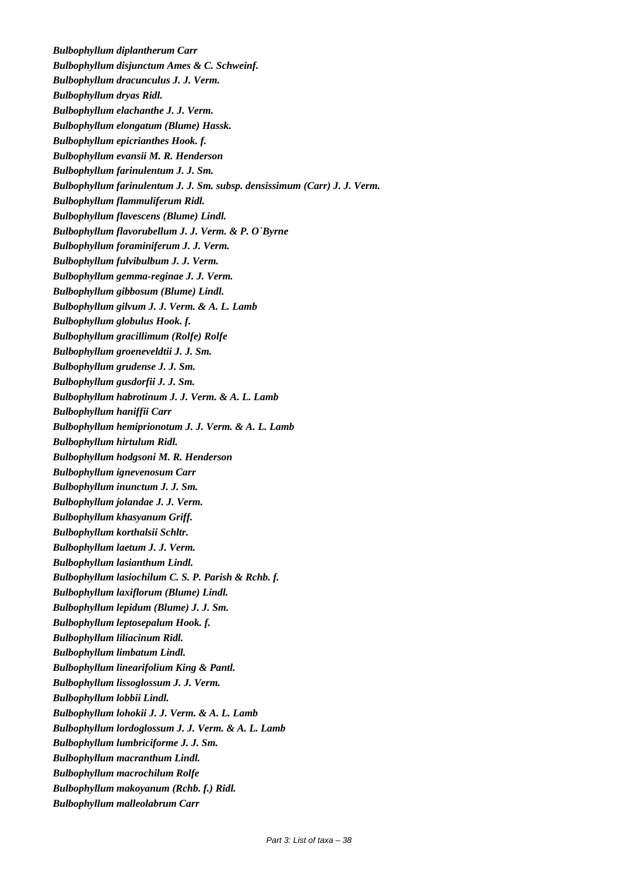*Bulbophyllum diplantherum Carr Bulbophyllum disjunctum Ames & C. Schweinf. Bulbophyllum dracunculus J. J. Verm. Bulbophyllum dryas Ridl. Bulbophyllum elachanthe J. J. Verm. Bulbophyllum elongatum (Blume) Hassk. Bulbophyllum epicrianthes Hook. f. Bulbophyllum evansii M. R. Henderson Bulbophyllum farinulentum J. J. Sm. Bulbophyllum farinulentum J. J. Sm. subsp. densissimum (Carr) J. J. Verm. Bulbophyllum flammuliferum Ridl. Bulbophyllum flavescens (Blume) Lindl. Bulbophyllum flavorubellum J. J. Verm. & P. O`Byrne Bulbophyllum foraminiferum J. J. Verm. Bulbophyllum fulvibulbum J. J. Verm. Bulbophyllum gemma-reginae J. J. Verm. Bulbophyllum gibbosum (Blume) Lindl. Bulbophyllum gilvum J. J. Verm. & A. L. Lamb Bulbophyllum globulus Hook. f. Bulbophyllum gracillimum (Rolfe) Rolfe Bulbophyllum groeneveldtii J. J. Sm. Bulbophyllum grudense J. J. Sm. Bulbophyllum gusdorfii J. J. Sm. Bulbophyllum habrotinum J. J. Verm. & A. L. Lamb Bulbophyllum haniffii Carr Bulbophyllum hemiprionotum J. J. Verm. & A. L. Lamb Bulbophyllum hirtulum Ridl. Bulbophyllum hodgsoni M. R. Henderson Bulbophyllum ignevenosum Carr Bulbophyllum inunctum J. J. Sm. Bulbophyllum jolandae J. J. Verm. Bulbophyllum khasyanum Griff. Bulbophyllum korthalsii Schltr. Bulbophyllum laetum J. J. Verm. Bulbophyllum lasianthum Lindl. Bulbophyllum lasiochilum C. S. P. Parish & Rchb. f. Bulbophyllum laxiflorum (Blume) Lindl. Bulbophyllum lepidum (Blume) J. J. Sm. Bulbophyllum leptosepalum Hook. f. Bulbophyllum liliacinum Ridl. Bulbophyllum limbatum Lindl. Bulbophyllum linearifolium King & Pantl. Bulbophyllum lissoglossum J. J. Verm. Bulbophyllum lobbii Lindl. Bulbophyllum lohokii J. J. Verm. & A. L. Lamb Bulbophyllum lordoglossum J. J. Verm. & A. L. Lamb Bulbophyllum lumbriciforme J. J. Sm. Bulbophyllum macranthum Lindl. Bulbophyllum macrochilum Rolfe Bulbophyllum makoyanum (Rchb. f.) Ridl. Bulbophyllum malleolabrum Carr*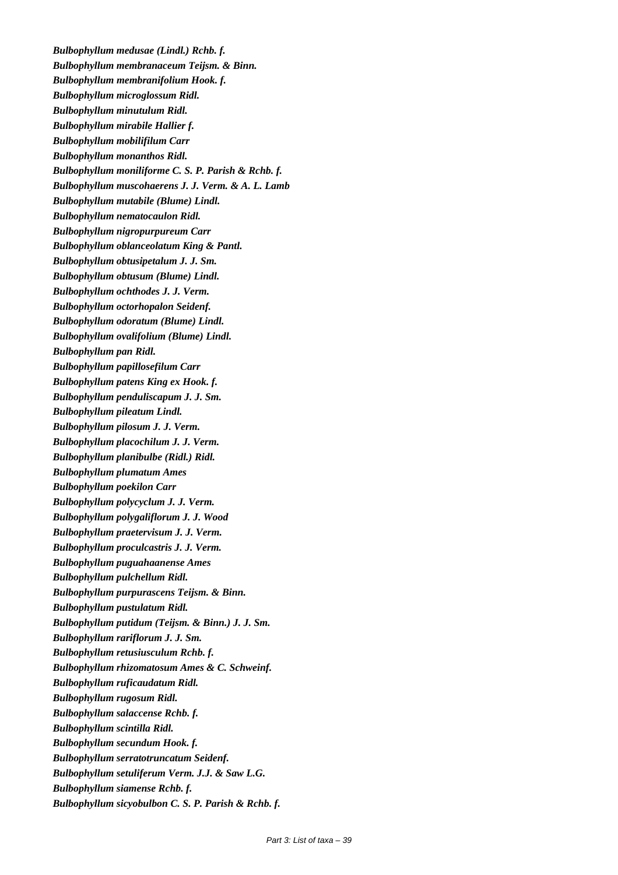*Bulbophyllum medusae (Lindl.) Rchb. f. Bulbophyllum membranaceum Teijsm. & Binn. Bulbophyllum membranifolium Hook. f. Bulbophyllum microglossum Ridl. Bulbophyllum minutulum Ridl. Bulbophyllum mirabile Hallier f. Bulbophyllum mobilifilum Carr Bulbophyllum monanthos Ridl. Bulbophyllum moniliforme C. S. P. Parish & Rchb. f. Bulbophyllum muscohaerens J. J. Verm. & A. L. Lamb Bulbophyllum mutabile (Blume) Lindl. Bulbophyllum nematocaulon Ridl. Bulbophyllum nigropurpureum Carr Bulbophyllum oblanceolatum King & Pantl. Bulbophyllum obtusipetalum J. J. Sm. Bulbophyllum obtusum (Blume) Lindl. Bulbophyllum ochthodes J. J. Verm. Bulbophyllum octorhopalon Seidenf. Bulbophyllum odoratum (Blume) Lindl. Bulbophyllum ovalifolium (Blume) Lindl. Bulbophyllum pan Ridl. Bulbophyllum papillosefilum Carr Bulbophyllum patens King ex Hook. f. Bulbophyllum penduliscapum J. J. Sm. Bulbophyllum pileatum Lindl. Bulbophyllum pilosum J. J. Verm. Bulbophyllum placochilum J. J. Verm. Bulbophyllum planibulbe (Ridl.) Ridl. Bulbophyllum plumatum Ames Bulbophyllum poekilon Carr Bulbophyllum polycyclum J. J. Verm. Bulbophyllum polygaliflorum J. J. Wood Bulbophyllum praetervisum J. J. Verm. Bulbophyllum proculcastris J. J. Verm. Bulbophyllum puguahaanense Ames Bulbophyllum pulchellum Ridl. Bulbophyllum purpurascens Teijsm. & Binn. Bulbophyllum pustulatum Ridl. Bulbophyllum putidum (Teijsm. & Binn.) J. J. Sm. Bulbophyllum rariflorum J. J. Sm. Bulbophyllum retusiusculum Rchb. f. Bulbophyllum rhizomatosum Ames & C. Schweinf. Bulbophyllum ruficaudatum Ridl. Bulbophyllum rugosum Ridl. Bulbophyllum salaccense Rchb. f. Bulbophyllum scintilla Ridl. Bulbophyllum secundum Hook. f. Bulbophyllum serratotruncatum Seidenf. Bulbophyllum setuliferum Verm. J.J. & Saw L.G. Bulbophyllum siamense Rchb. f. Bulbophyllum sicyobulbon C. S. P. Parish & Rchb. f.*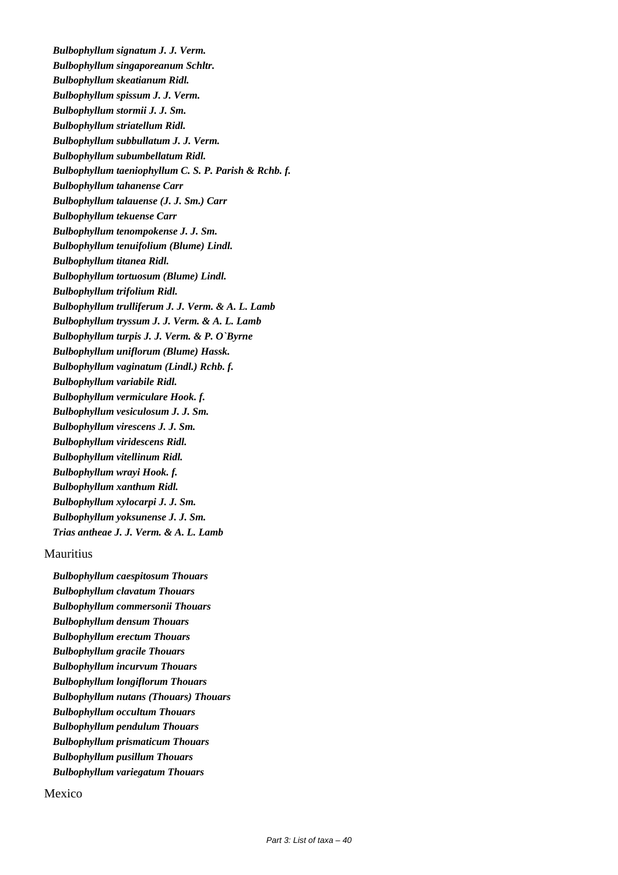*Bulbophyllum signatum J. J. Verm. Bulbophyllum singaporeanum Schltr. Bulbophyllum skeatianum Ridl. Bulbophyllum spissum J. J. Verm. Bulbophyllum stormii J. J. Sm. Bulbophyllum striatellum Ridl. Bulbophyllum subbullatum J. J. Verm. Bulbophyllum subumbellatum Ridl. Bulbophyllum taeniophyllum C. S. P. Parish & Rchb. f. Bulbophyllum tahanense Carr Bulbophyllum talauense (J. J. Sm.) Carr Bulbophyllum tekuense Carr Bulbophyllum tenompokense J. J. Sm. Bulbophyllum tenuifolium (Blume) Lindl. Bulbophyllum titanea Ridl. Bulbophyllum tortuosum (Blume) Lindl. Bulbophyllum trifolium Ridl. Bulbophyllum trulliferum J. J. Verm. & A. L. Lamb Bulbophyllum tryssum J. J. Verm. & A. L. Lamb Bulbophyllum turpis J. J. Verm. & P. O`Byrne Bulbophyllum uniflorum (Blume) Hassk. Bulbophyllum vaginatum (Lindl.) Rchb. f. Bulbophyllum variabile Ridl. Bulbophyllum vermiculare Hook. f. Bulbophyllum vesiculosum J. J. Sm. Bulbophyllum virescens J. J. Sm. Bulbophyllum viridescens Ridl. Bulbophyllum vitellinum Ridl. Bulbophyllum wrayi Hook. f. Bulbophyllum xanthum Ridl. Bulbophyllum xylocarpi J. J. Sm. Bulbophyllum yoksunense J. J. Sm. Trias antheae J. J. Verm. & A. L. Lamb*

# Mauritius

*Bulbophyllum caespitosum Thouars Bulbophyllum clavatum Thouars Bulbophyllum commersonii Thouars Bulbophyllum densum Thouars Bulbophyllum erectum Thouars Bulbophyllum gracile Thouars Bulbophyllum incurvum Thouars Bulbophyllum longiflorum Thouars Bulbophyllum nutans (Thouars) Thouars Bulbophyllum occultum Thouars Bulbophyllum pendulum Thouars Bulbophyllum prismaticum Thouars Bulbophyllum pusillum Thouars Bulbophyllum variegatum Thouars*

# Mexico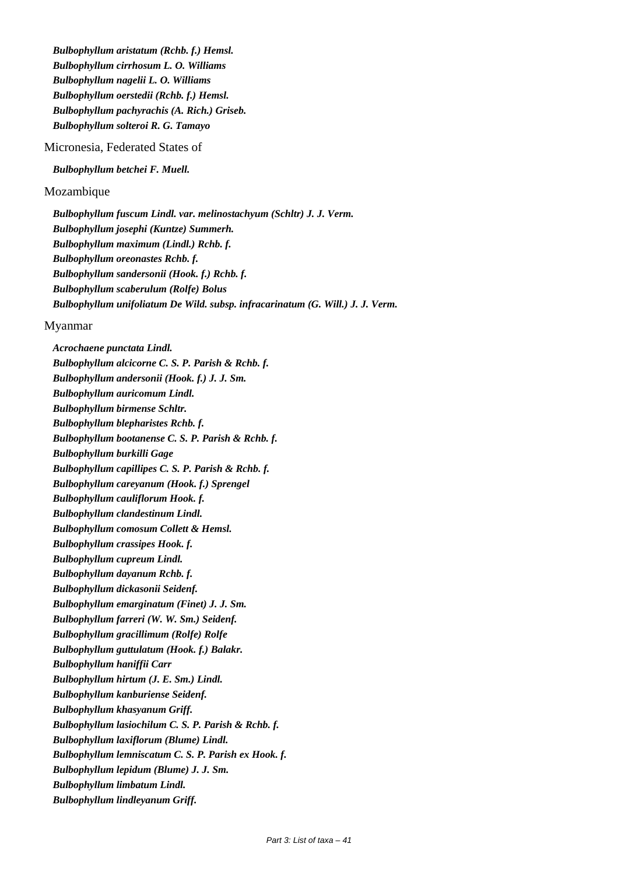*Bulbophyllum aristatum (Rchb. f.) Hemsl. Bulbophyllum cirrhosum L. O. Williams Bulbophyllum nagelii L. O. Williams Bulbophyllum oerstedii (Rchb. f.) Hemsl. Bulbophyllum pachyrachis (A. Rich.) Griseb. Bulbophyllum solteroi R. G. Tamayo*

Micronesia, Federated States of

*Bulbophyllum betchei F. Muell.*

Mozambique

*Bulbophyllum fuscum Lindl. var. melinostachyum (Schltr) J. J. Verm. Bulbophyllum josephi (Kuntze) Summerh. Bulbophyllum maximum (Lindl.) Rchb. f. Bulbophyllum oreonastes Rchb. f. Bulbophyllum sandersonii (Hook. f.) Rchb. f. Bulbophyllum scaberulum (Rolfe) Bolus Bulbophyllum unifoliatum De Wild. subsp. infracarinatum (G. Will.) J. J. Verm.*

#### Myanmar

*Acrochaene punctata Lindl. Bulbophyllum alcicorne C. S. P. Parish & Rchb. f. Bulbophyllum andersonii (Hook. f.) J. J. Sm. Bulbophyllum auricomum Lindl. Bulbophyllum birmense Schltr. Bulbophyllum blepharistes Rchb. f. Bulbophyllum bootanense C. S. P. Parish & Rchb. f. Bulbophyllum burkilli Gage Bulbophyllum capillipes C. S. P. Parish & Rchb. f. Bulbophyllum careyanum (Hook. f.) Sprengel Bulbophyllum cauliflorum Hook. f. Bulbophyllum clandestinum Lindl. Bulbophyllum comosum Collett & Hemsl. Bulbophyllum crassipes Hook. f. Bulbophyllum cupreum Lindl. Bulbophyllum dayanum Rchb. f. Bulbophyllum dickasonii Seidenf. Bulbophyllum emarginatum (Finet) J. J. Sm. Bulbophyllum farreri (W. W. Sm.) Seidenf. Bulbophyllum gracillimum (Rolfe) Rolfe Bulbophyllum guttulatum (Hook. f.) Balakr. Bulbophyllum haniffii Carr Bulbophyllum hirtum (J. E. Sm.) Lindl. Bulbophyllum kanburiense Seidenf. Bulbophyllum khasyanum Griff. Bulbophyllum lasiochilum C. S. P. Parish & Rchb. f. Bulbophyllum laxiflorum (Blume) Lindl. Bulbophyllum lemniscatum C. S. P. Parish ex Hook. f. Bulbophyllum lepidum (Blume) J. J. Sm. Bulbophyllum limbatum Lindl. Bulbophyllum lindleyanum Griff.*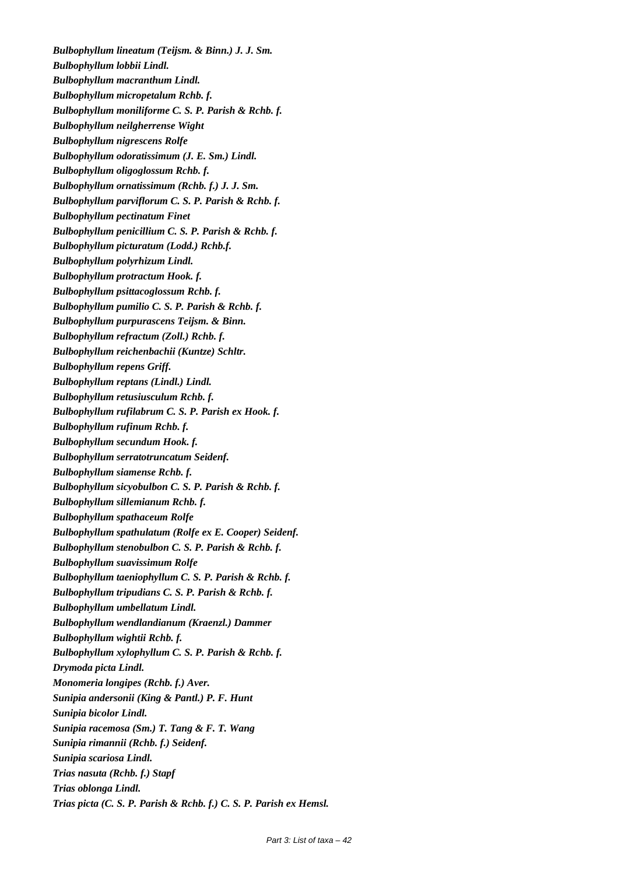*Bulbophyllum lineatum (Teijsm. & Binn.) J. J. Sm. Bulbophyllum lobbii Lindl. Bulbophyllum macranthum Lindl. Bulbophyllum micropetalum Rchb. f. Bulbophyllum moniliforme C. S. P. Parish & Rchb. f. Bulbophyllum neilgherrense Wight Bulbophyllum nigrescens Rolfe Bulbophyllum odoratissimum (J. E. Sm.) Lindl. Bulbophyllum oligoglossum Rchb. f. Bulbophyllum ornatissimum (Rchb. f.) J. J. Sm. Bulbophyllum parviflorum C. S. P. Parish & Rchb. f. Bulbophyllum pectinatum Finet Bulbophyllum penicillium C. S. P. Parish & Rchb. f. Bulbophyllum picturatum (Lodd.) Rchb.f. Bulbophyllum polyrhizum Lindl. Bulbophyllum protractum Hook. f. Bulbophyllum psittacoglossum Rchb. f. Bulbophyllum pumilio C. S. P. Parish & Rchb. f. Bulbophyllum purpurascens Teijsm. & Binn. Bulbophyllum refractum (Zoll.) Rchb. f. Bulbophyllum reichenbachii (Kuntze) Schltr. Bulbophyllum repens Griff. Bulbophyllum reptans (Lindl.) Lindl. Bulbophyllum retusiusculum Rchb. f. Bulbophyllum rufilabrum C. S. P. Parish ex Hook. f. Bulbophyllum rufinum Rchb. f. Bulbophyllum secundum Hook. f. Bulbophyllum serratotruncatum Seidenf. Bulbophyllum siamense Rchb. f. Bulbophyllum sicyobulbon C. S. P. Parish & Rchb. f. Bulbophyllum sillemianum Rchb. f. Bulbophyllum spathaceum Rolfe Bulbophyllum spathulatum (Rolfe ex E. Cooper) Seidenf. Bulbophyllum stenobulbon C. S. P. Parish & Rchb. f. Bulbophyllum suavissimum Rolfe Bulbophyllum taeniophyllum C. S. P. Parish & Rchb. f. Bulbophyllum tripudians C. S. P. Parish & Rchb. f. Bulbophyllum umbellatum Lindl. Bulbophyllum wendlandianum (Kraenzl.) Dammer Bulbophyllum wightii Rchb. f. Bulbophyllum xylophyllum C. S. P. Parish & Rchb. f. Drymoda picta Lindl. Monomeria longipes (Rchb. f.) Aver. Sunipia andersonii (King & Pantl.) P. F. Hunt Sunipia bicolor Lindl. Sunipia racemosa (Sm.) T. Tang & F. T. Wang Sunipia rimannii (Rchb. f.) Seidenf. Sunipia scariosa Lindl. Trias nasuta (Rchb. f.) Stapf Trias oblonga Lindl. Trias picta (C. S. P. Parish & Rchb. f.) C. S. P. Parish ex Hemsl.*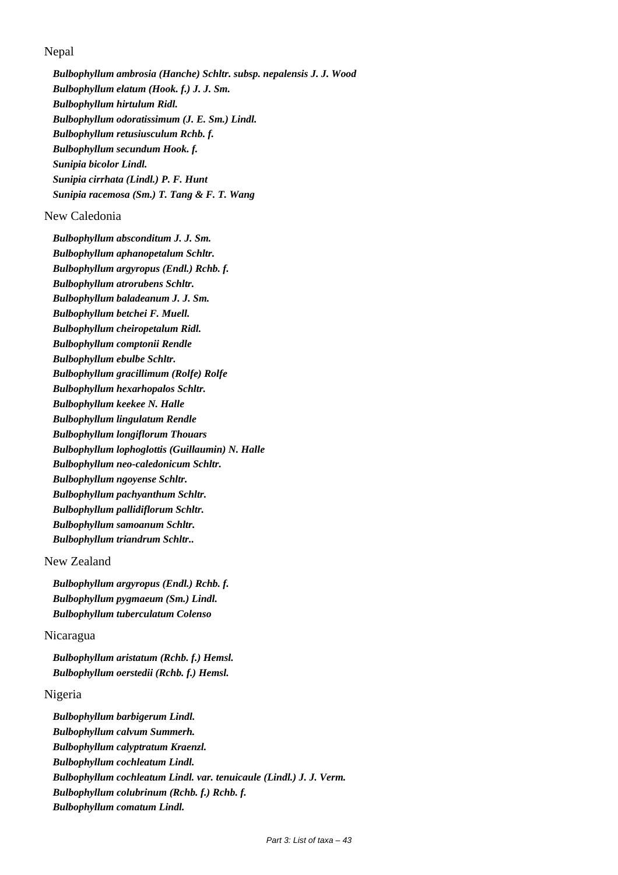Nepal

*Bulbophyllum ambrosia (Hanche) Schltr. subsp. nepalensis J. J. Wood Bulbophyllum elatum (Hook. f.) J. J. Sm. Bulbophyllum hirtulum Ridl. Bulbophyllum odoratissimum (J. E. Sm.) Lindl. Bulbophyllum retusiusculum Rchb. f. Bulbophyllum secundum Hook. f. Sunipia bicolor Lindl. Sunipia cirrhata (Lindl.) P. F. Hunt Sunipia racemosa (Sm.) T. Tang & F. T. Wang*

# New Caledonia

*Bulbophyllum absconditum J. J. Sm. Bulbophyllum aphanopetalum Schltr. Bulbophyllum argyropus (Endl.) Rchb. f. Bulbophyllum atrorubens Schltr. Bulbophyllum baladeanum J. J. Sm. Bulbophyllum betchei F. Muell. Bulbophyllum cheiropetalum Ridl. Bulbophyllum comptonii Rendle Bulbophyllum ebulbe Schltr. Bulbophyllum gracillimum (Rolfe) Rolfe Bulbophyllum hexarhopalos Schltr. Bulbophyllum keekee N. Halle Bulbophyllum lingulatum Rendle Bulbophyllum longiflorum Thouars Bulbophyllum lophoglottis (Guillaumin) N. Halle Bulbophyllum neo-caledonicum Schltr. Bulbophyllum ngoyense Schltr. Bulbophyllum pachyanthum Schltr. Bulbophyllum pallidiflorum Schltr. Bulbophyllum samoanum Schltr. Bulbophyllum triandrum Schltr..*

# New Zealand

*Bulbophyllum argyropus (Endl.) Rchb. f. Bulbophyllum pygmaeum (Sm.) Lindl. Bulbophyllum tuberculatum Colenso*

# Nicaragua

*Bulbophyllum aristatum (Rchb. f.) Hemsl. Bulbophyllum oerstedii (Rchb. f.) Hemsl.*

# Nigeria

*Bulbophyllum barbigerum Lindl. Bulbophyllum calvum Summerh. Bulbophyllum calyptratum Kraenzl. Bulbophyllum cochleatum Lindl. Bulbophyllum cochleatum Lindl. var. tenuicaule (Lindl.) J. J. Verm. Bulbophyllum colubrinum (Rchb. f.) Rchb. f. Bulbophyllum comatum Lindl.*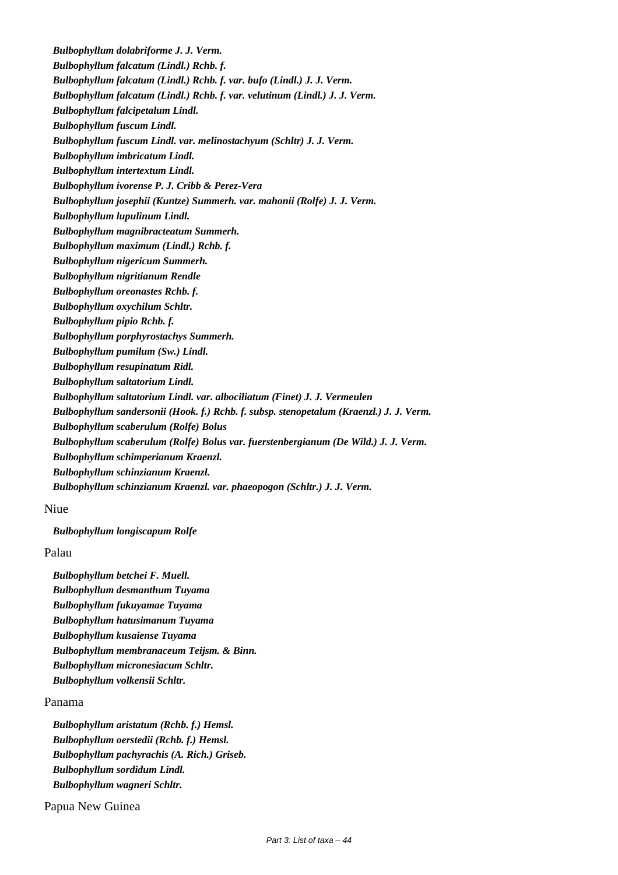*Bulbophyllum dolabriforme J. J. Verm. Bulbophyllum falcatum (Lindl.) Rchb. f. Bulbophyllum falcatum (Lindl.) Rchb. f. var. bufo (Lindl.) J. J. Verm. Bulbophyllum falcatum (Lindl.) Rchb. f. var. velutinum (Lindl.) J. J. Verm. Bulbophyllum falcipetalum Lindl. Bulbophyllum fuscum Lindl. Bulbophyllum fuscum Lindl. var. melinostachyum (Schltr) J. J. Verm. Bulbophyllum imbricatum Lindl. Bulbophyllum intertextum Lindl. Bulbophyllum ivorense P. J. Cribb & Perez-Vera Bulbophyllum josephii (Kuntze) Summerh. var. mahonii (Rolfe) J. J. Verm. Bulbophyllum lupulinum Lindl. Bulbophyllum magnibracteatum Summerh. Bulbophyllum maximum (Lindl.) Rchb. f. Bulbophyllum nigericum Summerh. Bulbophyllum nigritianum Rendle Bulbophyllum oreonastes Rchb. f. Bulbophyllum oxychilum Schltr. Bulbophyllum pipio Rchb. f. Bulbophyllum porphyrostachys Summerh. Bulbophyllum pumilum (Sw.) Lindl. Bulbophyllum resupinatum Ridl. Bulbophyllum saltatorium Lindl. Bulbophyllum saltatorium Lindl. var. albociliatum (Finet) J. J. Vermeulen Bulbophyllum sandersonii (Hook. f.) Rchb. f. subsp. stenopetalum (Kraenzl.) J. J. Verm. Bulbophyllum scaberulum (Rolfe) Bolus Bulbophyllum scaberulum (Rolfe) Bolus var. fuerstenbergianum (De Wild.) J. J. Verm. Bulbophyllum schimperianum Kraenzl. Bulbophyllum schinzianum Kraenzl. Bulbophyllum schinzianum Kraenzl. var. phaeopogon (Schltr.) J. J. Verm.*

#### Niue

*Bulbophyllum longiscapum Rolfe*

Palau

*Bulbophyllum betchei F. Muell. Bulbophyllum desmanthum Tuyama Bulbophyllum fukuyamae Tuyama Bulbophyllum hatusimanum Tuyama Bulbophyllum kusaiense Tuyama Bulbophyllum membranaceum Teijsm. & Binn. Bulbophyllum micronesiacum Schltr. Bulbophyllum volkensii Schltr.*

# Panama

*Bulbophyllum aristatum (Rchb. f.) Hemsl. Bulbophyllum oerstedii (Rchb. f.) Hemsl. Bulbophyllum pachyrachis (A. Rich.) Griseb. Bulbophyllum sordidum Lindl. Bulbophyllum wagneri Schltr.*

Papua New Guinea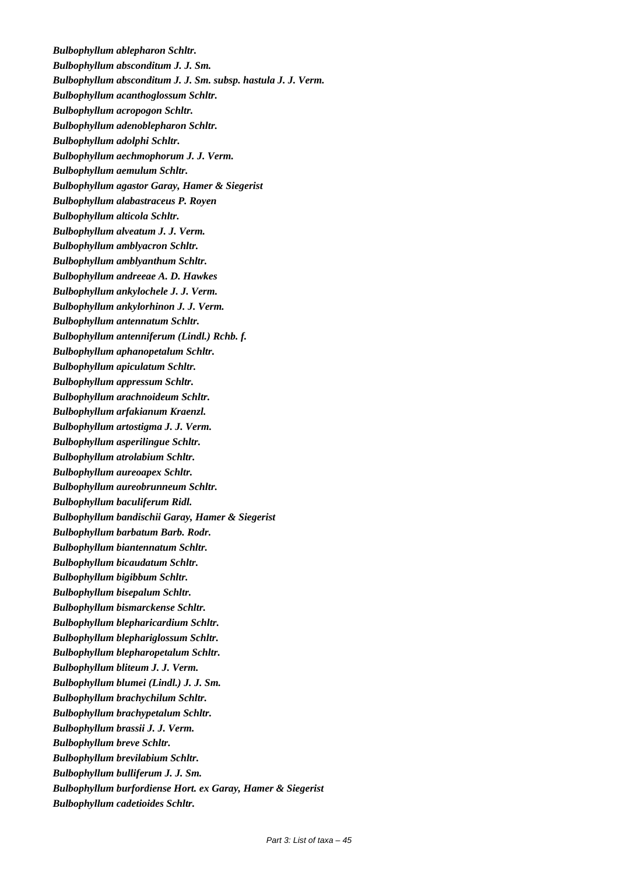*Bulbophyllum ablepharon Schltr. Bulbophyllum absconditum J. J. Sm. Bulbophyllum absconditum J. J. Sm. subsp. hastula J. J. Verm. Bulbophyllum acanthoglossum Schltr. Bulbophyllum acropogon Schltr. Bulbophyllum adenoblepharon Schltr. Bulbophyllum adolphi Schltr. Bulbophyllum aechmophorum J. J. Verm. Bulbophyllum aemulum Schltr. Bulbophyllum agastor Garay, Hamer & Siegerist Bulbophyllum alabastraceus P. Royen Bulbophyllum alticola Schltr. Bulbophyllum alveatum J. J. Verm. Bulbophyllum amblyacron Schltr. Bulbophyllum amblyanthum Schltr. Bulbophyllum andreeae A. D. Hawkes Bulbophyllum ankylochele J. J. Verm. Bulbophyllum ankylorhinon J. J. Verm. Bulbophyllum antennatum Schltr. Bulbophyllum antenniferum (Lindl.) Rchb. f. Bulbophyllum aphanopetalum Schltr. Bulbophyllum apiculatum Schltr. Bulbophyllum appressum Schltr. Bulbophyllum arachnoideum Schltr. Bulbophyllum arfakianum Kraenzl. Bulbophyllum artostigma J. J. Verm. Bulbophyllum asperilingue Schltr. Bulbophyllum atrolabium Schltr. Bulbophyllum aureoapex Schltr. Bulbophyllum aureobrunneum Schltr. Bulbophyllum baculiferum Ridl. Bulbophyllum bandischii Garay, Hamer & Siegerist Bulbophyllum barbatum Barb. Rodr. Bulbophyllum biantennatum Schltr. Bulbophyllum bicaudatum Schltr. Bulbophyllum bigibbum Schltr. Bulbophyllum bisepalum Schltr. Bulbophyllum bismarckense Schltr. Bulbophyllum blepharicardium Schltr. Bulbophyllum blephariglossum Schltr. Bulbophyllum blepharopetalum Schltr. Bulbophyllum bliteum J. J. Verm. Bulbophyllum blumei (Lindl.) J. J. Sm. Bulbophyllum brachychilum Schltr. Bulbophyllum brachypetalum Schltr. Bulbophyllum brassii J. J. Verm. Bulbophyllum breve Schltr. Bulbophyllum brevilabium Schltr. Bulbophyllum bulliferum J. J. Sm. Bulbophyllum burfordiense Hort. ex Garay, Hamer & Siegerist Bulbophyllum cadetioides Schltr.*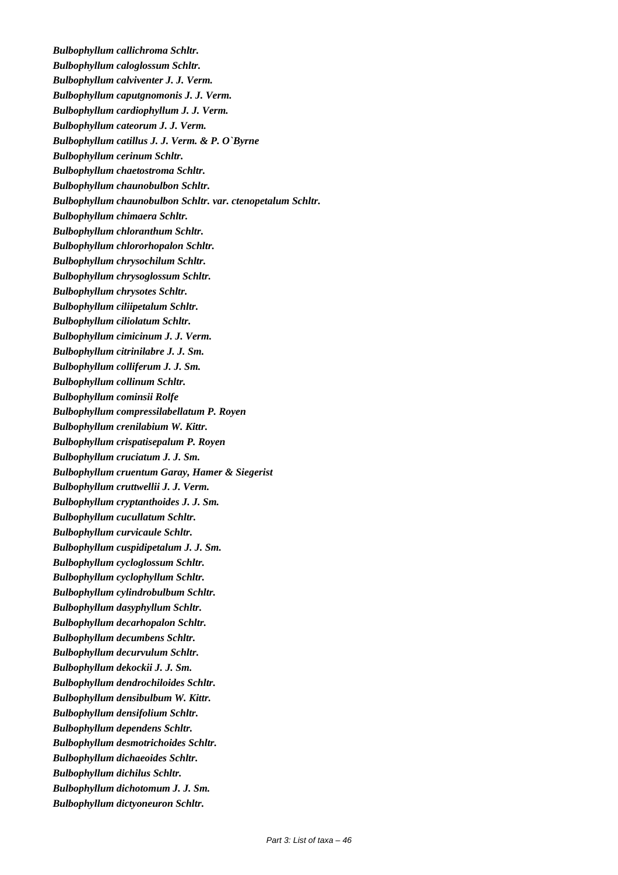*Bulbophyllum callichroma Schltr. Bulbophyllum caloglossum Schltr. Bulbophyllum calviventer J. J. Verm. Bulbophyllum caputgnomonis J. J. Verm. Bulbophyllum cardiophyllum J. J. Verm. Bulbophyllum cateorum J. J. Verm. Bulbophyllum catillus J. J. Verm. & P. O`Byrne Bulbophyllum cerinum Schltr. Bulbophyllum chaetostroma Schltr. Bulbophyllum chaunobulbon Schltr. Bulbophyllum chaunobulbon Schltr. var. ctenopetalum Schltr. Bulbophyllum chimaera Schltr. Bulbophyllum chloranthum Schltr. Bulbophyllum chlororhopalon Schltr. Bulbophyllum chrysochilum Schltr. Bulbophyllum chrysoglossum Schltr. Bulbophyllum chrysotes Schltr. Bulbophyllum ciliipetalum Schltr. Bulbophyllum ciliolatum Schltr. Bulbophyllum cimicinum J. J. Verm. Bulbophyllum citrinilabre J. J. Sm. Bulbophyllum colliferum J. J. Sm. Bulbophyllum collinum Schltr. Bulbophyllum cominsii Rolfe Bulbophyllum compressilabellatum P. Royen Bulbophyllum crenilabium W. Kittr. Bulbophyllum crispatisepalum P. Royen Bulbophyllum cruciatum J. J. Sm. Bulbophyllum cruentum Garay, Hamer & Siegerist Bulbophyllum cruttwellii J. J. Verm. Bulbophyllum cryptanthoides J. J. Sm. Bulbophyllum cucullatum Schltr. Bulbophyllum curvicaule Schltr. Bulbophyllum cuspidipetalum J. J. Sm. Bulbophyllum cycloglossum Schltr. Bulbophyllum cyclophyllum Schltr. Bulbophyllum cylindrobulbum Schltr. Bulbophyllum dasyphyllum Schltr. Bulbophyllum decarhopalon Schltr. Bulbophyllum decumbens Schltr. Bulbophyllum decurvulum Schltr. Bulbophyllum dekockii J. J. Sm. Bulbophyllum dendrochiloides Schltr. Bulbophyllum densibulbum W. Kittr. Bulbophyllum densifolium Schltr. Bulbophyllum dependens Schltr. Bulbophyllum desmotrichoides Schltr. Bulbophyllum dichaeoides Schltr. Bulbophyllum dichilus Schltr. Bulbophyllum dichotomum J. J. Sm. Bulbophyllum dictyoneuron Schltr.*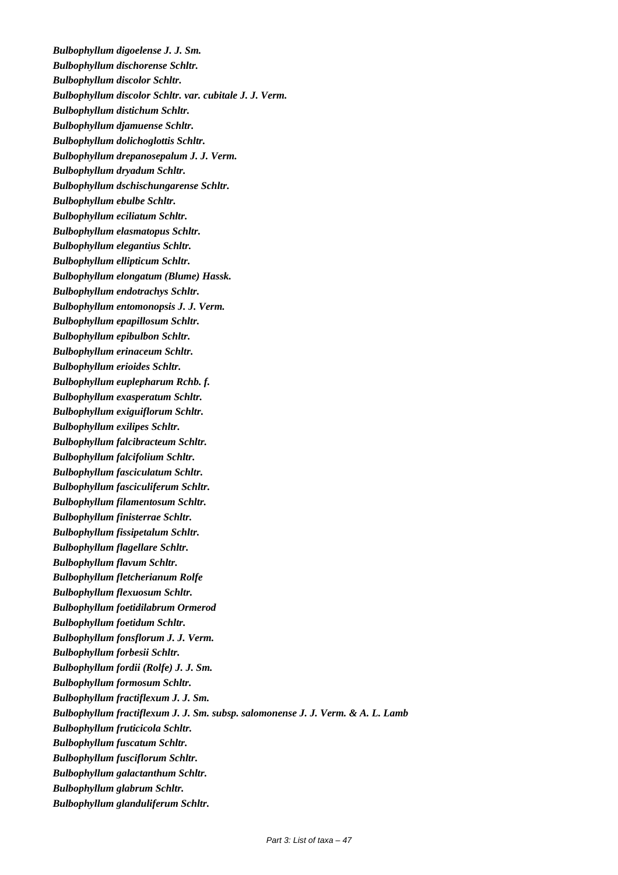*Bulbophyllum digoelense J. J. Sm. Bulbophyllum dischorense Schltr. Bulbophyllum discolor Schltr. Bulbophyllum discolor Schltr. var. cubitale J. J. Verm. Bulbophyllum distichum Schltr. Bulbophyllum djamuense Schltr. Bulbophyllum dolichoglottis Schltr. Bulbophyllum drepanosepalum J. J. Verm. Bulbophyllum dryadum Schltr. Bulbophyllum dschischungarense Schltr. Bulbophyllum ebulbe Schltr. Bulbophyllum eciliatum Schltr. Bulbophyllum elasmatopus Schltr. Bulbophyllum elegantius Schltr. Bulbophyllum ellipticum Schltr. Bulbophyllum elongatum (Blume) Hassk. Bulbophyllum endotrachys Schltr. Bulbophyllum entomonopsis J. J. Verm. Bulbophyllum epapillosum Schltr. Bulbophyllum epibulbon Schltr. Bulbophyllum erinaceum Schltr. Bulbophyllum erioides Schltr. Bulbophyllum euplepharum Rchb. f. Bulbophyllum exasperatum Schltr. Bulbophyllum exiguiflorum Schltr. Bulbophyllum exilipes Schltr. Bulbophyllum falcibracteum Schltr. Bulbophyllum falcifolium Schltr. Bulbophyllum fasciculatum Schltr. Bulbophyllum fasciculiferum Schltr. Bulbophyllum filamentosum Schltr. Bulbophyllum finisterrae Schltr. Bulbophyllum fissipetalum Schltr. Bulbophyllum flagellare Schltr. Bulbophyllum flavum Schltr. Bulbophyllum fletcherianum Rolfe Bulbophyllum flexuosum Schltr. Bulbophyllum foetidilabrum Ormerod Bulbophyllum foetidum Schltr. Bulbophyllum fonsflorum J. J. Verm. Bulbophyllum forbesii Schltr. Bulbophyllum fordii (Rolfe) J. J. Sm. Bulbophyllum formosum Schltr. Bulbophyllum fractiflexum J. J. Sm. Bulbophyllum fractiflexum J. J. Sm. subsp. salomonense J. J. Verm. & A. L. Lamb Bulbophyllum fruticicola Schltr. Bulbophyllum fuscatum Schltr. Bulbophyllum fusciflorum Schltr. Bulbophyllum galactanthum Schltr. Bulbophyllum glabrum Schltr. Bulbophyllum glanduliferum Schltr.*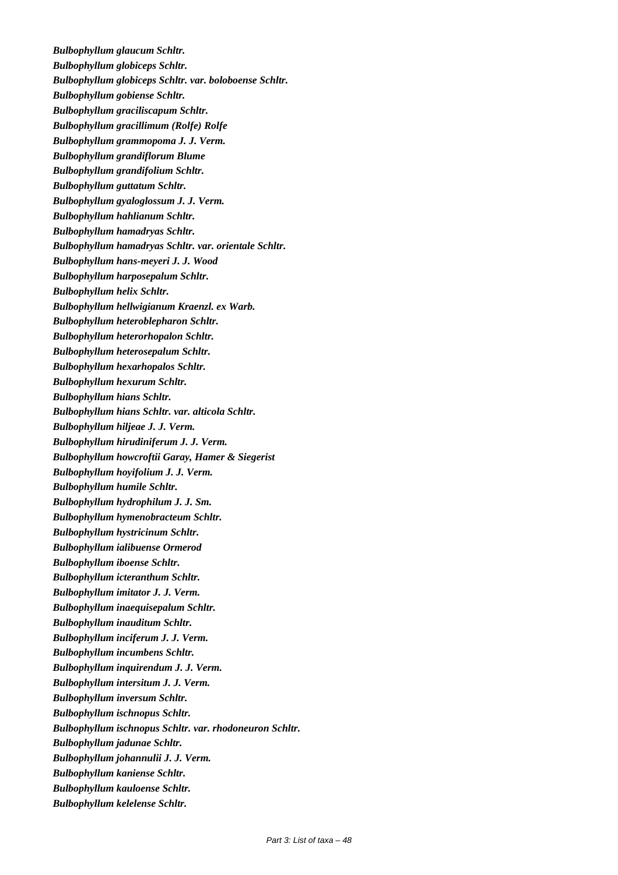*Bulbophyllum glaucum Schltr. Bulbophyllum globiceps Schltr. Bulbophyllum globiceps Schltr. var. boloboense Schltr. Bulbophyllum gobiense Schltr. Bulbophyllum graciliscapum Schltr. Bulbophyllum gracillimum (Rolfe) Rolfe Bulbophyllum grammopoma J. J. Verm. Bulbophyllum grandiflorum Blume Bulbophyllum grandifolium Schltr. Bulbophyllum guttatum Schltr. Bulbophyllum gyaloglossum J. J. Verm. Bulbophyllum hahlianum Schltr. Bulbophyllum hamadryas Schltr. Bulbophyllum hamadryas Schltr. var. orientale Schltr. Bulbophyllum hans-meyeri J. J. Wood Bulbophyllum harposepalum Schltr. Bulbophyllum helix Schltr. Bulbophyllum hellwigianum Kraenzl. ex Warb. Bulbophyllum heteroblepharon Schltr. Bulbophyllum heterorhopalon Schltr. Bulbophyllum heterosepalum Schltr. Bulbophyllum hexarhopalos Schltr. Bulbophyllum hexurum Schltr. Bulbophyllum hians Schltr. Bulbophyllum hians Schltr. var. alticola Schltr. Bulbophyllum hiljeae J. J. Verm. Bulbophyllum hirudiniferum J. J. Verm. Bulbophyllum howcroftii Garay, Hamer & Siegerist Bulbophyllum hoyifolium J. J. Verm. Bulbophyllum humile Schltr. Bulbophyllum hydrophilum J. J. Sm. Bulbophyllum hymenobracteum Schltr. Bulbophyllum hystricinum Schltr. Bulbophyllum ialibuense Ormerod Bulbophyllum iboense Schltr. Bulbophyllum icteranthum Schltr. Bulbophyllum imitator J. J. Verm. Bulbophyllum inaequisepalum Schltr. Bulbophyllum inauditum Schltr. Bulbophyllum inciferum J. J. Verm. Bulbophyllum incumbens Schltr. Bulbophyllum inquirendum J. J. Verm. Bulbophyllum intersitum J. J. Verm. Bulbophyllum inversum Schltr. Bulbophyllum ischnopus Schltr. Bulbophyllum ischnopus Schltr. var. rhodoneuron Schltr. Bulbophyllum jadunae Schltr. Bulbophyllum johannulii J. J. Verm. Bulbophyllum kaniense Schltr. Bulbophyllum kauloense Schltr. Bulbophyllum kelelense Schltr.*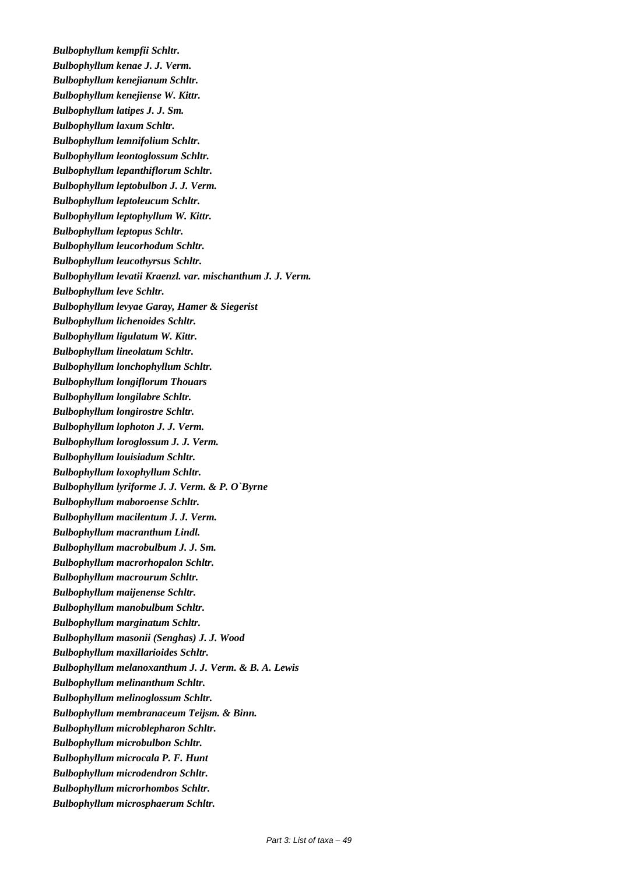*Bulbophyllum kempfii Schltr. Bulbophyllum kenae J. J. Verm. Bulbophyllum kenejianum Schltr. Bulbophyllum kenejiense W. Kittr. Bulbophyllum latipes J. J. Sm. Bulbophyllum laxum Schltr. Bulbophyllum lemnifolium Schltr. Bulbophyllum leontoglossum Schltr. Bulbophyllum lepanthiflorum Schltr. Bulbophyllum leptobulbon J. J. Verm. Bulbophyllum leptoleucum Schltr. Bulbophyllum leptophyllum W. Kittr. Bulbophyllum leptopus Schltr. Bulbophyllum leucorhodum Schltr. Bulbophyllum leucothyrsus Schltr. Bulbophyllum levatii Kraenzl. var. mischanthum J. J. Verm. Bulbophyllum leve Schltr. Bulbophyllum levyae Garay, Hamer & Siegerist Bulbophyllum lichenoides Schltr. Bulbophyllum ligulatum W. Kittr. Bulbophyllum lineolatum Schltr. Bulbophyllum lonchophyllum Schltr. Bulbophyllum longiflorum Thouars Bulbophyllum longilabre Schltr. Bulbophyllum longirostre Schltr. Bulbophyllum lophoton J. J. Verm. Bulbophyllum loroglossum J. J. Verm. Bulbophyllum louisiadum Schltr. Bulbophyllum loxophyllum Schltr. Bulbophyllum lyriforme J. J. Verm. & P. O`Byrne Bulbophyllum maboroense Schltr. Bulbophyllum macilentum J. J. Verm. Bulbophyllum macranthum Lindl. Bulbophyllum macrobulbum J. J. Sm. Bulbophyllum macrorhopalon Schltr. Bulbophyllum macrourum Schltr. Bulbophyllum maijenense Schltr. Bulbophyllum manobulbum Schltr. Bulbophyllum marginatum Schltr. Bulbophyllum masonii (Senghas) J. J. Wood Bulbophyllum maxillarioides Schltr. Bulbophyllum melanoxanthum J. J. Verm. & B. A. Lewis Bulbophyllum melinanthum Schltr. Bulbophyllum melinoglossum Schltr. Bulbophyllum membranaceum Teijsm. & Binn. Bulbophyllum microblepharon Schltr. Bulbophyllum microbulbon Schltr. Bulbophyllum microcala P. F. Hunt Bulbophyllum microdendron Schltr. Bulbophyllum microrhombos Schltr. Bulbophyllum microsphaerum Schltr.*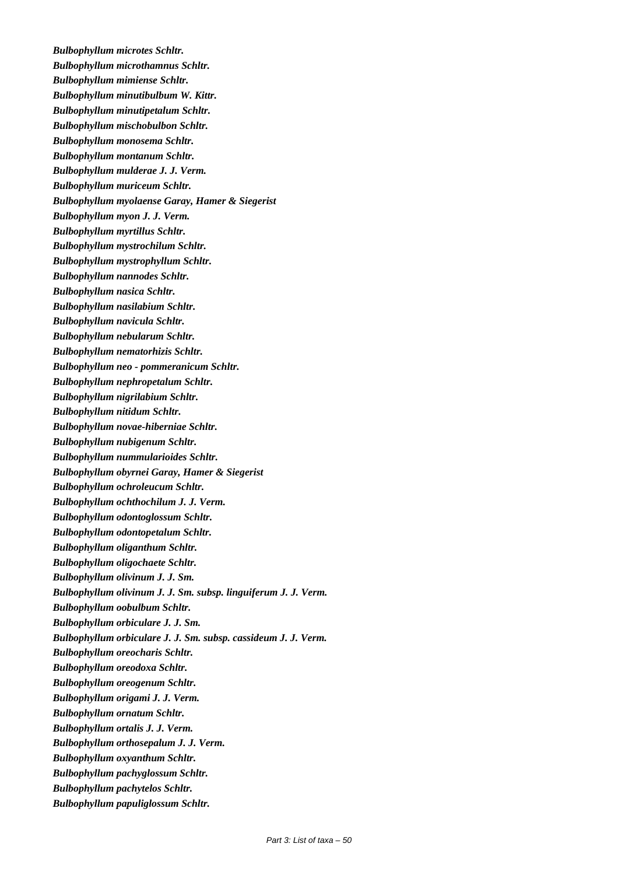*Bulbophyllum microtes Schltr. Bulbophyllum microthamnus Schltr. Bulbophyllum mimiense Schltr. Bulbophyllum minutibulbum W. Kittr. Bulbophyllum minutipetalum Schltr. Bulbophyllum mischobulbon Schltr. Bulbophyllum monosema Schltr. Bulbophyllum montanum Schltr. Bulbophyllum mulderae J. J. Verm. Bulbophyllum muriceum Schltr. Bulbophyllum myolaense Garay, Hamer & Siegerist Bulbophyllum myon J. J. Verm. Bulbophyllum myrtillus Schltr. Bulbophyllum mystrochilum Schltr. Bulbophyllum mystrophyllum Schltr. Bulbophyllum nannodes Schltr. Bulbophyllum nasica Schltr. Bulbophyllum nasilabium Schltr. Bulbophyllum navicula Schltr. Bulbophyllum nebularum Schltr. Bulbophyllum nematorhizis Schltr. Bulbophyllum neo - pommeranicum Schltr. Bulbophyllum nephropetalum Schltr. Bulbophyllum nigrilabium Schltr. Bulbophyllum nitidum Schltr. Bulbophyllum novae-hiberniae Schltr. Bulbophyllum nubigenum Schltr. Bulbophyllum nummularioides Schltr. Bulbophyllum obyrnei Garay, Hamer & Siegerist Bulbophyllum ochroleucum Schltr. Bulbophyllum ochthochilum J. J. Verm. Bulbophyllum odontoglossum Schltr. Bulbophyllum odontopetalum Schltr. Bulbophyllum oliganthum Schltr. Bulbophyllum oligochaete Schltr. Bulbophyllum olivinum J. J. Sm. Bulbophyllum olivinum J. J. Sm. subsp. linguiferum J. J. Verm. Bulbophyllum oobulbum Schltr. Bulbophyllum orbiculare J. J. Sm. Bulbophyllum orbiculare J. J. Sm. subsp. cassideum J. J. Verm. Bulbophyllum oreocharis Schltr. Bulbophyllum oreodoxa Schltr. Bulbophyllum oreogenum Schltr. Bulbophyllum origami J. J. Verm. Bulbophyllum ornatum Schltr. Bulbophyllum ortalis J. J. Verm. Bulbophyllum orthosepalum J. J. Verm. Bulbophyllum oxyanthum Schltr. Bulbophyllum pachyglossum Schltr. Bulbophyllum pachytelos Schltr. Bulbophyllum papuliglossum Schltr.*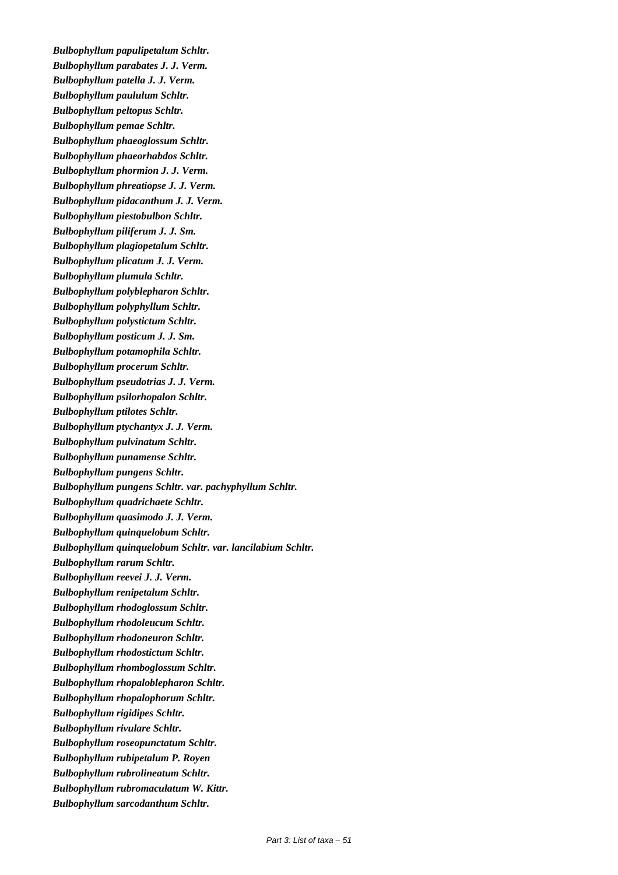*Bulbophyllum papulipetalum Schltr. Bulbophyllum parabates J. J. Verm. Bulbophyllum patella J. J. Verm. Bulbophyllum paululum Schltr. Bulbophyllum peltopus Schltr. Bulbophyllum pemae Schltr. Bulbophyllum phaeoglossum Schltr. Bulbophyllum phaeorhabdos Schltr. Bulbophyllum phormion J. J. Verm. Bulbophyllum phreatiopse J. J. Verm. Bulbophyllum pidacanthum J. J. Verm. Bulbophyllum piestobulbon Schltr. Bulbophyllum piliferum J. J. Sm. Bulbophyllum plagiopetalum Schltr. Bulbophyllum plicatum J. J. Verm. Bulbophyllum plumula Schltr. Bulbophyllum polyblepharon Schltr. Bulbophyllum polyphyllum Schltr. Bulbophyllum polystictum Schltr. Bulbophyllum posticum J. J. Sm. Bulbophyllum potamophila Schltr. Bulbophyllum procerum Schltr. Bulbophyllum pseudotrias J. J. Verm. Bulbophyllum psilorhopalon Schltr. Bulbophyllum ptilotes Schltr. Bulbophyllum ptychantyx J. J. Verm. Bulbophyllum pulvinatum Schltr. Bulbophyllum punamense Schltr. Bulbophyllum pungens Schltr. Bulbophyllum pungens Schltr. var. pachyphyllum Schltr. Bulbophyllum quadrichaete Schltr. Bulbophyllum quasimodo J. J. Verm. Bulbophyllum quinquelobum Schltr. Bulbophyllum quinquelobum Schltr. var. lancilabium Schltr. Bulbophyllum rarum Schltr. Bulbophyllum reevei J. J. Verm. Bulbophyllum renipetalum Schltr. Bulbophyllum rhodoglossum Schltr. Bulbophyllum rhodoleucum Schltr. Bulbophyllum rhodoneuron Schltr. Bulbophyllum rhodostictum Schltr. Bulbophyllum rhomboglossum Schltr. Bulbophyllum rhopaloblepharon Schltr. Bulbophyllum rhopalophorum Schltr. Bulbophyllum rigidipes Schltr. Bulbophyllum rivulare Schltr. Bulbophyllum roseopunctatum Schltr. Bulbophyllum rubipetalum P. Royen Bulbophyllum rubrolineatum Schltr. Bulbophyllum rubromaculatum W. Kittr. Bulbophyllum sarcodanthum Schltr.*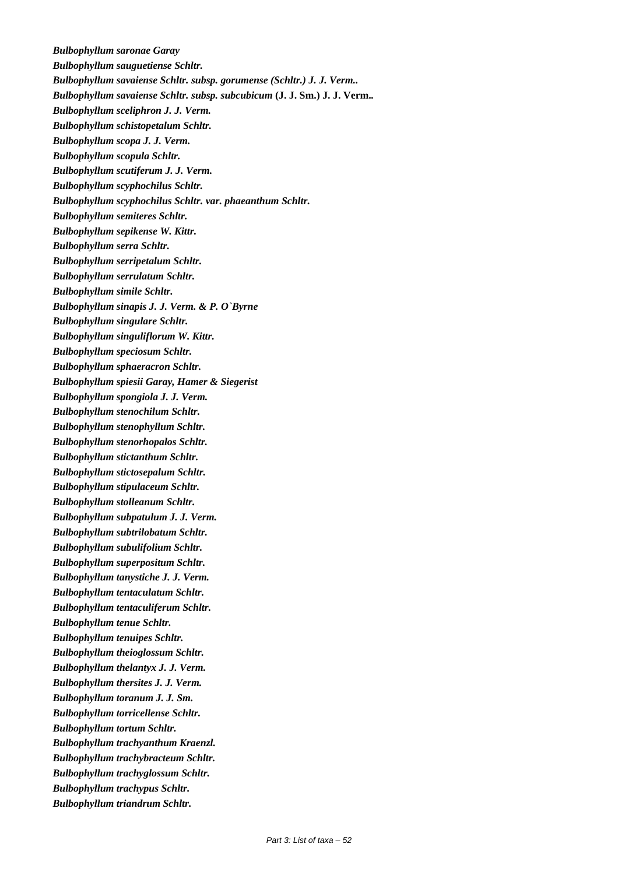*Bulbophyllum saronae Garay Bulbophyllum sauguetiense Schltr. Bulbophyllum savaiense Schltr. subsp. gorumense (Schltr.) J. J. Verm.. Bulbophyllum savaiense Schltr. subsp. subcubicum* **(J. J. Sm.) J. J. Verm.***. Bulbophyllum sceliphron J. J. Verm. Bulbophyllum schistopetalum Schltr. Bulbophyllum scopa J. J. Verm. Bulbophyllum scopula Schltr. Bulbophyllum scutiferum J. J. Verm. Bulbophyllum scyphochilus Schltr. Bulbophyllum scyphochilus Schltr. var. phaeanthum Schltr. Bulbophyllum semiteres Schltr. Bulbophyllum sepikense W. Kittr. Bulbophyllum serra Schltr. Bulbophyllum serripetalum Schltr. Bulbophyllum serrulatum Schltr. Bulbophyllum simile Schltr. Bulbophyllum sinapis J. J. Verm. & P. O`Byrne Bulbophyllum singulare Schltr. Bulbophyllum singuliflorum W. Kittr. Bulbophyllum speciosum Schltr. Bulbophyllum sphaeracron Schltr. Bulbophyllum spiesii Garay, Hamer & Siegerist Bulbophyllum spongiola J. J. Verm. Bulbophyllum stenochilum Schltr. Bulbophyllum stenophyllum Schltr. Bulbophyllum stenorhopalos Schltr. Bulbophyllum stictanthum Schltr. Bulbophyllum stictosepalum Schltr. Bulbophyllum stipulaceum Schltr. Bulbophyllum stolleanum Schltr. Bulbophyllum subpatulum J. J. Verm. Bulbophyllum subtrilobatum Schltr. Bulbophyllum subulifolium Schltr. Bulbophyllum superpositum Schltr. Bulbophyllum tanystiche J. J. Verm. Bulbophyllum tentaculatum Schltr. Bulbophyllum tentaculiferum Schltr. Bulbophyllum tenue Schltr. Bulbophyllum tenuipes Schltr. Bulbophyllum theioglossum Schltr. Bulbophyllum thelantyx J. J. Verm. Bulbophyllum thersites J. J. Verm. Bulbophyllum toranum J. J. Sm. Bulbophyllum torricellense Schltr. Bulbophyllum tortum Schltr. Bulbophyllum trachyanthum Kraenzl. Bulbophyllum trachybracteum Schltr. Bulbophyllum trachyglossum Schltr. Bulbophyllum trachypus Schltr. Bulbophyllum triandrum Schltr.*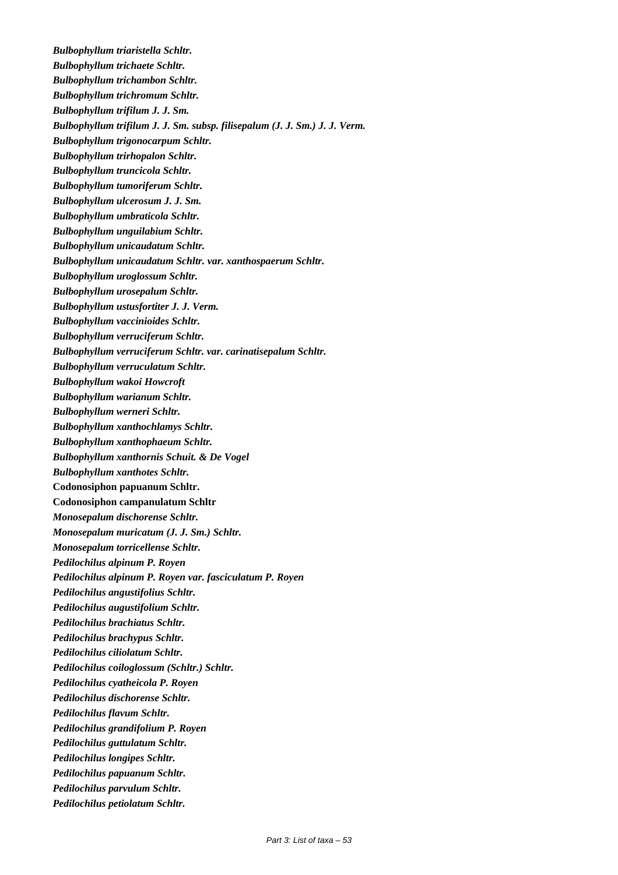*Bulbophyllum triaristella Schltr. Bulbophyllum trichaete Schltr. Bulbophyllum trichambon Schltr. Bulbophyllum trichromum Schltr. Bulbophyllum trifilum J. J. Sm. Bulbophyllum trifilum J. J. Sm. subsp. filisepalum (J. J. Sm.) J. J. Verm. Bulbophyllum trigonocarpum Schltr. Bulbophyllum trirhopalon Schltr. Bulbophyllum truncicola Schltr. Bulbophyllum tumoriferum Schltr. Bulbophyllum ulcerosum J. J. Sm. Bulbophyllum umbraticola Schltr. Bulbophyllum unguilabium Schltr. Bulbophyllum unicaudatum Schltr. Bulbophyllum unicaudatum Schltr. var. xanthospaerum Schltr. Bulbophyllum uroglossum Schltr. Bulbophyllum urosepalum Schltr. Bulbophyllum ustusfortiter J. J. Verm. Bulbophyllum vaccinioides Schltr. Bulbophyllum verruciferum Schltr. Bulbophyllum verruciferum Schltr. var. carinatisepalum Schltr. Bulbophyllum verruculatum Schltr. Bulbophyllum wakoi Howcroft Bulbophyllum warianum Schltr. Bulbophyllum werneri Schltr. Bulbophyllum xanthochlamys Schltr. Bulbophyllum xanthophaeum Schltr. Bulbophyllum xanthornis Schuit. & De Vogel Bulbophyllum xanthotes Schltr.*  **Codonosiphon papuanum Schltr. Codonosiphon campanulatum Schltr** *Monosepalum dischorense Schltr. Monosepalum muricatum (J. J. Sm.) Schltr. Monosepalum torricellense Schltr. Pedilochilus alpinum P. Royen Pedilochilus alpinum P. Royen var. fasciculatum P. Royen Pedilochilus angustifolius Schltr. Pedilochilus augustifolium Schltr. Pedilochilus brachiatus Schltr. Pedilochilus brachypus Schltr. Pedilochilus ciliolatum Schltr. Pedilochilus coiloglossum (Schltr.) Schltr. Pedilochilus cyatheicola P. Royen Pedilochilus dischorense Schltr. Pedilochilus flavum Schltr. Pedilochilus grandifolium P. Royen Pedilochilus guttulatum Schltr. Pedilochilus longipes Schltr. Pedilochilus papuanum Schltr. Pedilochilus parvulum Schltr. Pedilochilus petiolatum Schltr.*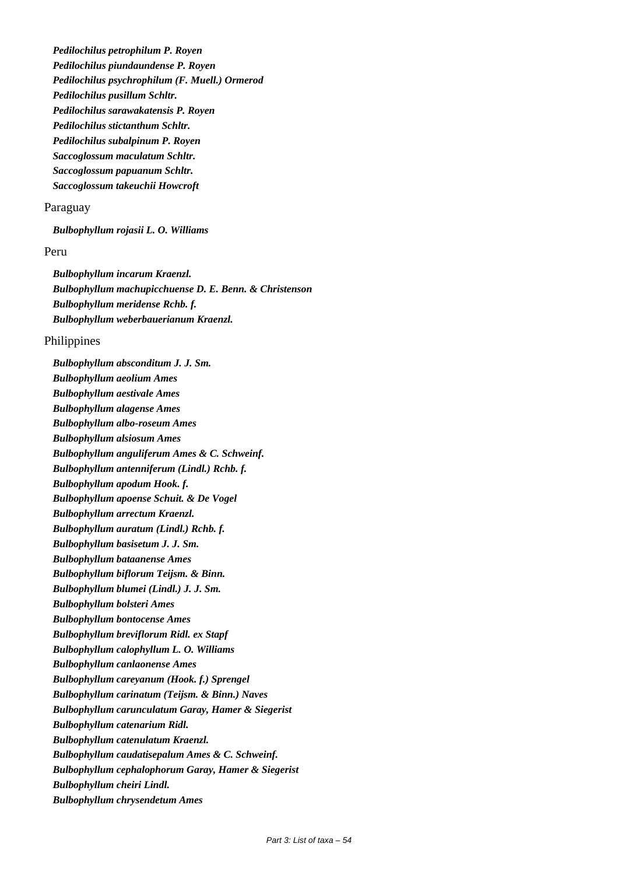*Pedilochilus petrophilum P. Royen Pedilochilus piundaundense P. Royen Pedilochilus psychrophilum (F. Muell.) Ormerod Pedilochilus pusillum Schltr. Pedilochilus sarawakatensis P. Royen Pedilochilus stictanthum Schltr. Pedilochilus subalpinum P. Royen Saccoglossum maculatum Schltr. Saccoglossum papuanum Schltr. Saccoglossum takeuchii Howcroft*

#### Paraguay

*Bulbophyllum rojasii L. O. Williams*

#### Peru

*Bulbophyllum incarum Kraenzl. Bulbophyllum machupicchuense D. E. Benn. & Christenson Bulbophyllum meridense Rchb. f. Bulbophyllum weberbauerianum Kraenzl.*

#### Philippines

*Bulbophyllum absconditum J. J. Sm. Bulbophyllum aeolium Ames Bulbophyllum aestivale Ames Bulbophyllum alagense Ames Bulbophyllum albo-roseum Ames Bulbophyllum alsiosum Ames Bulbophyllum anguliferum Ames & C. Schweinf. Bulbophyllum antenniferum (Lindl.) Rchb. f. Bulbophyllum apodum Hook. f. Bulbophyllum apoense Schuit. & De Vogel Bulbophyllum arrectum Kraenzl. Bulbophyllum auratum (Lindl.) Rchb. f. Bulbophyllum basisetum J. J. Sm. Bulbophyllum bataanense Ames Bulbophyllum biflorum Teijsm. & Binn. Bulbophyllum blumei (Lindl.) J. J. Sm. Bulbophyllum bolsteri Ames Bulbophyllum bontocense Ames Bulbophyllum breviflorum Ridl. ex Stapf Bulbophyllum calophyllum L. O. Williams Bulbophyllum canlaonense Ames Bulbophyllum careyanum (Hook. f.) Sprengel Bulbophyllum carinatum (Teijsm. & Binn.) Naves Bulbophyllum carunculatum Garay, Hamer & Siegerist Bulbophyllum catenarium Ridl. Bulbophyllum catenulatum Kraenzl. Bulbophyllum caudatisepalum Ames & C. Schweinf. Bulbophyllum cephalophorum Garay, Hamer & Siegerist Bulbophyllum cheiri Lindl. Bulbophyllum chrysendetum Ames*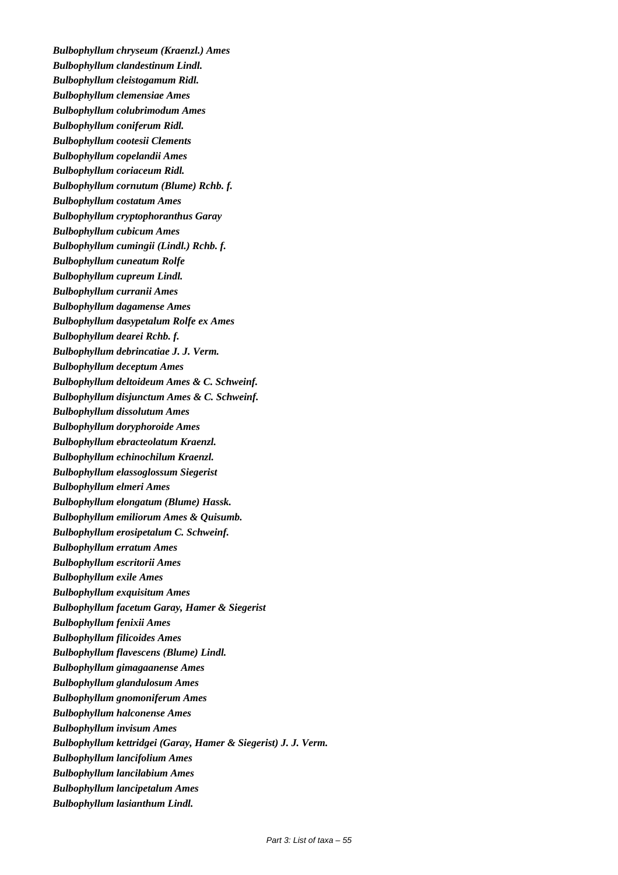*Bulbophyllum chryseum (Kraenzl.) Ames Bulbophyllum clandestinum Lindl. Bulbophyllum cleistogamum Ridl. Bulbophyllum clemensiae Ames Bulbophyllum colubrimodum Ames Bulbophyllum coniferum Ridl. Bulbophyllum cootesii Clements Bulbophyllum copelandii Ames Bulbophyllum coriaceum Ridl. Bulbophyllum cornutum (Blume) Rchb. f. Bulbophyllum costatum Ames Bulbophyllum cryptophoranthus Garay Bulbophyllum cubicum Ames Bulbophyllum cumingii (Lindl.) Rchb. f. Bulbophyllum cuneatum Rolfe Bulbophyllum cupreum Lindl. Bulbophyllum curranii Ames Bulbophyllum dagamense Ames Bulbophyllum dasypetalum Rolfe ex Ames Bulbophyllum dearei Rchb. f. Bulbophyllum debrincatiae J. J. Verm. Bulbophyllum deceptum Ames Bulbophyllum deltoideum Ames & C. Schweinf. Bulbophyllum disjunctum Ames & C. Schweinf. Bulbophyllum dissolutum Ames Bulbophyllum doryphoroide Ames Bulbophyllum ebracteolatum Kraenzl. Bulbophyllum echinochilum Kraenzl. Bulbophyllum elassoglossum Siegerist Bulbophyllum elmeri Ames Bulbophyllum elongatum (Blume) Hassk. Bulbophyllum emiliorum Ames & Quisumb. Bulbophyllum erosipetalum C. Schweinf. Bulbophyllum erratum Ames Bulbophyllum escritorii Ames Bulbophyllum exile Ames Bulbophyllum exquisitum Ames Bulbophyllum facetum Garay, Hamer & Siegerist Bulbophyllum fenixii Ames Bulbophyllum filicoides Ames Bulbophyllum flavescens (Blume) Lindl. Bulbophyllum gimagaanense Ames Bulbophyllum glandulosum Ames Bulbophyllum gnomoniferum Ames Bulbophyllum halconense Ames Bulbophyllum invisum Ames Bulbophyllum kettridgei (Garay, Hamer & Siegerist) J. J. Verm. Bulbophyllum lancifolium Ames Bulbophyllum lancilabium Ames Bulbophyllum lancipetalum Ames Bulbophyllum lasianthum Lindl.*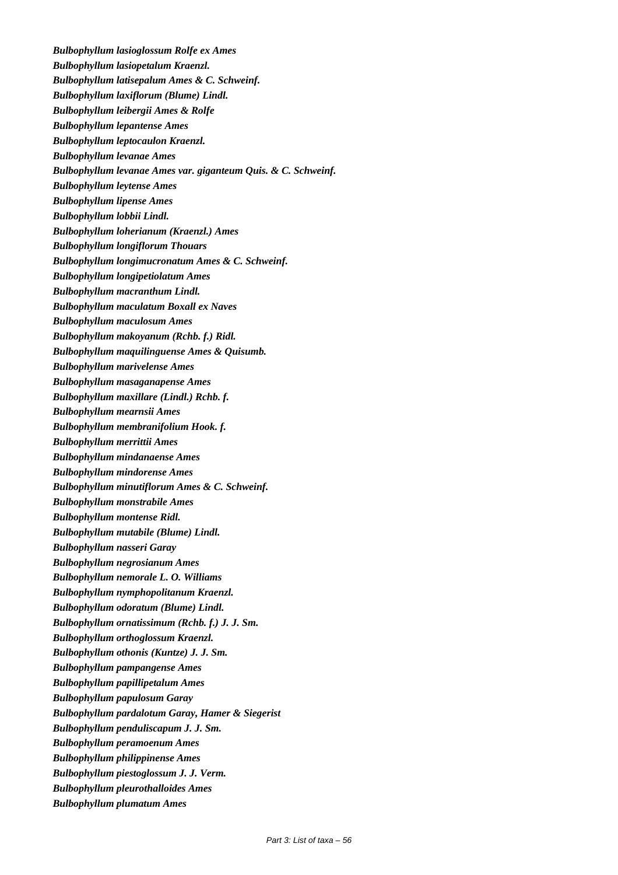*Bulbophyllum lasioglossum Rolfe ex Ames Bulbophyllum lasiopetalum Kraenzl. Bulbophyllum latisepalum Ames & C. Schweinf. Bulbophyllum laxiflorum (Blume) Lindl. Bulbophyllum leibergii Ames & Rolfe Bulbophyllum lepantense Ames Bulbophyllum leptocaulon Kraenzl. Bulbophyllum levanae Ames Bulbophyllum levanae Ames var. giganteum Quis. & C. Schweinf. Bulbophyllum leytense Ames Bulbophyllum lipense Ames Bulbophyllum lobbii Lindl. Bulbophyllum loherianum (Kraenzl.) Ames Bulbophyllum longiflorum Thouars Bulbophyllum longimucronatum Ames & C. Schweinf. Bulbophyllum longipetiolatum Ames Bulbophyllum macranthum Lindl. Bulbophyllum maculatum Boxall ex Naves Bulbophyllum maculosum Ames Bulbophyllum makoyanum (Rchb. f.) Ridl. Bulbophyllum maquilinguense Ames & Quisumb. Bulbophyllum marivelense Ames Bulbophyllum masaganapense Ames Bulbophyllum maxillare (Lindl.) Rchb. f. Bulbophyllum mearnsii Ames Bulbophyllum membranifolium Hook. f. Bulbophyllum merrittii Ames Bulbophyllum mindanaense Ames Bulbophyllum mindorense Ames Bulbophyllum minutiflorum Ames & C. Schweinf. Bulbophyllum monstrabile Ames Bulbophyllum montense Ridl. Bulbophyllum mutabile (Blume) Lindl. Bulbophyllum nasseri Garay Bulbophyllum negrosianum Ames Bulbophyllum nemorale L. O. Williams Bulbophyllum nymphopolitanum Kraenzl. Bulbophyllum odoratum (Blume) Lindl. Bulbophyllum ornatissimum (Rchb. f.) J. J. Sm. Bulbophyllum orthoglossum Kraenzl. Bulbophyllum othonis (Kuntze) J. J. Sm. Bulbophyllum pampangense Ames Bulbophyllum papillipetalum Ames Bulbophyllum papulosum Garay Bulbophyllum pardalotum Garay, Hamer & Siegerist Bulbophyllum penduliscapum J. J. Sm. Bulbophyllum peramoenum Ames Bulbophyllum philippinense Ames Bulbophyllum piestoglossum J. J. Verm. Bulbophyllum pleurothalloides Ames Bulbophyllum plumatum Ames*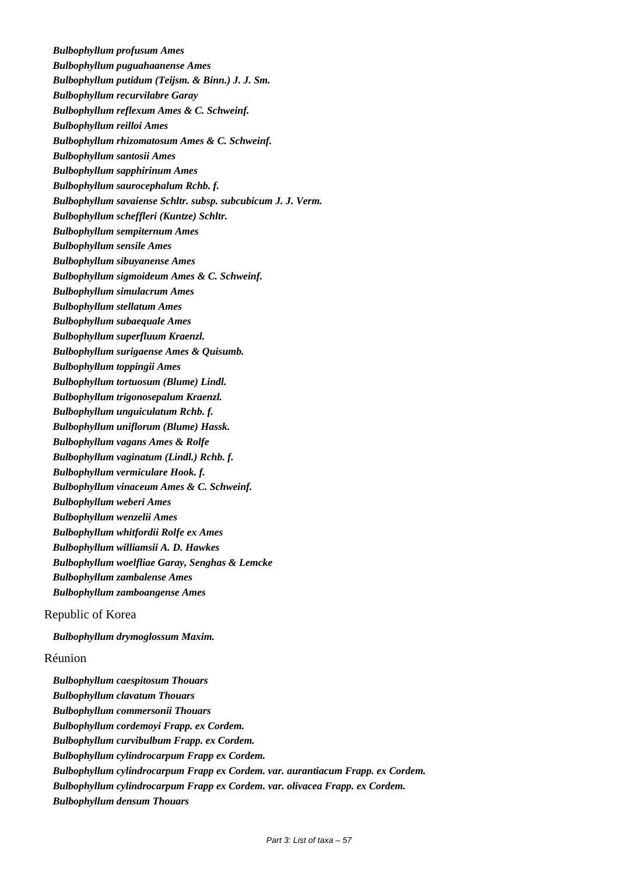*Bulbophyllum profusum Ames Bulbophyllum puguahaanense Ames Bulbophyllum putidum (Teijsm. & Binn.) J. J. Sm. Bulbophyllum recurvilabre Garay Bulbophyllum reflexum Ames & C. Schweinf. Bulbophyllum reilloi Ames Bulbophyllum rhizomatosum Ames & C. Schweinf. Bulbophyllum santosii Ames Bulbophyllum sapphirinum Ames Bulbophyllum saurocephalum Rchb. f. Bulbophyllum savaiense Schltr. subsp. subcubicum J. J. Verm. Bulbophyllum scheffleri (Kuntze) Schltr. Bulbophyllum sempiternum Ames Bulbophyllum sensile Ames Bulbophyllum sibuyanense Ames Bulbophyllum sigmoideum Ames & C. Schweinf. Bulbophyllum simulacrum Ames Bulbophyllum stellatum Ames Bulbophyllum subaequale Ames Bulbophyllum superfluum Kraenzl. Bulbophyllum surigaense Ames & Quisumb. Bulbophyllum toppingii Ames Bulbophyllum tortuosum (Blume) Lindl. Bulbophyllum trigonosepalum Kraenzl. Bulbophyllum unguiculatum Rchb. f. Bulbophyllum uniflorum (Blume) Hassk. Bulbophyllum vagans Ames & Rolfe Bulbophyllum vaginatum (Lindl.) Rchb. f. Bulbophyllum vermiculare Hook. f. Bulbophyllum vinaceum Ames & C. Schweinf. Bulbophyllum weberi Ames Bulbophyllum wenzelii Ames Bulbophyllum whitfordii Rolfe ex Ames Bulbophyllum williamsii A. D. Hawkes Bulbophyllum woelfliae Garay, Senghas & Lemcke Bulbophyllum zambalense Ames Bulbophyllum zamboangense Ames* Republic of Korea

*Bulbophyllum drymoglossum Maxim.*

# Réunion

*Bulbophyllum caespitosum Thouars Bulbophyllum clavatum Thouars Bulbophyllum commersonii Thouars Bulbophyllum cordemoyi Frapp. ex Cordem. Bulbophyllum curvibulbum Frapp. ex Cordem. Bulbophyllum cylindrocarpum Frapp ex Cordem. Bulbophyllum cylindrocarpum Frapp ex Cordem. var. aurantiacum Frapp. ex Cordem. Bulbophyllum cylindrocarpum Frapp ex Cordem. var. olivacea Frapp. ex Cordem. Bulbophyllum densum Thouars*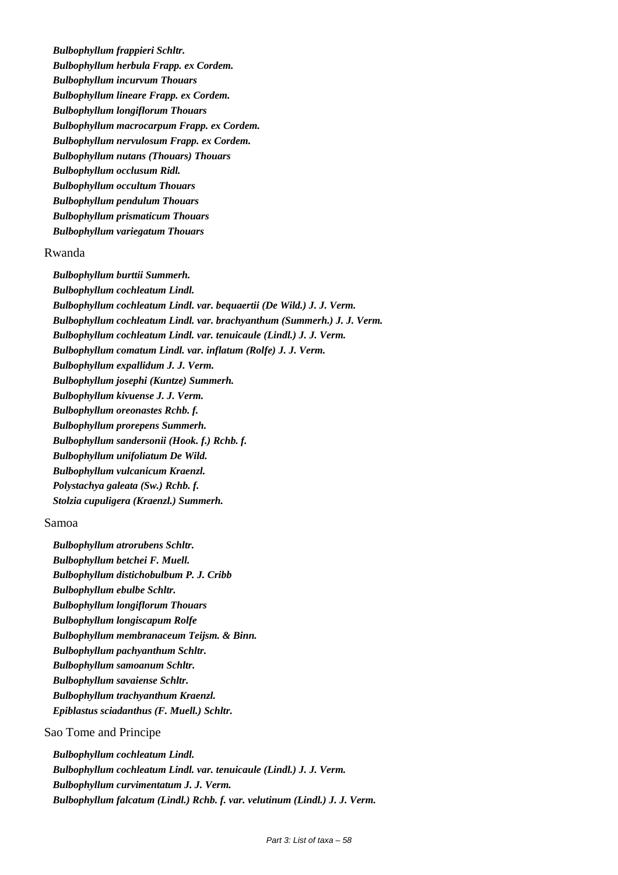*Bulbophyllum frappieri Schltr. Bulbophyllum herbula Frapp. ex Cordem. Bulbophyllum incurvum Thouars Bulbophyllum lineare Frapp. ex Cordem. Bulbophyllum longiflorum Thouars Bulbophyllum macrocarpum Frapp. ex Cordem. Bulbophyllum nervulosum Frapp. ex Cordem. Bulbophyllum nutans (Thouars) Thouars Bulbophyllum occlusum Ridl. Bulbophyllum occultum Thouars Bulbophyllum pendulum Thouars Bulbophyllum prismaticum Thouars Bulbophyllum variegatum Thouars*

#### Rwanda

*Bulbophyllum burttii Summerh. Bulbophyllum cochleatum Lindl. Bulbophyllum cochleatum Lindl. var. bequaertii (De Wild.) J. J. Verm. Bulbophyllum cochleatum Lindl. var. brachyanthum (Summerh.) J. J. Verm. Bulbophyllum cochleatum Lindl. var. tenuicaule (Lindl.) J. J. Verm. Bulbophyllum comatum Lindl. var. inflatum (Rolfe) J. J. Verm. Bulbophyllum expallidum J. J. Verm. Bulbophyllum josephi (Kuntze) Summerh. Bulbophyllum kivuense J. J. Verm. Bulbophyllum oreonastes Rchb. f. Bulbophyllum prorepens Summerh. Bulbophyllum sandersonii (Hook. f.) Rchb. f. Bulbophyllum unifoliatum De Wild. Bulbophyllum vulcanicum Kraenzl. Polystachya galeata (Sw.) Rchb. f. Stolzia cupuligera (Kraenzl.) Summerh.*

#### Samoa

*Bulbophyllum atrorubens Schltr. Bulbophyllum betchei F. Muell. Bulbophyllum distichobulbum P. J. Cribb Bulbophyllum ebulbe Schltr. Bulbophyllum longiflorum Thouars Bulbophyllum longiscapum Rolfe Bulbophyllum membranaceum Teijsm. & Binn. Bulbophyllum pachyanthum Schltr. Bulbophyllum samoanum Schltr. Bulbophyllum savaiense Schltr. Bulbophyllum trachyanthum Kraenzl. Epiblastus sciadanthus (F. Muell.) Schltr.*

# Sao Tome and Principe

*Bulbophyllum cochleatum Lindl. Bulbophyllum cochleatum Lindl. var. tenuicaule (Lindl.) J. J. Verm. Bulbophyllum curvimentatum J. J. Verm. Bulbophyllum falcatum (Lindl.) Rchb. f. var. velutinum (Lindl.) J. J. Verm.*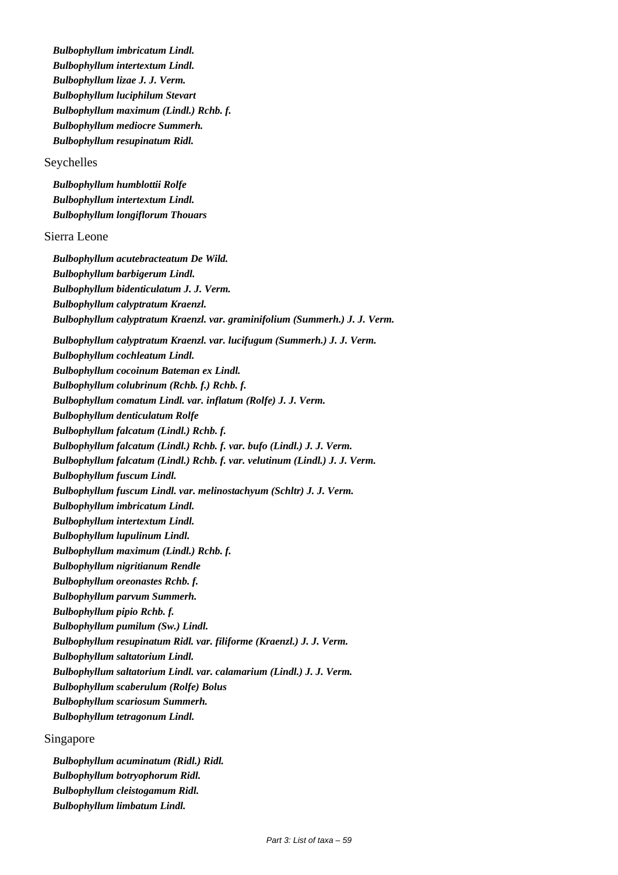*Bulbophyllum imbricatum Lindl. Bulbophyllum intertextum Lindl. Bulbophyllum lizae J. J. Verm. Bulbophyllum luciphilum Stevart Bulbophyllum maximum (Lindl.) Rchb. f. Bulbophyllum mediocre Summerh. Bulbophyllum resupinatum Ridl.* Seychelles *Bulbophyllum humblottii Rolfe Bulbophyllum intertextum Lindl. Bulbophyllum longiflorum Thouars* Sierra Leone *Bulbophyllum acutebracteatum De Wild. Bulbophyllum barbigerum Lindl. Bulbophyllum bidenticulatum J. J. Verm. Bulbophyllum calyptratum Kraenzl. Bulbophyllum calyptratum Kraenzl. var. graminifolium (Summerh.) J. J. Verm. Bulbophyllum calyptratum Kraenzl. var. lucifugum (Summerh.) J. J. Verm. Bulbophyllum cochleatum Lindl. Bulbophyllum cocoinum Bateman ex Lindl. Bulbophyllum colubrinum (Rchb. f.) Rchb. f. Bulbophyllum comatum Lindl. var. inflatum (Rolfe) J. J. Verm. Bulbophyllum denticulatum Rolfe Bulbophyllum falcatum (Lindl.) Rchb. f. Bulbophyllum falcatum (Lindl.) Rchb. f. var. bufo (Lindl.) J. J. Verm. Bulbophyllum falcatum (Lindl.) Rchb. f. var. velutinum (Lindl.) J. J. Verm. Bulbophyllum fuscum Lindl. Bulbophyllum fuscum Lindl. var. melinostachyum (Schltr) J. J. Verm. Bulbophyllum imbricatum Lindl. Bulbophyllum intertextum Lindl. Bulbophyllum lupulinum Lindl. Bulbophyllum maximum (Lindl.) Rchb. f. Bulbophyllum nigritianum Rendle Bulbophyllum oreonastes Rchb. f. Bulbophyllum parvum Summerh. Bulbophyllum pipio Rchb. f. Bulbophyllum pumilum (Sw.) Lindl. Bulbophyllum resupinatum Ridl. var. filiforme (Kraenzl.) J. J. Verm. Bulbophyllum saltatorium Lindl. Bulbophyllum saltatorium Lindl. var. calamarium (Lindl.) J. J. Verm. Bulbophyllum scaberulum (Rolfe) Bolus Bulbophyllum scariosum Summerh. Bulbophyllum tetragonum Lindl.* Singapore

*Bulbophyllum acuminatum (Ridl.) Ridl. Bulbophyllum botryophorum Ridl. Bulbophyllum cleistogamum Ridl. Bulbophyllum limbatum Lindl.*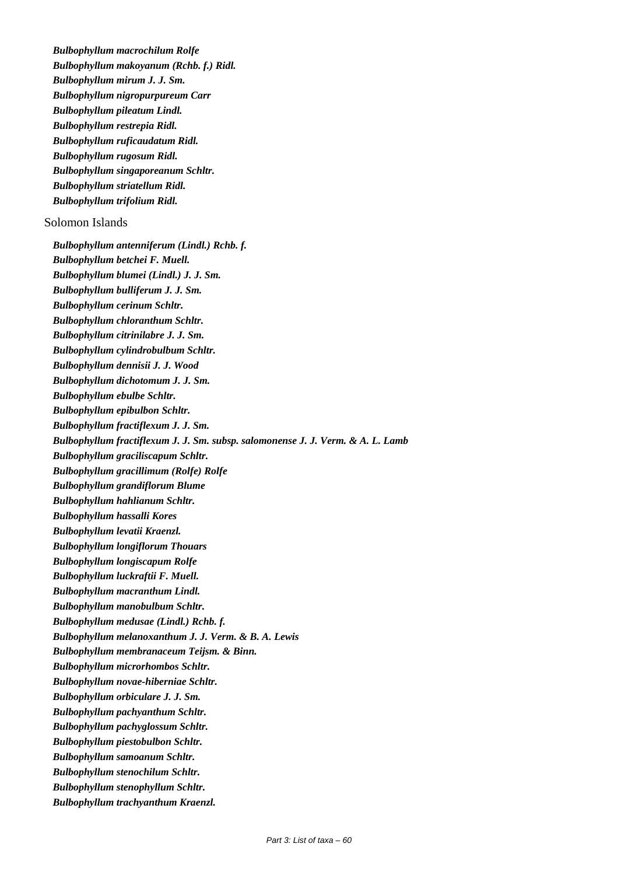*Bulbophyllum macrochilum Rolfe Bulbophyllum makoyanum (Rchb. f.) Ridl. Bulbophyllum mirum J. J. Sm. Bulbophyllum nigropurpureum Carr Bulbophyllum pileatum Lindl. Bulbophyllum restrepia Ridl. Bulbophyllum ruficaudatum Ridl. Bulbophyllum rugosum Ridl. Bulbophyllum singaporeanum Schltr. Bulbophyllum striatellum Ridl. Bulbophyllum trifolium Ridl.*

# Solomon Islands

*Bulbophyllum antenniferum (Lindl.) Rchb. f. Bulbophyllum betchei F. Muell. Bulbophyllum blumei (Lindl.) J. J. Sm. Bulbophyllum bulliferum J. J. Sm. Bulbophyllum cerinum Schltr. Bulbophyllum chloranthum Schltr. Bulbophyllum citrinilabre J. J. Sm. Bulbophyllum cylindrobulbum Schltr. Bulbophyllum dennisii J. J. Wood Bulbophyllum dichotomum J. J. Sm. Bulbophyllum ebulbe Schltr. Bulbophyllum epibulbon Schltr. Bulbophyllum fractiflexum J. J. Sm. Bulbophyllum fractiflexum J. J. Sm. subsp. salomonense J. J. Verm. & A. L. Lamb Bulbophyllum graciliscapum Schltr. Bulbophyllum gracillimum (Rolfe) Rolfe Bulbophyllum grandiflorum Blume Bulbophyllum hahlianum Schltr. Bulbophyllum hassalli Kores Bulbophyllum levatii Kraenzl. Bulbophyllum longiflorum Thouars Bulbophyllum longiscapum Rolfe Bulbophyllum luckraftii F. Muell. Bulbophyllum macranthum Lindl. Bulbophyllum manobulbum Schltr. Bulbophyllum medusae (Lindl.) Rchb. f. Bulbophyllum melanoxanthum J. J. Verm. & B. A. Lewis Bulbophyllum membranaceum Teijsm. & Binn. Bulbophyllum microrhombos Schltr. Bulbophyllum novae-hiberniae Schltr. Bulbophyllum orbiculare J. J. Sm. Bulbophyllum pachyanthum Schltr. Bulbophyllum pachyglossum Schltr. Bulbophyllum piestobulbon Schltr. Bulbophyllum samoanum Schltr. Bulbophyllum stenochilum Schltr. Bulbophyllum stenophyllum Schltr. Bulbophyllum trachyanthum Kraenzl.*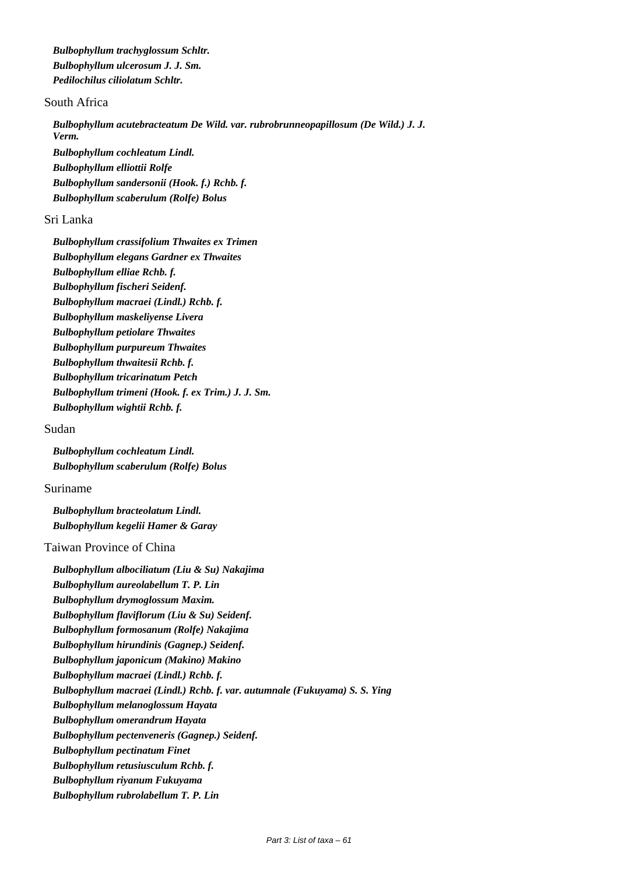*Bulbophyllum trachyglossum Schltr. Bulbophyllum ulcerosum J. J. Sm. Pedilochilus ciliolatum Schltr.*

# South Africa

*Bulbophyllum acutebracteatum De Wild. var. rubrobrunneopapillosum (De Wild.) J. J. Verm. Bulbophyllum cochleatum Lindl. Bulbophyllum elliottii Rolfe Bulbophyllum sandersonii (Hook. f.) Rchb. f. Bulbophyllum scaberulum (Rolfe) Bolus*

# Sri Lanka

*Bulbophyllum crassifolium Thwaites ex Trimen Bulbophyllum elegans Gardner ex Thwaites Bulbophyllum elliae Rchb. f. Bulbophyllum fischeri Seidenf. Bulbophyllum macraei (Lindl.) Rchb. f. Bulbophyllum maskeliyense Livera Bulbophyllum petiolare Thwaites Bulbophyllum purpureum Thwaites Bulbophyllum thwaitesii Rchb. f. Bulbophyllum tricarinatum Petch Bulbophyllum trimeni (Hook. f. ex Trim.) J. J. Sm. Bulbophyllum wightii Rchb. f.*

#### Sudan

*Bulbophyllum cochleatum Lindl. Bulbophyllum scaberulum (Rolfe) Bolus*

# Suriname

*Bulbophyllum bracteolatum Lindl. Bulbophyllum kegelii Hamer & Garay*

#### Taiwan Province of China

*Bulbophyllum albociliatum (Liu & Su) Nakajima Bulbophyllum aureolabellum T. P. Lin Bulbophyllum drymoglossum Maxim. Bulbophyllum flaviflorum (Liu & Su) Seidenf. Bulbophyllum formosanum (Rolfe) Nakajima Bulbophyllum hirundinis (Gagnep.) Seidenf. Bulbophyllum japonicum (Makino) Makino Bulbophyllum macraei (Lindl.) Rchb. f. Bulbophyllum macraei (Lindl.) Rchb. f. var. autumnale (Fukuyama) S. S. Ying Bulbophyllum melanoglossum Hayata Bulbophyllum omerandrum Hayata Bulbophyllum pectenveneris (Gagnep.) Seidenf. Bulbophyllum pectinatum Finet Bulbophyllum retusiusculum Rchb. f. Bulbophyllum riyanum Fukuyama Bulbophyllum rubrolabellum T. P. Lin*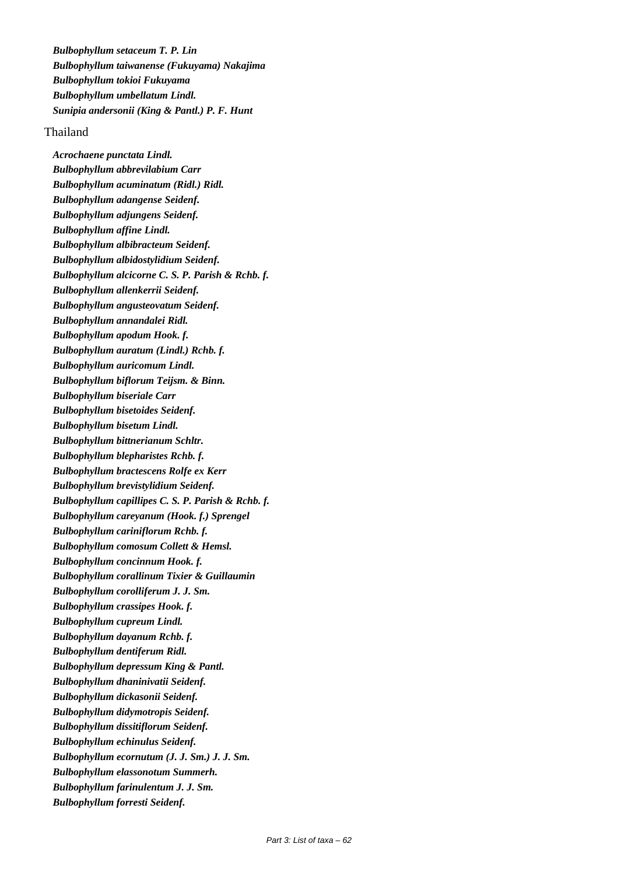*Bulbophyllum setaceum T. P. Lin Bulbophyllum taiwanense (Fukuyama) Nakajima Bulbophyllum tokioi Fukuyama Bulbophyllum umbellatum Lindl. Sunipia andersonii (King & Pantl.) P. F. Hunt*

#### Thailand

*Acrochaene punctata Lindl. Bulbophyllum abbrevilabium Carr Bulbophyllum acuminatum (Ridl.) Ridl. Bulbophyllum adangense Seidenf. Bulbophyllum adjungens Seidenf. Bulbophyllum affine Lindl. Bulbophyllum albibracteum Seidenf. Bulbophyllum albidostylidium Seidenf. Bulbophyllum alcicorne C. S. P. Parish & Rchb. f. Bulbophyllum allenkerrii Seidenf. Bulbophyllum angusteovatum Seidenf. Bulbophyllum annandalei Ridl. Bulbophyllum apodum Hook. f. Bulbophyllum auratum (Lindl.) Rchb. f. Bulbophyllum auricomum Lindl. Bulbophyllum biflorum Teijsm. & Binn. Bulbophyllum biseriale Carr Bulbophyllum bisetoides Seidenf. Bulbophyllum bisetum Lindl. Bulbophyllum bittnerianum Schltr. Bulbophyllum blepharistes Rchb. f. Bulbophyllum bractescens Rolfe ex Kerr Bulbophyllum brevistylidium Seidenf. Bulbophyllum capillipes C. S. P. Parish & Rchb. f. Bulbophyllum careyanum (Hook. f.) Sprengel Bulbophyllum cariniflorum Rchb. f. Bulbophyllum comosum Collett & Hemsl. Bulbophyllum concinnum Hook. f. Bulbophyllum corallinum Tixier & Guillaumin Bulbophyllum corolliferum J. J. Sm. Bulbophyllum crassipes Hook. f. Bulbophyllum cupreum Lindl. Bulbophyllum dayanum Rchb. f. Bulbophyllum dentiferum Ridl. Bulbophyllum depressum King & Pantl. Bulbophyllum dhaninivatii Seidenf. Bulbophyllum dickasonii Seidenf. Bulbophyllum didymotropis Seidenf. Bulbophyllum dissitiflorum Seidenf. Bulbophyllum echinulus Seidenf. Bulbophyllum ecornutum (J. J. Sm.) J. J. Sm. Bulbophyllum elassonotum Summerh. Bulbophyllum farinulentum J. J. Sm. Bulbophyllum forresti Seidenf.*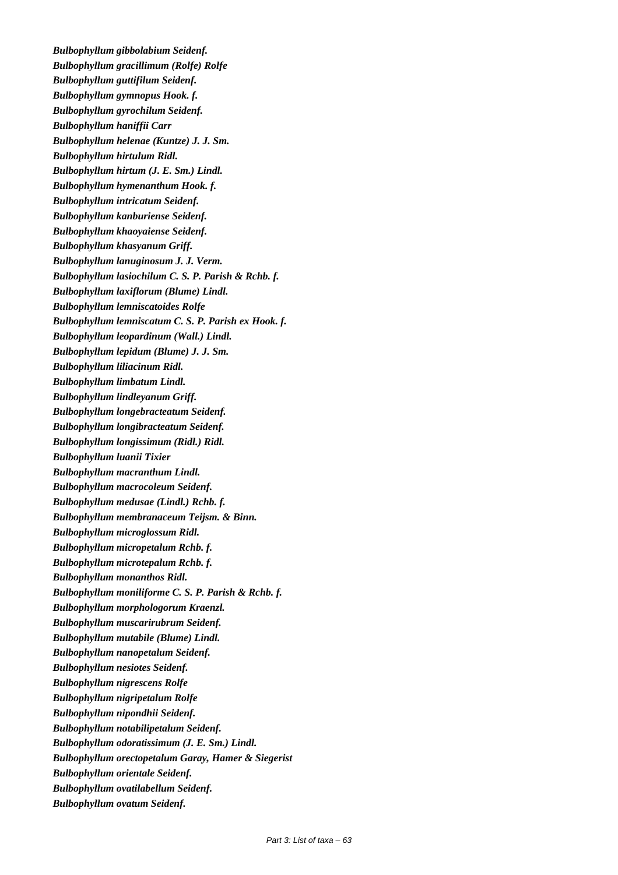*Bulbophyllum gibbolabium Seidenf. Bulbophyllum gracillimum (Rolfe) Rolfe Bulbophyllum guttifilum Seidenf. Bulbophyllum gymnopus Hook. f. Bulbophyllum gyrochilum Seidenf. Bulbophyllum haniffii Carr Bulbophyllum helenae (Kuntze) J. J. Sm. Bulbophyllum hirtulum Ridl. Bulbophyllum hirtum (J. E. Sm.) Lindl. Bulbophyllum hymenanthum Hook. f. Bulbophyllum intricatum Seidenf. Bulbophyllum kanburiense Seidenf. Bulbophyllum khaoyaiense Seidenf. Bulbophyllum khasyanum Griff. Bulbophyllum lanuginosum J. J. Verm. Bulbophyllum lasiochilum C. S. P. Parish & Rchb. f. Bulbophyllum laxiflorum (Blume) Lindl. Bulbophyllum lemniscatoides Rolfe Bulbophyllum lemniscatum C. S. P. Parish ex Hook. f. Bulbophyllum leopardinum (Wall.) Lindl. Bulbophyllum lepidum (Blume) J. J. Sm. Bulbophyllum liliacinum Ridl. Bulbophyllum limbatum Lindl. Bulbophyllum lindleyanum Griff. Bulbophyllum longebracteatum Seidenf. Bulbophyllum longibracteatum Seidenf. Bulbophyllum longissimum (Ridl.) Ridl. Bulbophyllum luanii Tixier Bulbophyllum macranthum Lindl. Bulbophyllum macrocoleum Seidenf. Bulbophyllum medusae (Lindl.) Rchb. f. Bulbophyllum membranaceum Teijsm. & Binn. Bulbophyllum microglossum Ridl. Bulbophyllum micropetalum Rchb. f. Bulbophyllum microtepalum Rchb. f. Bulbophyllum monanthos Ridl. Bulbophyllum moniliforme C. S. P. Parish & Rchb. f. Bulbophyllum morphologorum Kraenzl. Bulbophyllum muscarirubrum Seidenf. Bulbophyllum mutabile (Blume) Lindl. Bulbophyllum nanopetalum Seidenf. Bulbophyllum nesiotes Seidenf. Bulbophyllum nigrescens Rolfe Bulbophyllum nigripetalum Rolfe Bulbophyllum nipondhii Seidenf. Bulbophyllum notabilipetalum Seidenf. Bulbophyllum odoratissimum (J. E. Sm.) Lindl. Bulbophyllum orectopetalum Garay, Hamer & Siegerist Bulbophyllum orientale Seidenf. Bulbophyllum ovatilabellum Seidenf. Bulbophyllum ovatum Seidenf.*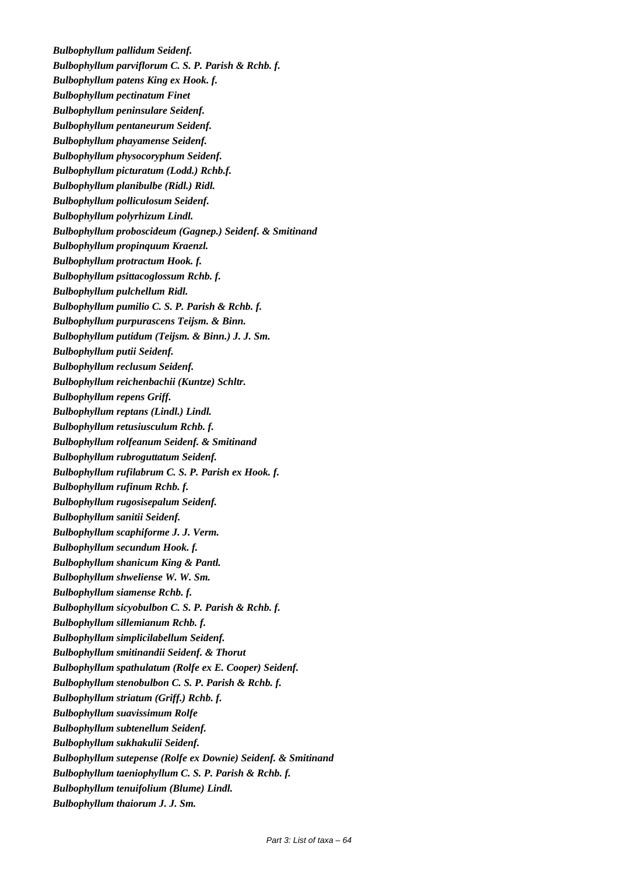*Bulbophyllum pallidum Seidenf. Bulbophyllum parviflorum C. S. P. Parish & Rchb. f. Bulbophyllum patens King ex Hook. f. Bulbophyllum pectinatum Finet Bulbophyllum peninsulare Seidenf. Bulbophyllum pentaneurum Seidenf. Bulbophyllum phayamense Seidenf. Bulbophyllum physocoryphum Seidenf. Bulbophyllum picturatum (Lodd.) Rchb.f. Bulbophyllum planibulbe (Ridl.) Ridl. Bulbophyllum polliculosum Seidenf. Bulbophyllum polyrhizum Lindl. Bulbophyllum proboscideum (Gagnep.) Seidenf. & Smitinand Bulbophyllum propinquum Kraenzl. Bulbophyllum protractum Hook. f. Bulbophyllum psittacoglossum Rchb. f. Bulbophyllum pulchellum Ridl. Bulbophyllum pumilio C. S. P. Parish & Rchb. f. Bulbophyllum purpurascens Teijsm. & Binn. Bulbophyllum putidum (Teijsm. & Binn.) J. J. Sm. Bulbophyllum putii Seidenf. Bulbophyllum reclusum Seidenf. Bulbophyllum reichenbachii (Kuntze) Schltr. Bulbophyllum repens Griff. Bulbophyllum reptans (Lindl.) Lindl. Bulbophyllum retusiusculum Rchb. f. Bulbophyllum rolfeanum Seidenf. & Smitinand Bulbophyllum rubroguttatum Seidenf. Bulbophyllum rufilabrum C. S. P. Parish ex Hook. f. Bulbophyllum rufinum Rchb. f. Bulbophyllum rugosisepalum Seidenf. Bulbophyllum sanitii Seidenf. Bulbophyllum scaphiforme J. J. Verm. Bulbophyllum secundum Hook. f. Bulbophyllum shanicum King & Pantl. Bulbophyllum shweliense W. W. Sm. Bulbophyllum siamense Rchb. f. Bulbophyllum sicyobulbon C. S. P. Parish & Rchb. f. Bulbophyllum sillemianum Rchb. f. Bulbophyllum simplicilabellum Seidenf. Bulbophyllum smitinandii Seidenf. & Thorut Bulbophyllum spathulatum (Rolfe ex E. Cooper) Seidenf. Bulbophyllum stenobulbon C. S. P. Parish & Rchb. f. Bulbophyllum striatum (Griff.) Rchb. f. Bulbophyllum suavissimum Rolfe Bulbophyllum subtenellum Seidenf. Bulbophyllum sukhakulii Seidenf. Bulbophyllum sutepense (Rolfe ex Downie) Seidenf. & Smitinand Bulbophyllum taeniophyllum C. S. P. Parish & Rchb. f. Bulbophyllum tenuifolium (Blume) Lindl. Bulbophyllum thaiorum J. J. Sm.*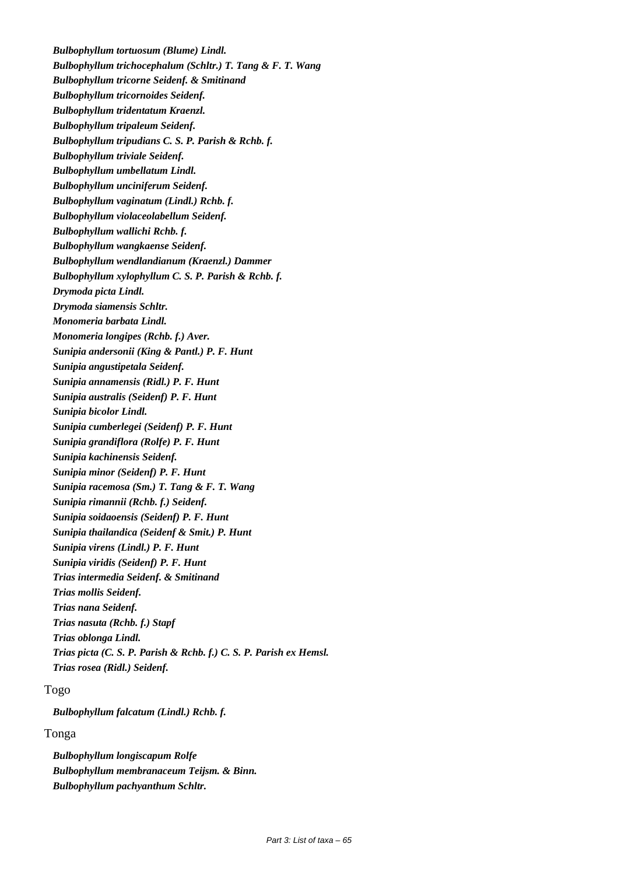*Bulbophyllum tortuosum (Blume) Lindl. Bulbophyllum trichocephalum (Schltr.) T. Tang & F. T. Wang Bulbophyllum tricorne Seidenf. & Smitinand Bulbophyllum tricornoides Seidenf. Bulbophyllum tridentatum Kraenzl. Bulbophyllum tripaleum Seidenf. Bulbophyllum tripudians C. S. P. Parish & Rchb. f. Bulbophyllum triviale Seidenf. Bulbophyllum umbellatum Lindl. Bulbophyllum unciniferum Seidenf. Bulbophyllum vaginatum (Lindl.) Rchb. f. Bulbophyllum violaceolabellum Seidenf. Bulbophyllum wallichi Rchb. f. Bulbophyllum wangkaense Seidenf. Bulbophyllum wendlandianum (Kraenzl.) Dammer Bulbophyllum xylophyllum C. S. P. Parish & Rchb. f. Drymoda picta Lindl. Drymoda siamensis Schltr. Monomeria barbata Lindl. Monomeria longipes (Rchb. f.) Aver. Sunipia andersonii (King & Pantl.) P. F. Hunt Sunipia angustipetala Seidenf. Sunipia annamensis (Ridl.) P. F. Hunt Sunipia australis (Seidenf) P. F. Hunt Sunipia bicolor Lindl. Sunipia cumberlegei (Seidenf) P. F. Hunt Sunipia grandiflora (Rolfe) P. F. Hunt Sunipia kachinensis Seidenf. Sunipia minor (Seidenf) P. F. Hunt Sunipia racemosa (Sm.) T. Tang & F. T. Wang Sunipia rimannii (Rchb. f.) Seidenf. Sunipia soidaoensis (Seidenf) P. F. Hunt Sunipia thailandica (Seidenf & Smit.) P. Hunt Sunipia virens (Lindl.) P. F. Hunt Sunipia viridis (Seidenf) P. F. Hunt Trias intermedia Seidenf. & Smitinand Trias mollis Seidenf. Trias nana Seidenf. Trias nasuta (Rchb. f.) Stapf Trias oblonga Lindl. Trias picta (C. S. P. Parish & Rchb. f.) C. S. P. Parish ex Hemsl. Trias rosea (Ridl.) Seidenf.*

# Togo

*Bulbophyllum falcatum (Lindl.) Rchb. f.*

# Tonga

*Bulbophyllum longiscapum Rolfe Bulbophyllum membranaceum Teijsm. & Binn. Bulbophyllum pachyanthum Schltr.*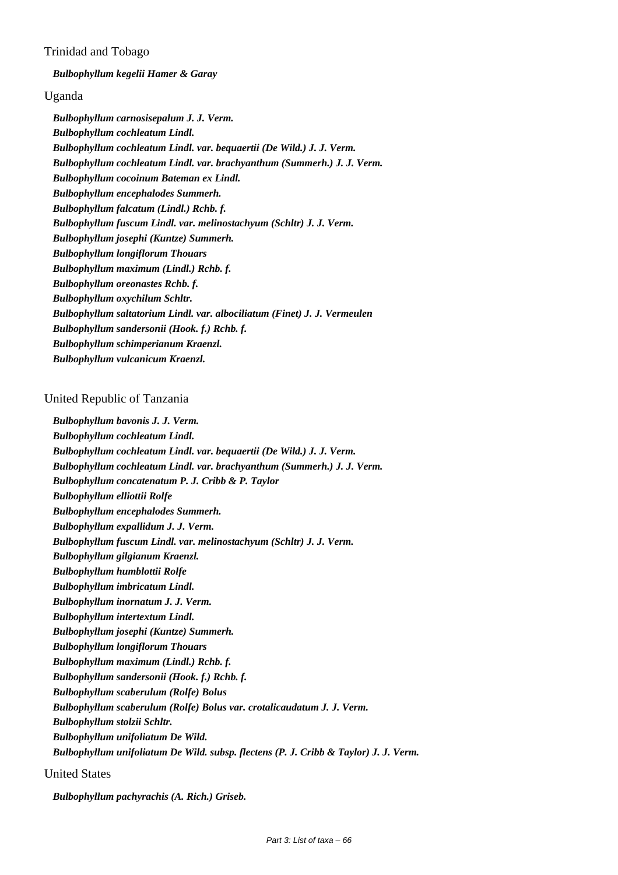# Trinidad and Tobago

*Bulbophyllum kegelii Hamer & Garay*

# Uganda

*Bulbophyllum carnosisepalum J. J. Verm. Bulbophyllum cochleatum Lindl. Bulbophyllum cochleatum Lindl. var. bequaertii (De Wild.) J. J. Verm. Bulbophyllum cochleatum Lindl. var. brachyanthum (Summerh.) J. J. Verm. Bulbophyllum cocoinum Bateman ex Lindl. Bulbophyllum encephalodes Summerh. Bulbophyllum falcatum (Lindl.) Rchb. f. Bulbophyllum fuscum Lindl. var. melinostachyum (Schltr) J. J. Verm. Bulbophyllum josephi (Kuntze) Summerh. Bulbophyllum longiflorum Thouars Bulbophyllum maximum (Lindl.) Rchb. f. Bulbophyllum oreonastes Rchb. f. Bulbophyllum oxychilum Schltr. Bulbophyllum saltatorium Lindl. var. albociliatum (Finet) J. J. Vermeulen Bulbophyllum sandersonii (Hook. f.) Rchb. f. Bulbophyllum schimperianum Kraenzl. Bulbophyllum vulcanicum Kraenzl.*

# United Republic of Tanzania

*Bulbophyllum bavonis J. J. Verm. Bulbophyllum cochleatum Lindl. Bulbophyllum cochleatum Lindl. var. bequaertii (De Wild.) J. J. Verm. Bulbophyllum cochleatum Lindl. var. brachyanthum (Summerh.) J. J. Verm. Bulbophyllum concatenatum P. J. Cribb & P. Taylor Bulbophyllum elliottii Rolfe Bulbophyllum encephalodes Summerh. Bulbophyllum expallidum J. J. Verm. Bulbophyllum fuscum Lindl. var. melinostachyum (Schltr) J. J. Verm. Bulbophyllum gilgianum Kraenzl. Bulbophyllum humblottii Rolfe Bulbophyllum imbricatum Lindl. Bulbophyllum inornatum J. J. Verm. Bulbophyllum intertextum Lindl. Bulbophyllum josephi (Kuntze) Summerh. Bulbophyllum longiflorum Thouars Bulbophyllum maximum (Lindl.) Rchb. f. Bulbophyllum sandersonii (Hook. f.) Rchb. f. Bulbophyllum scaberulum (Rolfe) Bolus Bulbophyllum scaberulum (Rolfe) Bolus var. crotalicaudatum J. J. Verm. Bulbophyllum stolzii Schltr. Bulbophyllum unifoliatum De Wild. Bulbophyllum unifoliatum De Wild. subsp. flectens (P. J. Cribb & Taylor) J. J. Verm.*

United States

*Bulbophyllum pachyrachis (A. Rich.) Griseb.*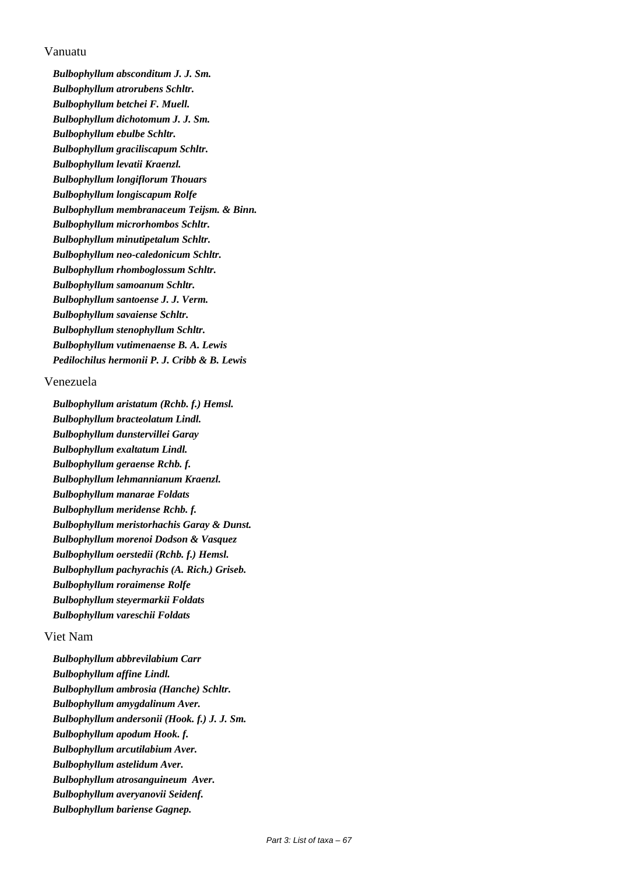# Vanuatu

*Bulbophyllum absconditum J. J. Sm. Bulbophyllum atrorubens Schltr. Bulbophyllum betchei F. Muell. Bulbophyllum dichotomum J. J. Sm. Bulbophyllum ebulbe Schltr. Bulbophyllum graciliscapum Schltr. Bulbophyllum levatii Kraenzl. Bulbophyllum longiflorum Thouars Bulbophyllum longiscapum Rolfe Bulbophyllum membranaceum Teijsm. & Binn. Bulbophyllum microrhombos Schltr. Bulbophyllum minutipetalum Schltr. Bulbophyllum neo-caledonicum Schltr. Bulbophyllum rhomboglossum Schltr. Bulbophyllum samoanum Schltr. Bulbophyllum santoense J. J. Verm. Bulbophyllum savaiense Schltr. Bulbophyllum stenophyllum Schltr. Bulbophyllum vutimenaense B. A. Lewis Pedilochilus hermonii P. J. Cribb & B. Lewis*

# Venezuela

*Bulbophyllum aristatum (Rchb. f.) Hemsl. Bulbophyllum bracteolatum Lindl. Bulbophyllum dunstervillei Garay Bulbophyllum exaltatum Lindl. Bulbophyllum geraense Rchb. f. Bulbophyllum lehmannianum Kraenzl. Bulbophyllum manarae Foldats Bulbophyllum meridense Rchb. f. Bulbophyllum meristorhachis Garay & Dunst. Bulbophyllum morenoi Dodson & Vasquez Bulbophyllum oerstedii (Rchb. f.) Hemsl. Bulbophyllum pachyrachis (A. Rich.) Griseb. Bulbophyllum roraimense Rolfe Bulbophyllum steyermarkii Foldats Bulbophyllum vareschii Foldats*

# Viet Nam

*Bulbophyllum abbrevilabium Carr Bulbophyllum affine Lindl. Bulbophyllum ambrosia (Hanche) Schltr. Bulbophyllum amygdalinum Aver. Bulbophyllum andersonii (Hook. f.) J. J. Sm. Bulbophyllum apodum Hook. f. Bulbophyllum arcutilabium Aver. Bulbophyllum astelidum Aver. Bulbophyllum atrosanguineum Aver. Bulbophyllum averyanovii Seidenf. Bulbophyllum bariense Gagnep.*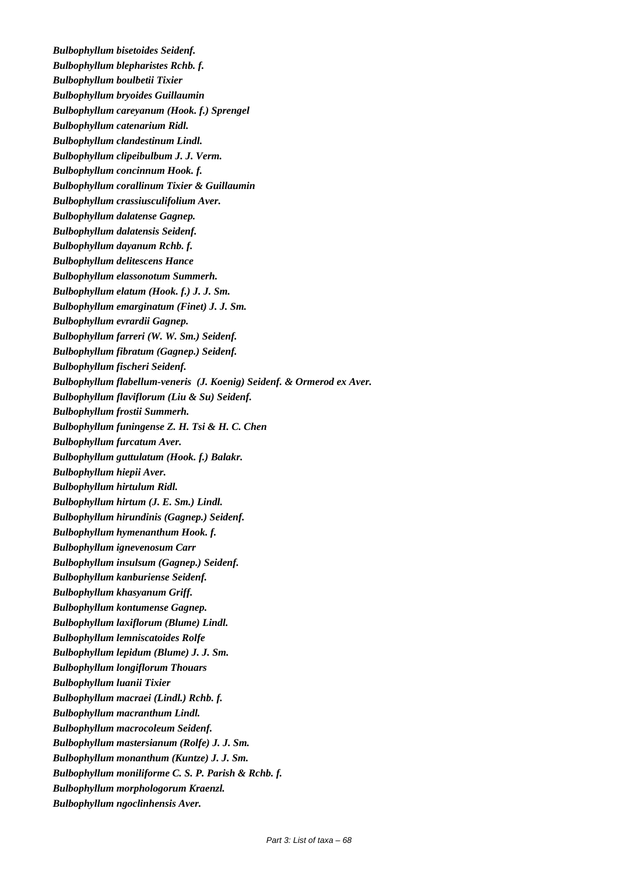*Bulbophyllum bisetoides Seidenf. Bulbophyllum blepharistes Rchb. f. Bulbophyllum boulbetii Tixier Bulbophyllum bryoides Guillaumin Bulbophyllum careyanum (Hook. f.) Sprengel Bulbophyllum catenarium Ridl. Bulbophyllum clandestinum Lindl. Bulbophyllum clipeibulbum J. J. Verm. Bulbophyllum concinnum Hook. f. Bulbophyllum corallinum Tixier & Guillaumin Bulbophyllum crassiusculifolium Aver. Bulbophyllum dalatense Gagnep. Bulbophyllum dalatensis Seidenf. Bulbophyllum dayanum Rchb. f. Bulbophyllum delitescens Hance Bulbophyllum elassonotum Summerh. Bulbophyllum elatum (Hook. f.) J. J. Sm. Bulbophyllum emarginatum (Finet) J. J. Sm. Bulbophyllum evrardii Gagnep. Bulbophyllum farreri (W. W. Sm.) Seidenf. Bulbophyllum fibratum (Gagnep.) Seidenf. Bulbophyllum fischeri Seidenf. Bulbophyllum flabellum-veneris (J. Koenig) Seidenf. & Ormerod ex Aver. Bulbophyllum flaviflorum (Liu & Su) Seidenf. Bulbophyllum frostii Summerh. Bulbophyllum funingense Z. H. Tsi & H. C. Chen Bulbophyllum furcatum Aver. Bulbophyllum guttulatum (Hook. f.) Balakr. Bulbophyllum hiepii Aver. Bulbophyllum hirtulum Ridl. Bulbophyllum hirtum (J. E. Sm.) Lindl. Bulbophyllum hirundinis (Gagnep.) Seidenf. Bulbophyllum hymenanthum Hook. f. Bulbophyllum ignevenosum Carr Bulbophyllum insulsum (Gagnep.) Seidenf. Bulbophyllum kanburiense Seidenf. Bulbophyllum khasyanum Griff. Bulbophyllum kontumense Gagnep. Bulbophyllum laxiflorum (Blume) Lindl. Bulbophyllum lemniscatoides Rolfe Bulbophyllum lepidum (Blume) J. J. Sm. Bulbophyllum longiflorum Thouars Bulbophyllum luanii Tixier Bulbophyllum macraei (Lindl.) Rchb. f. Bulbophyllum macranthum Lindl. Bulbophyllum macrocoleum Seidenf. Bulbophyllum mastersianum (Rolfe) J. J. Sm. Bulbophyllum monanthum (Kuntze) J. J. Sm. Bulbophyllum moniliforme C. S. P. Parish & Rchb. f. Bulbophyllum morphologorum Kraenzl. Bulbophyllum ngoclinhensis Aver.*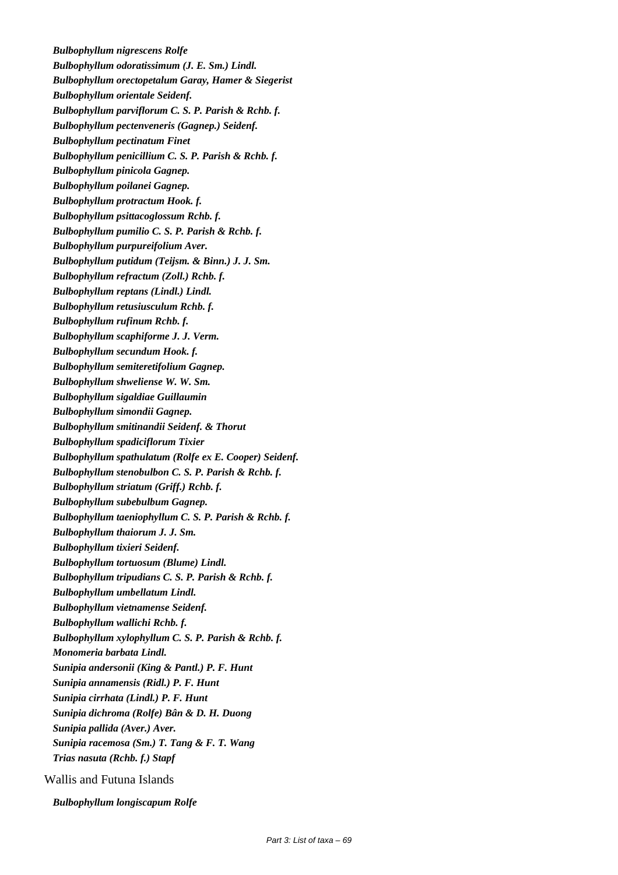*Bulbophyllum nigrescens Rolfe Bulbophyllum odoratissimum (J. E. Sm.) Lindl. Bulbophyllum orectopetalum Garay, Hamer & Siegerist Bulbophyllum orientale Seidenf. Bulbophyllum parviflorum C. S. P. Parish & Rchb. f. Bulbophyllum pectenveneris (Gagnep.) Seidenf. Bulbophyllum pectinatum Finet Bulbophyllum penicillium C. S. P. Parish & Rchb. f. Bulbophyllum pinicola Gagnep. Bulbophyllum poilanei Gagnep. Bulbophyllum protractum Hook. f. Bulbophyllum psittacoglossum Rchb. f. Bulbophyllum pumilio C. S. P. Parish & Rchb. f. Bulbophyllum purpureifolium Aver. Bulbophyllum putidum (Teijsm. & Binn.) J. J. Sm. Bulbophyllum refractum (Zoll.) Rchb. f. Bulbophyllum reptans (Lindl.) Lindl. Bulbophyllum retusiusculum Rchb. f. Bulbophyllum rufinum Rchb. f. Bulbophyllum scaphiforme J. J. Verm. Bulbophyllum secundum Hook. f. Bulbophyllum semiteretifolium Gagnep. Bulbophyllum shweliense W. W. Sm. Bulbophyllum sigaldiae Guillaumin Bulbophyllum simondii Gagnep. Bulbophyllum smitinandii Seidenf. & Thorut Bulbophyllum spadiciflorum Tixier Bulbophyllum spathulatum (Rolfe ex E. Cooper) Seidenf. Bulbophyllum stenobulbon C. S. P. Parish & Rchb. f. Bulbophyllum striatum (Griff.) Rchb. f. Bulbophyllum subebulbum Gagnep. Bulbophyllum taeniophyllum C. S. P. Parish & Rchb. f. Bulbophyllum thaiorum J. J. Sm. Bulbophyllum tixieri Seidenf. Bulbophyllum tortuosum (Blume) Lindl. Bulbophyllum tripudians C. S. P. Parish & Rchb. f. Bulbophyllum umbellatum Lindl. Bulbophyllum vietnamense Seidenf. Bulbophyllum wallichi Rchb. f. Bulbophyllum xylophyllum C. S. P. Parish & Rchb. f. Monomeria barbata Lindl. Sunipia andersonii (King & Pantl.) P. F. Hunt Sunipia annamensis (Ridl.) P. F. Hunt Sunipia cirrhata (Lindl.) P. F. Hunt Sunipia dichroma (Rolfe) Bân & D. H. Duong Sunipia pallida (Aver.) Aver. Sunipia racemosa (Sm.) T. Tang & F. T. Wang Trias nasuta (Rchb. f.) Stapf*

Wallis and Futuna Islands

*Bulbophyllum longiscapum Rolfe*